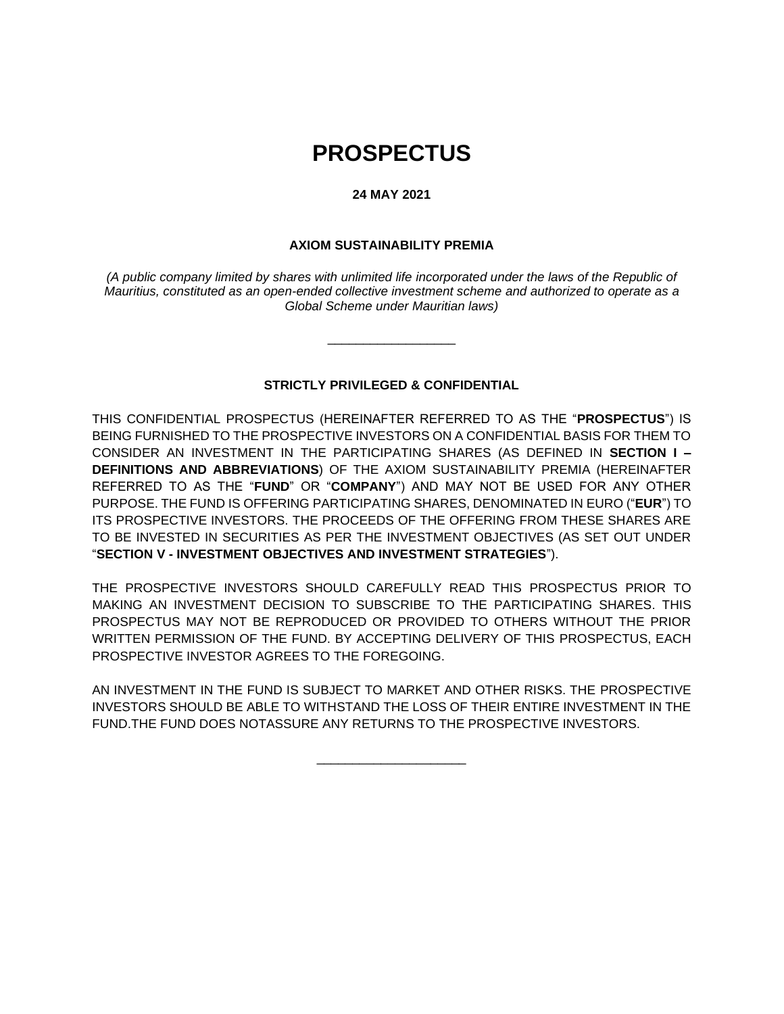# **PROSPECTUS**

#### **24 MAY 2021**

#### **AXIOM SUSTAINABILITY PREMIA**

*(A public company limited by shares with unlimited life incorporated under the laws of the Republic of Mauritius, constituted as an open-ended collective investment scheme and authorized to operate as a Global Scheme under Mauritian laws)*

#### **STRICTLY PRIVILEGED & CONFIDENTIAL**

\_\_\_\_\_\_\_\_\_\_\_\_\_\_\_\_\_\_

THIS CONFIDENTIAL PROSPECTUS (HEREINAFTER REFERRED TO AS THE "**PROSPECTUS**") IS BEING FURNISHED TO THE PROSPECTIVE INVESTORS ON A CONFIDENTIAL BASIS FOR THEM TO CONSIDER AN INVESTMENT IN THE PARTICIPATING SHARES (AS DEFINED IN **SECTION I – DEFINITIONS AND ABBREVIATIONS**) OF THE AXIOM SUSTAINABILITY PREMIA (HEREINAFTER REFERRED TO AS THE "**FUND**" OR "**COMPANY**") AND MAY NOT BE USED FOR ANY OTHER PURPOSE. THE FUND IS OFFERING PARTICIPATING SHARES, DENOMINATED IN EURO ("**EUR**") TO ITS PROSPECTIVE INVESTORS. THE PROCEEDS OF THE OFFERING FROM THESE SHARES ARE TO BE INVESTED IN SECURITIES AS PER THE INVESTMENT OBJECTIVES (AS SET OUT UNDER "**SECTION V - INVESTMENT OBJECTIVES AND INVESTMENT STRATEGIES**").

THE PROSPECTIVE INVESTORS SHOULD CAREFULLY READ THIS PROSPECTUS PRIOR TO MAKING AN INVESTMENT DECISION TO SUBSCRIBE TO THE PARTICIPATING SHARES. THIS PROSPECTUS MAY NOT BE REPRODUCED OR PROVIDED TO OTHERS WITHOUT THE PRIOR WRITTEN PERMISSION OF THE FUND. BY ACCEPTING DELIVERY OF THIS PROSPECTUS, EACH PROSPECTIVE INVESTOR AGREES TO THE FOREGOING.

AN INVESTMENT IN THE FUND IS SUBJECT TO MARKET AND OTHER RISKS. THE PROSPECTIVE INVESTORS SHOULD BE ABLE TO WITHSTAND THE LOSS OF THEIR ENTIRE INVESTMENT IN THE FUND.THE FUND DOES NOTASSURE ANY RETURNS TO THE PROSPECTIVE INVESTORS.

\_\_\_\_\_\_\_\_\_\_\_\_\_\_\_\_\_\_\_\_\_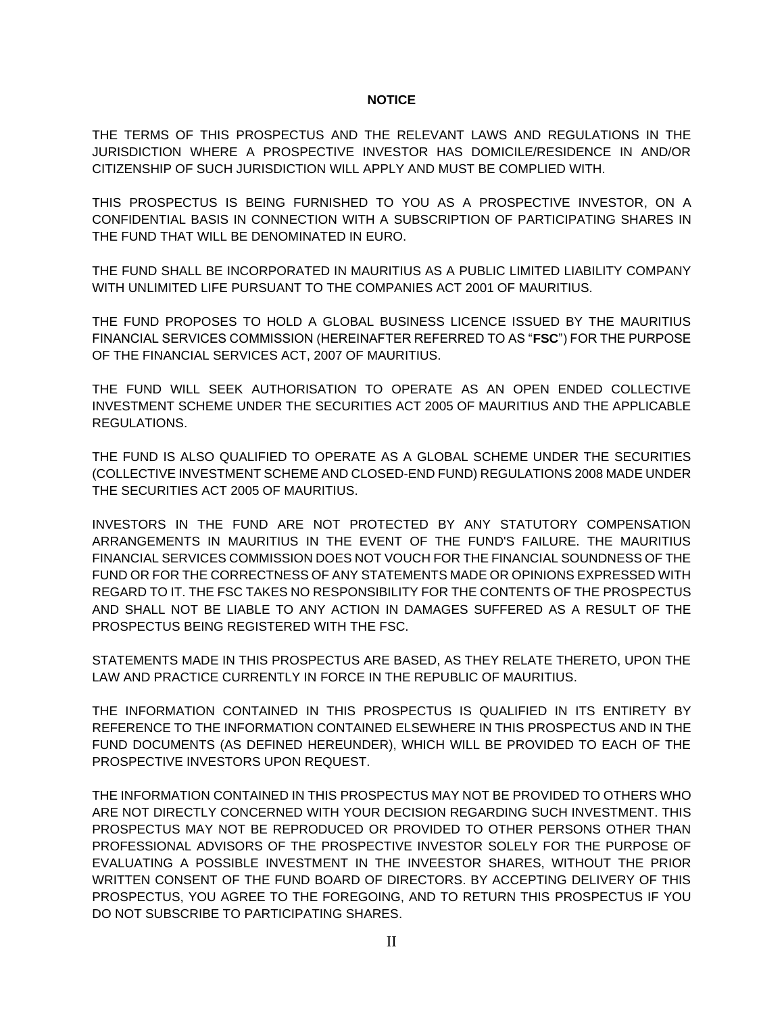#### **NOTICE**

<span id="page-1-0"></span>THE TERMS OF THIS PROSPECTUS AND THE RELEVANT LAWS AND REGULATIONS IN THE JURISDICTION WHERE A PROSPECTIVE INVESTOR HAS DOMICILE/RESIDENCE IN AND/OR CITIZENSHIP OF SUCH JURISDICTION WILL APPLY AND MUST BE COMPLIED WITH.

THIS PROSPECTUS IS BEING FURNISHED TO YOU AS A PROSPECTIVE INVESTOR, ON A CONFIDENTIAL BASIS IN CONNECTION WITH A SUBSCRIPTION OF PARTICIPATING SHARES IN THE FUND THAT WILL BE DENOMINATED IN EURO.

THE FUND SHALL BE INCORPORATED IN MAURITIUS AS A PUBLIC LIMITED LIABILITY COMPANY WITH UNLIMITED LIFE PURSUANT TO THE COMPANIES ACT 2001 OF MAURITIUS.

THE FUND PROPOSES TO HOLD A GLOBAL BUSINESS LICENCE ISSUED BY THE MAURITIUS FINANCIAL SERVICES COMMISSION (HEREINAFTER REFERRED TO AS "**FSC**") FOR THE PURPOSE OF THE FINANCIAL SERVICES ACT, 2007 OF MAURITIUS.

THE FUND WILL SEEK AUTHORISATION TO OPERATE AS AN OPEN ENDED COLLECTIVE INVESTMENT SCHEME UNDER THE SECURITIES ACT 2005 OF MAURITIUS AND THE APPLICABLE REGULATIONS.

THE FUND IS ALSO QUALIFIED TO OPERATE AS A GLOBAL SCHEME UNDER THE SECURITIES (COLLECTIVE INVESTMENT SCHEME AND CLOSED-END FUND) REGULATIONS 2008 MADE UNDER THE SECURITIES ACT 2005 OF MAURITIUS.

INVESTORS IN THE FUND ARE NOT PROTECTED BY ANY STATUTORY COMPENSATION ARRANGEMENTS IN MAURITIUS IN THE EVENT OF THE FUND'S FAILURE. THE MAURITIUS FINANCIAL SERVICES COMMISSION DOES NOT VOUCH FOR THE FINANCIAL SOUNDNESS OF THE FUND OR FOR THE CORRECTNESS OF ANY STATEMENTS MADE OR OPINIONS EXPRESSED WITH REGARD TO IT. THE FSC TAKES NO RESPONSIBILITY FOR THE CONTENTS OF THE PROSPECTUS AND SHALL NOT BE LIABLE TO ANY ACTION IN DAMAGES SUFFERED AS A RESULT OF THE PROSPECTUS BEING REGISTERED WITH THE FSC.

STATEMENTS MADE IN THIS PROSPECTUS ARE BASED, AS THEY RELATE THERETO, UPON THE LAW AND PRACTICE CURRENTLY IN FORCE IN THE REPUBLIC OF MAURITIUS.

THE INFORMATION CONTAINED IN THIS PROSPECTUS IS QUALIFIED IN ITS ENTIRETY BY REFERENCE TO THE INFORMATION CONTAINED ELSEWHERE IN THIS PROSPECTUS AND IN THE FUND DOCUMENTS (AS DEFINED HEREUNDER), WHICH WILL BE PROVIDED TO EACH OF THE PROSPECTIVE INVESTORS UPON REQUEST.

THE INFORMATION CONTAINED IN THIS PROSPECTUS MAY NOT BE PROVIDED TO OTHERS WHO ARE NOT DIRECTLY CONCERNED WITH YOUR DECISION REGARDING SUCH INVESTMENT. THIS PROSPECTUS MAY NOT BE REPRODUCED OR PROVIDED TO OTHER PERSONS OTHER THAN PROFESSIONAL ADVISORS OF THE PROSPECTIVE INVESTOR SOLELY FOR THE PURPOSE OF EVALUATING A POSSIBLE INVESTMENT IN THE INVEESTOR SHARES, WITHOUT THE PRIOR WRITTEN CONSENT OF THE FUND BOARD OF DIRECTORS. BY ACCEPTING DELIVERY OF THIS PROSPECTUS, YOU AGREE TO THE FOREGOING, AND TO RETURN THIS PROSPECTUS IF YOU DO NOT SUBSCRIBE TO PARTICIPATING SHARES.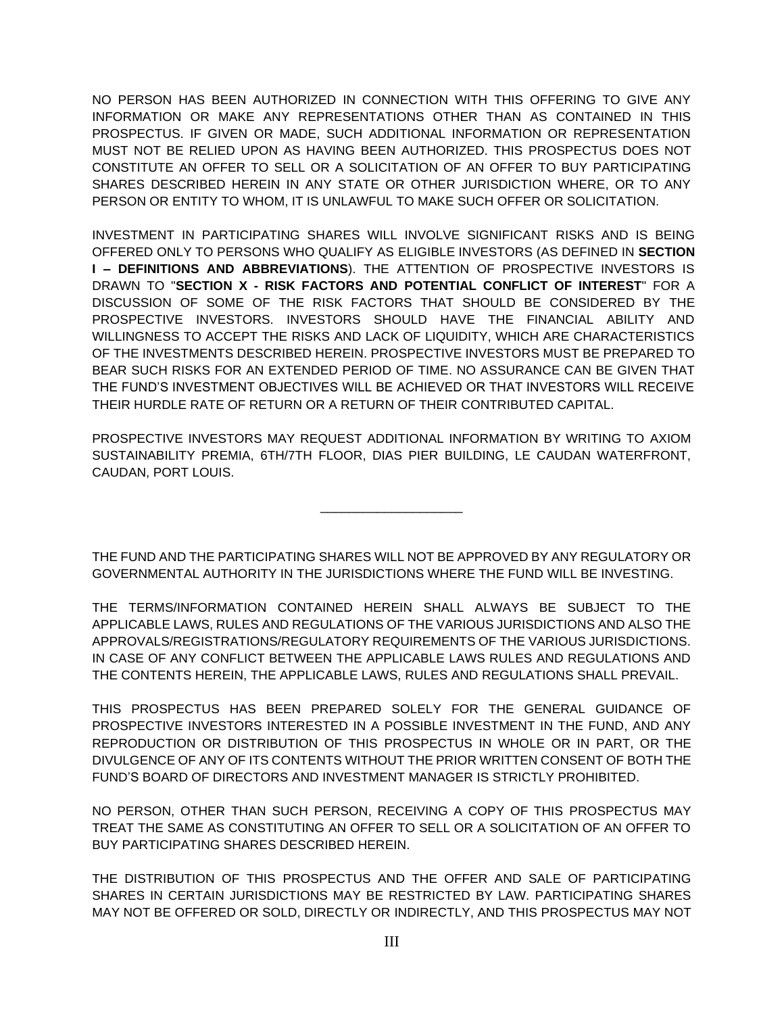NO PERSON HAS BEEN AUTHORIZED IN CONNECTION WITH THIS OFFERING TO GIVE ANY INFORMATION OR MAKE ANY REPRESENTATIONS OTHER THAN AS CONTAINED IN THIS PROSPECTUS. IF GIVEN OR MADE, SUCH ADDITIONAL INFORMATION OR REPRESENTATION MUST NOT BE RELIED UPON AS HAVING BEEN AUTHORIZED. THIS PROSPECTUS DOES NOT CONSTITUTE AN OFFER TO SELL OR A SOLICITATION OF AN OFFER TO BUY PARTICIPATING SHARES DESCRIBED HEREIN IN ANY STATE OR OTHER JURISDICTION WHERE, OR TO ANY PERSON OR ENTITY TO WHOM, IT IS UNLAWFUL TO MAKE SUCH OFFER OR SOLICITATION.

INVESTMENT IN PARTICIPATING SHARES WILL INVOLVE SIGNIFICANT RISKS AND IS BEING OFFERED ONLY TO PERSONS WHO QUALIFY AS ELIGIBLE INVESTORS (AS DEFINED IN **SECTION I – DEFINITIONS AND ABBREVIATIONS**). THE ATTENTION OF PROSPECTIVE INVESTORS IS DRAWN TO "**SECTION X - RISK FACTORS AND POTENTIAL CONFLICT OF INTEREST**" FOR A DISCUSSION OF SOME OF THE RISK FACTORS THAT SHOULD BE CONSIDERED BY THE PROSPECTIVE INVESTORS. INVESTORS SHOULD HAVE THE FINANCIAL ABILITY AND WILLINGNESS TO ACCEPT THE RISKS AND LACK OF LIQUIDITY, WHICH ARE CHARACTERISTICS OF THE INVESTMENTS DESCRIBED HEREIN. PROSPECTIVE INVESTORS MUST BE PREPARED TO BEAR SUCH RISKS FOR AN EXTENDED PERIOD OF TIME. NO ASSURANCE CAN BE GIVEN THAT THE FUND'S INVESTMENT OBJECTIVES WILL BE ACHIEVED OR THAT INVESTORS WILL RECEIVE THEIR HURDLE RATE OF RETURN OR A RETURN OF THEIR CONTRIBUTED CAPITAL.

PROSPECTIVE INVESTORS MAY REQUEST ADDITIONAL INFORMATION BY WRITING TO AXIOM SUSTAINABILITY PREMIA, 6TH/7TH FLOOR, DIAS PIER BUILDING, LE CAUDAN WATERFRONT, CAUDAN, PORT LOUIS.

\_\_\_\_\_\_\_\_\_\_\_\_\_\_\_\_\_\_\_\_

THE FUND AND THE PARTICIPATING SHARES WILL NOT BE APPROVED BY ANY REGULATORY OR GOVERNMENTAL AUTHORITY IN THE JURISDICTIONS WHERE THE FUND WILL BE INVESTING.

THE TERMS/INFORMATION CONTAINED HEREIN SHALL ALWAYS BE SUBJECT TO THE APPLICABLE LAWS, RULES AND REGULATIONS OF THE VARIOUS JURISDICTIONS AND ALSO THE APPROVALS/REGISTRATIONS/REGULATORY REQUIREMENTS OF THE VARIOUS JURISDICTIONS. IN CASE OF ANY CONFLICT BETWEEN THE APPLICABLE LAWS RULES AND REGULATIONS AND THE CONTENTS HEREIN, THE APPLICABLE LAWS, RULES AND REGULATIONS SHALL PREVAIL.

THIS PROSPECTUS HAS BEEN PREPARED SOLELY FOR THE GENERAL GUIDANCE OF PROSPECTIVE INVESTORS INTERESTED IN A POSSIBLE INVESTMENT IN THE FUND, AND ANY REPRODUCTION OR DISTRIBUTION OF THIS PROSPECTUS IN WHOLE OR IN PART, OR THE DIVULGENCE OF ANY OF ITS CONTENTS WITHOUT THE PRIOR WRITTEN CONSENT OF BOTH THE FUND'S BOARD OF DIRECTORS AND INVESTMENT MANAGER IS STRICTLY PROHIBITED.

NO PERSON, OTHER THAN SUCH PERSON, RECEIVING A COPY OF THIS PROSPECTUS MAY TREAT THE SAME AS CONSTITUTING AN OFFER TO SELL OR A SOLICITATION OF AN OFFER TO BUY PARTICIPATING SHARES DESCRIBED HEREIN.

THE DISTRIBUTION OF THIS PROSPECTUS AND THE OFFER AND SALE OF PARTICIPATING SHARES IN CERTAIN JURISDICTIONS MAY BE RESTRICTED BY LAW. PARTICIPATING SHARES MAY NOT BE OFFERED OR SOLD, DIRECTLY OR INDIRECTLY, AND THIS PROSPECTUS MAY NOT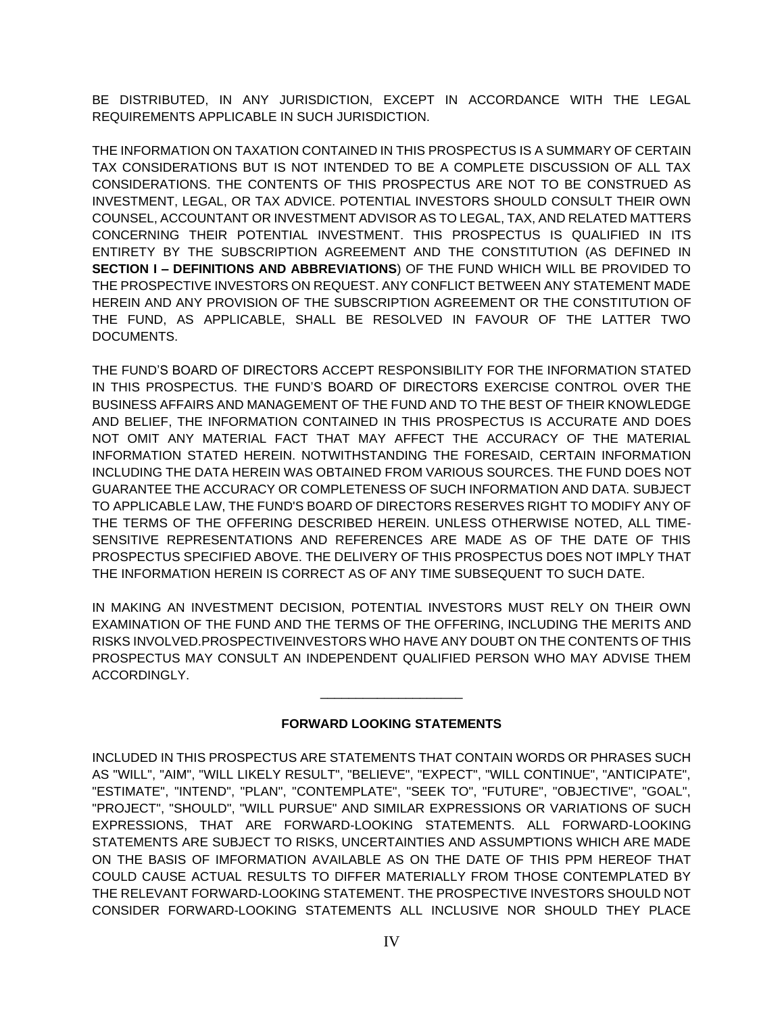BE DISTRIBUTED, IN ANY JURISDICTION, EXCEPT IN ACCORDANCE WITH THE LEGAL REQUIREMENTS APPLICABLE IN SUCH JURISDICTION.

THE INFORMATION ON TAXATION CONTAINED IN THIS PROSPECTUS IS A SUMMARY OF CERTAIN TAX CONSIDERATIONS BUT IS NOT INTENDED TO BE A COMPLETE DISCUSSION OF ALL TAX CONSIDERATIONS. THE CONTENTS OF THIS PROSPECTUS ARE NOT TO BE CONSTRUED AS INVESTMENT, LEGAL, OR TAX ADVICE. POTENTIAL INVESTORS SHOULD CONSULT THEIR OWN COUNSEL, ACCOUNTANT OR INVESTMENT ADVISOR AS TO LEGAL, TAX, AND RELATED MATTERS CONCERNING THEIR POTENTIAL INVESTMENT. THIS PROSPECTUS IS QUALIFIED IN ITS ENTIRETY BY THE SUBSCRIPTION AGREEMENT AND THE CONSTITUTION (AS DEFINED IN **SECTION I – DEFINITIONS AND ABBREVIATIONS**) OF THE FUND WHICH WILL BE PROVIDED TO THE PROSPECTIVE INVESTORS ON REQUEST. ANY CONFLICT BETWEEN ANY STATEMENT MADE HEREIN AND ANY PROVISION OF THE SUBSCRIPTION AGREEMENT OR THE CONSTITUTION OF THE FUND, AS APPLICABLE, SHALL BE RESOLVED IN FAVOUR OF THE LATTER TWO DOCUMENTS.

THE FUND'S BOARD OF DIRECTORS ACCEPT RESPONSIBILITY FOR THE INFORMATION STATED IN THIS PROSPECTUS. THE FUND'S BOARD OF DIRECTORS EXERCISE CONTROL OVER THE BUSINESS AFFAIRS AND MANAGEMENT OF THE FUND AND TO THE BEST OF THEIR KNOWLEDGE AND BELIEF, THE INFORMATION CONTAINED IN THIS PROSPECTUS IS ACCURATE AND DOES NOT OMIT ANY MATERIAL FACT THAT MAY AFFECT THE ACCURACY OF THE MATERIAL INFORMATION STATED HEREIN. NOTWITHSTANDING THE FORESAID, CERTAIN INFORMATION INCLUDING THE DATA HEREIN WAS OBTAINED FROM VARIOUS SOURCES. THE FUND DOES NOT GUARANTEE THE ACCURACY OR COMPLETENESS OF SUCH INFORMATION AND DATA. SUBJECT TO APPLICABLE LAW, THE FUND'S BOARD OF DIRECTORS RESERVES RIGHT TO MODIFY ANY OF THE TERMS OF THE OFFERING DESCRIBED HEREIN. UNLESS OTHERWISE NOTED, ALL TIME-SENSITIVE REPRESENTATIONS AND REFERENCES ARE MADE AS OF THE DATE OF THIS PROSPECTUS SPECIFIED ABOVE. THE DELIVERY OF THIS PROSPECTUS DOES NOT IMPLY THAT THE INFORMATION HEREIN IS CORRECT AS OF ANY TIME SUBSEQUENT TO SUCH DATE.

IN MAKING AN INVESTMENT DECISION, POTENTIAL INVESTORS MUST RELY ON THEIR OWN EXAMINATION OF THE FUND AND THE TERMS OF THE OFFERING, INCLUDING THE MERITS AND RISKS INVOLVED.PROSPECTIVEINVESTORS WHO HAVE ANY DOUBT ON THE CONTENTS OF THIS PROSPECTUS MAY CONSULT AN INDEPENDENT QUALIFIED PERSON WHO MAY ADVISE THEM ACCORDINGLY.

# **FORWARD LOOKING STATEMENTS**

\_\_\_\_\_\_\_\_\_\_\_\_\_\_\_\_\_\_\_\_

INCLUDED IN THIS PROSPECTUS ARE STATEMENTS THAT CONTAIN WORDS OR PHRASES SUCH AS "WILL", "AIM", "WILL LIKELY RESULT", "BELIEVE", "EXPECT", "WILL CONTINUE", "ANTICIPATE", "ESTIMATE", "INTEND", "PLAN", "CONTEMPLATE", "SEEK TO", "FUTURE", "OBJECTIVE", "GOAL", "PROJECT", "SHOULD", "WILL PURSUE" AND SIMILAR EXPRESSIONS OR VARIATIONS OF SUCH EXPRESSIONS, THAT ARE FORWARD-LOOKING STATEMENTS. ALL FORWARD-LOOKING STATEMENTS ARE SUBJECT TO RISKS, UNCERTAINTIES AND ASSUMPTIONS WHICH ARE MADE ON THE BASIS OF IMFORMATION AVAILABLE AS ON THE DATE OF THIS PPM HEREOF THAT COULD CAUSE ACTUAL RESULTS TO DIFFER MATERIALLY FROM THOSE CONTEMPLATED BY THE RELEVANT FORWARD-LOOKING STATEMENT. THE PROSPECTIVE INVESTORS SHOULD NOT CONSIDER FORWARD-LOOKING STATEMENTS ALL INCLUSIVE NOR SHOULD THEY PLACE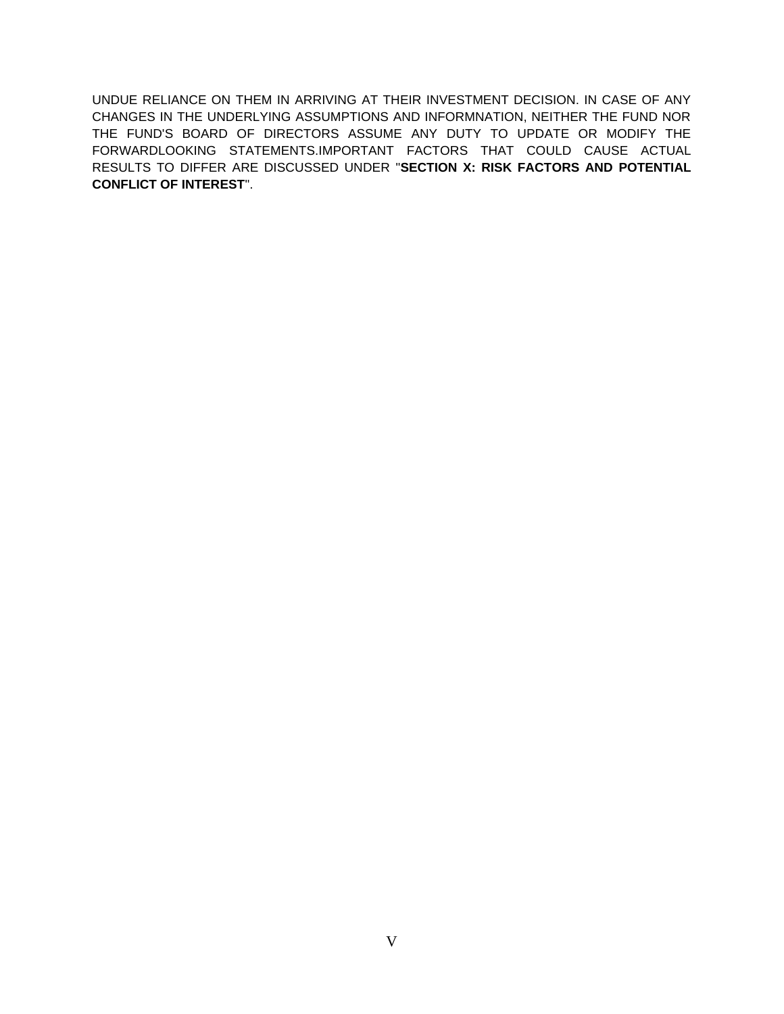UNDUE RELIANCE ON THEM IN ARRIVING AT THEIR INVESTMENT DECISION. IN CASE OF ANY CHANGES IN THE UNDERLYING ASSUMPTIONS AND INFORMNATION, NEITHER THE FUND NOR THE FUND'S BOARD OF DIRECTORS ASSUME ANY DUTY TO UPDATE OR MODIFY THE FORWARDLOOKING STATEMENTS.IMPORTANT FACTORS THAT COULD CAUSE ACTUAL RESULTS TO DIFFER ARE DISCUSSED UNDER "**SECTION X: RISK FACTORS AND POTENTIAL CONFLICT OF INTEREST**".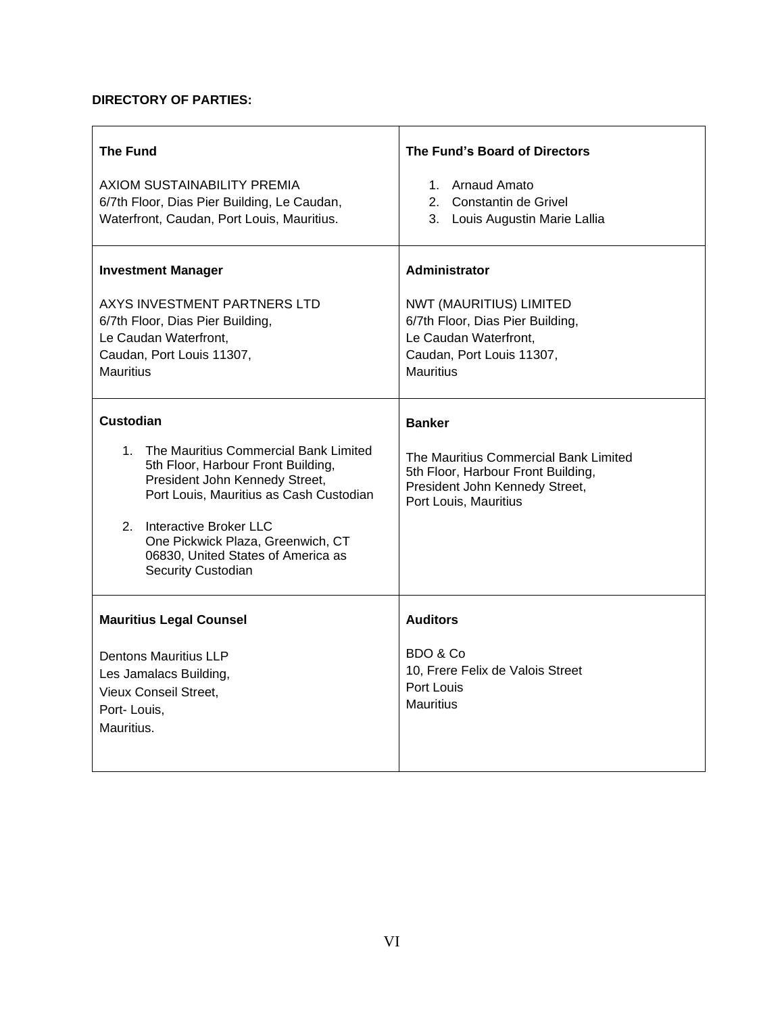# **DIRECTORY OF PARTIES:**

| <b>The Fund</b>                                                                                                                                                                                                                                                                                                         | The Fund's Board of Directors                                                                                                                                 |
|-------------------------------------------------------------------------------------------------------------------------------------------------------------------------------------------------------------------------------------------------------------------------------------------------------------------------|---------------------------------------------------------------------------------------------------------------------------------------------------------------|
| AXIOM SUSTAINABILITY PREMIA<br>6/7th Floor, Dias Pier Building, Le Caudan,<br>Waterfront, Caudan, Port Louis, Mauritius.                                                                                                                                                                                                | 1. Arnaud Amato<br>2. Constantin de Grivel<br>3. Louis Augustin Marie Lallia                                                                                  |
| <b>Investment Manager</b><br>AXYS INVESTMENT PARTNERS LTD<br>6/7th Floor, Dias Pier Building,<br>Le Caudan Waterfront,<br>Caudan, Port Louis 11307,<br><b>Mauritius</b>                                                                                                                                                 | <b>Administrator</b><br>NWT (MAURITIUS) LIMITED<br>6/7th Floor, Dias Pier Building,<br>Le Caudan Waterfront,<br>Caudan, Port Louis 11307,<br><b>Mauritius</b> |
| <b>Custodian</b><br>The Mauritius Commercial Bank Limited<br>1.<br>5th Floor, Harbour Front Building,<br>President John Kennedy Street,<br>Port Louis, Mauritius as Cash Custodian<br>2. Interactive Broker LLC<br>One Pickwick Plaza, Greenwich, CT<br>06830, United States of America as<br><b>Security Custodian</b> | <b>Banker</b><br>The Mauritius Commercial Bank Limited<br>5th Floor, Harbour Front Building,<br>President John Kennedy Street,<br>Port Louis, Mauritius       |
| <b>Mauritius Legal Counsel</b><br><b>Dentons Mauritius LLP</b><br>Les Jamalacs Building,<br><b>Vieux Conseil Street,</b><br>Port-Louis,<br>Mauritius.                                                                                                                                                                   | <b>Auditors</b><br>BDO & Co<br>10, Frere Felix de Valois Street<br>Port Louis<br><b>Mauritius</b>                                                             |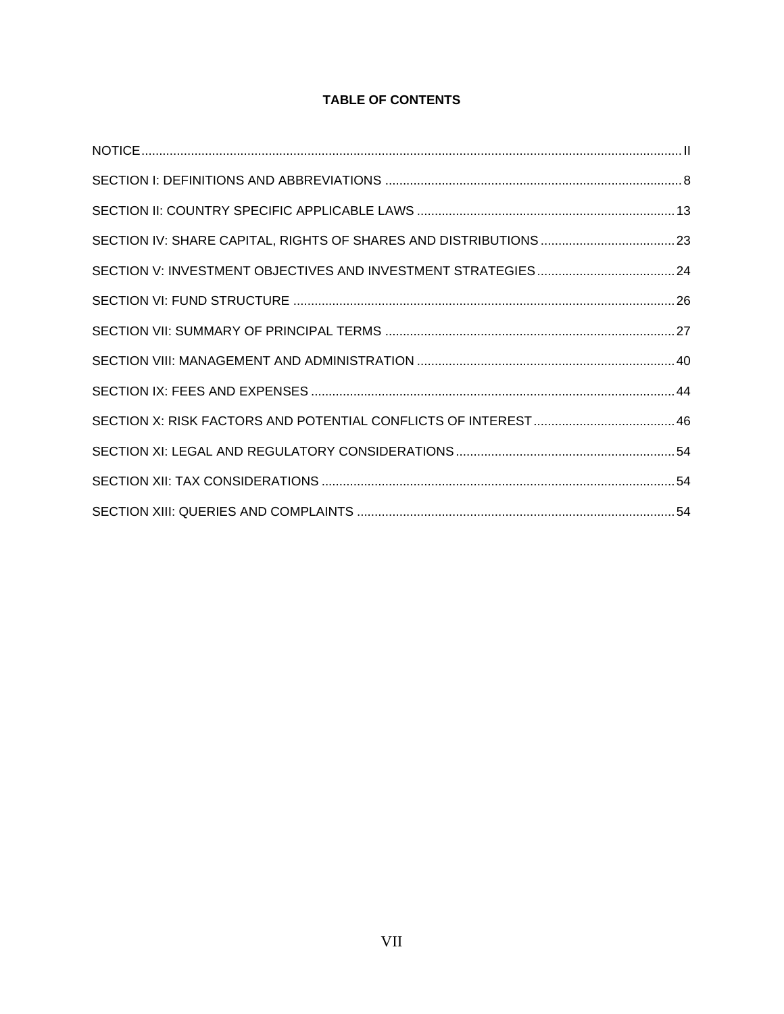# **TABLE OF CONTENTS**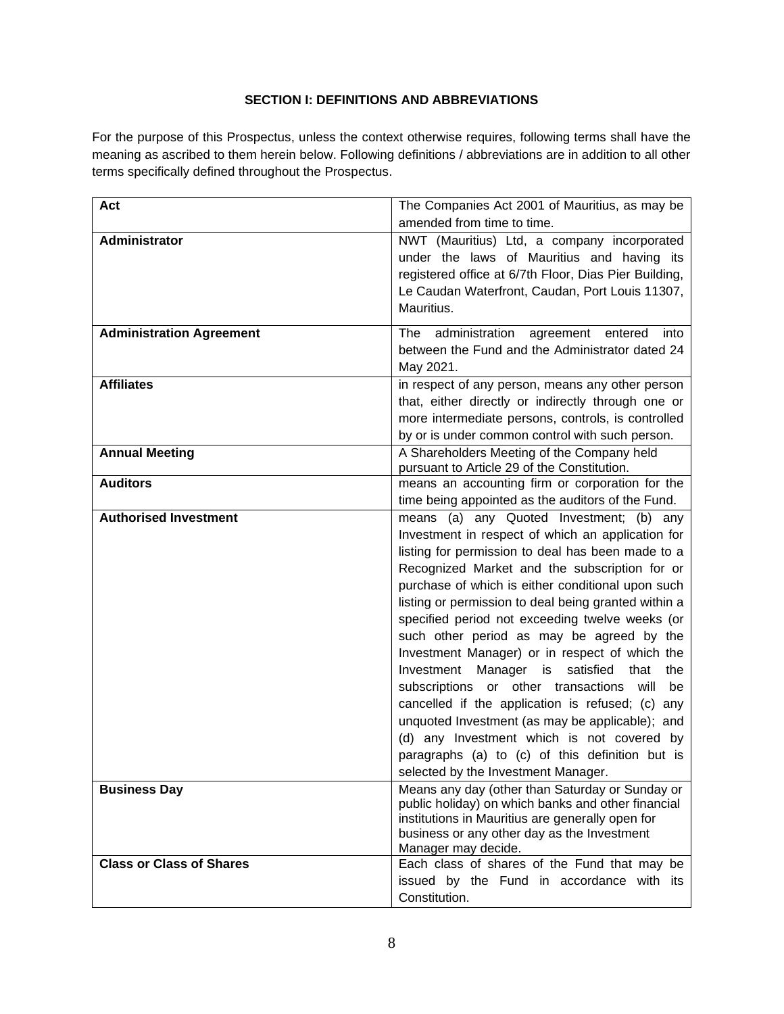# **SECTION I: DEFINITIONS AND ABBREVIATIONS**

<span id="page-7-0"></span>For the purpose of this Prospectus, unless the context otherwise requires, following terms shall have the meaning as ascribed to them herein below. Following definitions / abbreviations are in addition to all other terms specifically defined throughout the Prospectus.

| Act                             | The Companies Act 2001 of Mauritius, as may be<br>amended from time to time.                                                                                                                                                                                                                                                                                                                                                                                                                                                                                                                                                                                                                                                                                                                                             |
|---------------------------------|--------------------------------------------------------------------------------------------------------------------------------------------------------------------------------------------------------------------------------------------------------------------------------------------------------------------------------------------------------------------------------------------------------------------------------------------------------------------------------------------------------------------------------------------------------------------------------------------------------------------------------------------------------------------------------------------------------------------------------------------------------------------------------------------------------------------------|
| Administrator                   | NWT (Mauritius) Ltd, a company incorporated<br>under the laws of Mauritius and having its<br>registered office at 6/7th Floor, Dias Pier Building,<br>Le Caudan Waterfront, Caudan, Port Louis 11307,<br>Mauritius.                                                                                                                                                                                                                                                                                                                                                                                                                                                                                                                                                                                                      |
| <b>Administration Agreement</b> | administration agreement entered<br>The<br>into<br>between the Fund and the Administrator dated 24<br>May 2021.                                                                                                                                                                                                                                                                                                                                                                                                                                                                                                                                                                                                                                                                                                          |
| <b>Affiliates</b>               | in respect of any person, means any other person<br>that, either directly or indirectly through one or<br>more intermediate persons, controls, is controlled<br>by or is under common control with such person.                                                                                                                                                                                                                                                                                                                                                                                                                                                                                                                                                                                                          |
| <b>Annual Meeting</b>           | A Shareholders Meeting of the Company held<br>pursuant to Article 29 of the Constitution.                                                                                                                                                                                                                                                                                                                                                                                                                                                                                                                                                                                                                                                                                                                                |
| <b>Auditors</b>                 | means an accounting firm or corporation for the<br>time being appointed as the auditors of the Fund.                                                                                                                                                                                                                                                                                                                                                                                                                                                                                                                                                                                                                                                                                                                     |
| <b>Authorised Investment</b>    | means (a) any Quoted Investment; (b) any<br>Investment in respect of which an application for<br>listing for permission to deal has been made to a<br>Recognized Market and the subscription for or<br>purchase of which is either conditional upon such<br>listing or permission to deal being granted within a<br>specified period not exceeding twelve weeks (or<br>such other period as may be agreed by the<br>Investment Manager) or in respect of which the<br>Manager is satisfied<br>that<br>Investment<br>the<br>subscriptions or other transactions will<br>be<br>cancelled if the application is refused; (c) any<br>unquoted Investment (as may be applicable); and<br>(d) any Investment which is not covered by<br>paragraphs (a) to (c) of this definition but is<br>selected by the Investment Manager. |
| <b>Business Day</b>             | Means any day (other than Saturday or Sunday or<br>public holiday) on which banks and other financial<br>institutions in Mauritius are generally open for<br>business or any other day as the Investment<br>Manager may decide.                                                                                                                                                                                                                                                                                                                                                                                                                                                                                                                                                                                          |
| <b>Class or Class of Shares</b> | Each class of shares of the Fund that may be<br>issued by the Fund in accordance with its<br>Constitution.                                                                                                                                                                                                                                                                                                                                                                                                                                                                                                                                                                                                                                                                                                               |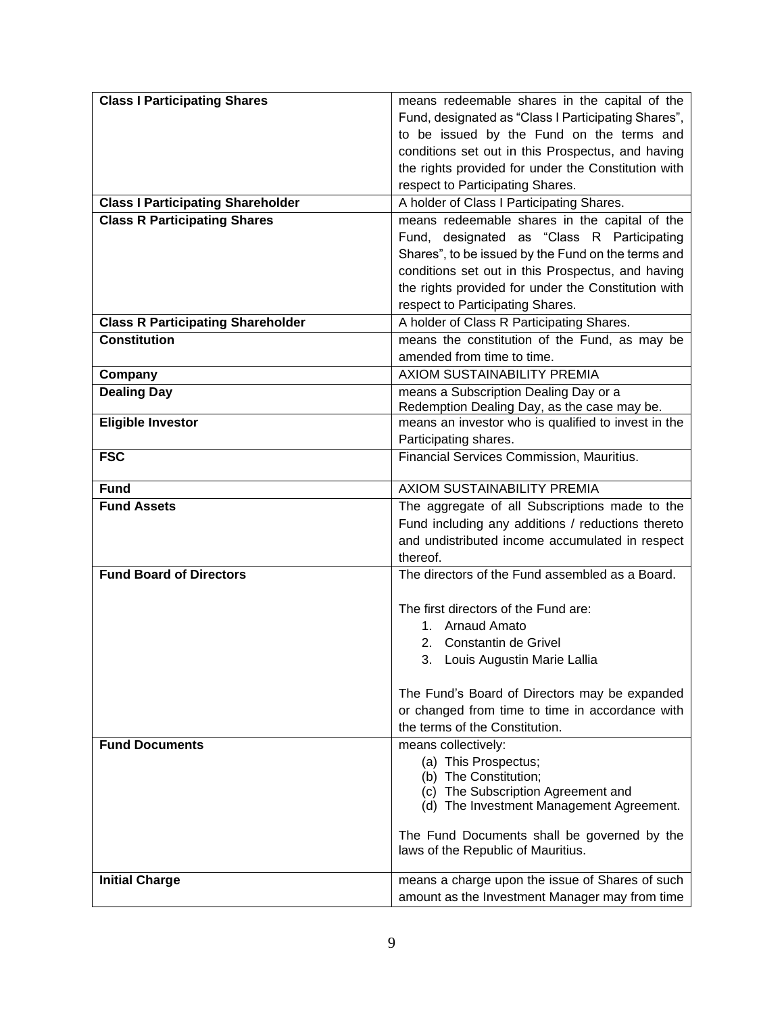| <b>Class I Participating Shares</b>      | means redeemable shares in the capital of the       |
|------------------------------------------|-----------------------------------------------------|
|                                          | Fund, designated as "Class I Participating Shares", |
|                                          | to be issued by the Fund on the terms and           |
|                                          | conditions set out in this Prospectus, and having   |
|                                          | the rights provided for under the Constitution with |
|                                          | respect to Participating Shares.                    |
| <b>Class I Participating Shareholder</b> | A holder of Class I Participating Shares.           |
| <b>Class R Participating Shares</b>      | means redeemable shares in the capital of the       |
|                                          | Fund, designated as "Class R Participating          |
|                                          | Shares", to be issued by the Fund on the terms and  |
|                                          | conditions set out in this Prospectus, and having   |
|                                          | the rights provided for under the Constitution with |
|                                          | respect to Participating Shares.                    |
| <b>Class R Participating Shareholder</b> | A holder of Class R Participating Shares.           |
| <b>Constitution</b>                      | means the constitution of the Fund, as may be       |
|                                          | amended from time to time.                          |
| Company                                  | <b>AXIOM SUSTAINABILITY PREMIA</b>                  |
| <b>Dealing Day</b>                       | means a Subscription Dealing Day or a               |
|                                          | Redemption Dealing Day, as the case may be.         |
| <b>Eligible Investor</b>                 | means an investor who is qualified to invest in the |
|                                          | Participating shares.                               |
| <b>FSC</b>                               | Financial Services Commission, Mauritius.           |
| <b>Fund</b>                              | AXIOM SUSTAINABILITY PREMIA                         |
| <b>Fund Assets</b>                       | The aggregate of all Subscriptions made to the      |
|                                          | Fund including any additions / reductions thereto   |
|                                          | and undistributed income accumulated in respect     |
|                                          | thereof.                                            |
| <b>Fund Board of Directors</b>           | The directors of the Fund assembled as a Board.     |
|                                          |                                                     |
|                                          | The first directors of the Fund are:                |
|                                          | 1. Arnaud Amato                                     |
|                                          | 2. Constantin de Grivel                             |
|                                          | 3. Louis Augustin Marie Lallia                      |
|                                          |                                                     |
|                                          | The Fund's Board of Directors may be expanded       |
|                                          | or changed from time to time in accordance with     |
|                                          | the terms of the Constitution.                      |
| <b>Fund Documents</b>                    | means collectively:                                 |
|                                          | (a) This Prospectus;<br>(b) The Constitution;       |
|                                          | (c) The Subscription Agreement and                  |
|                                          | (d) The Investment Management Agreement.            |
|                                          |                                                     |
|                                          | The Fund Documents shall be governed by the         |
|                                          | laws of the Republic of Mauritius.                  |
| <b>Initial Charge</b>                    | means a charge upon the issue of Shares of such     |
|                                          | amount as the Investment Manager may from time      |
|                                          |                                                     |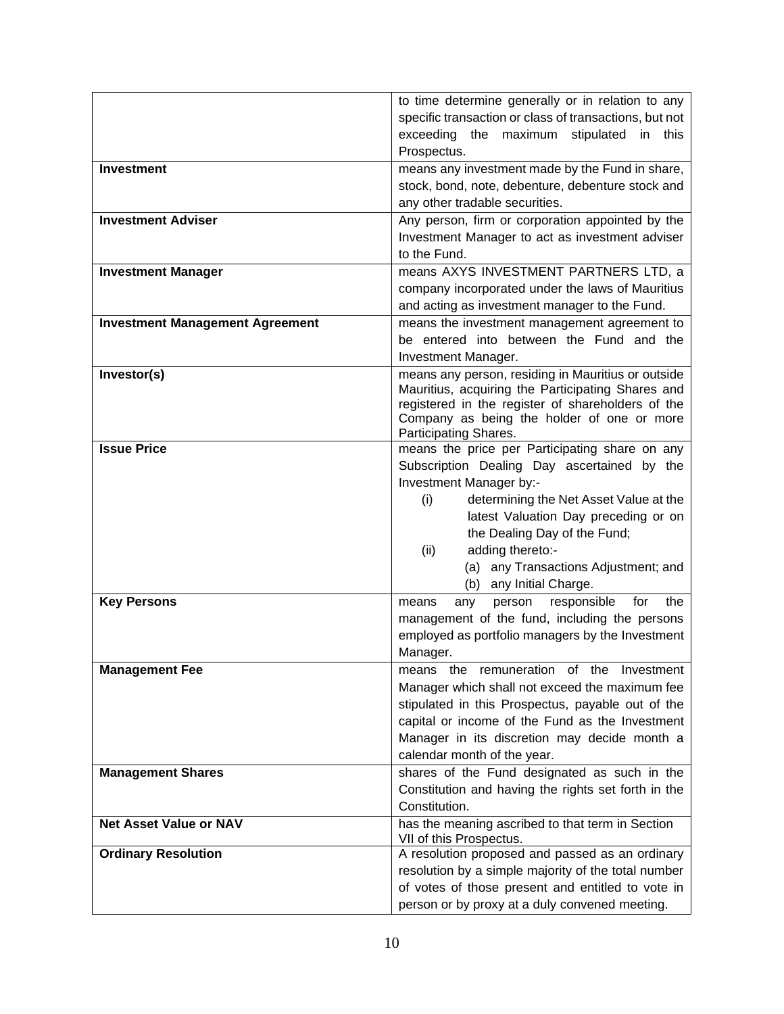|                                        | to time determine generally or in relation to any                   |
|----------------------------------------|---------------------------------------------------------------------|
|                                        | specific transaction or class of transactions, but not              |
|                                        | exceeding the maximum stipulated in this                            |
|                                        | Prospectus.                                                         |
| <b>Investment</b>                      | means any investment made by the Fund in share,                     |
|                                        | stock, bond, note, debenture, debenture stock and                   |
|                                        | any other tradable securities.                                      |
| <b>Investment Adviser</b>              | Any person, firm or corporation appointed by the                    |
|                                        | Investment Manager to act as investment adviser                     |
|                                        | to the Fund.                                                        |
| <b>Investment Manager</b>              | means AXYS INVESTMENT PARTNERS LTD, a                               |
|                                        | company incorporated under the laws of Mauritius                    |
|                                        | and acting as investment manager to the Fund.                       |
| <b>Investment Management Agreement</b> | means the investment management agreement to                        |
|                                        | be entered into between the Fund and the                            |
|                                        | Investment Manager.                                                 |
| Investor(s)                            | means any person, residing in Mauritius or outside                  |
|                                        | Mauritius, acquiring the Participating Shares and                   |
|                                        | registered in the register of shareholders of the                   |
|                                        | Company as being the holder of one or more<br>Participating Shares. |
| <b>Issue Price</b>                     | means the price per Participating share on any                      |
|                                        | Subscription Dealing Day ascertained by the                         |
|                                        | Investment Manager by:-                                             |
|                                        | (i)<br>determining the Net Asset Value at the                       |
|                                        | latest Valuation Day preceding or on                                |
|                                        | the Dealing Day of the Fund;                                        |
|                                        | (ii)<br>adding thereto:-                                            |
|                                        | (a) any Transactions Adjustment; and                                |
|                                        | any Initial Charge.<br>(b)                                          |
| <b>Key Persons</b>                     | responsible<br>for<br>the<br>person<br>means<br>any                 |
|                                        | management of the fund, including the persons                       |
|                                        | employed as portfolio managers by the Investment                    |
|                                        | Manager.                                                            |
| <b>Management Fee</b>                  | means the remuneration of the Investment                            |
|                                        | Manager which shall not exceed the maximum fee                      |
|                                        | stipulated in this Prospectus, payable out of the                   |
|                                        | capital or income of the Fund as the Investment                     |
|                                        | Manager in its discretion may decide month a                        |
|                                        | calendar month of the year.                                         |
| <b>Management Shares</b>               | shares of the Fund designated as such in the                        |
|                                        | Constitution and having the rights set forth in the                 |
|                                        | Constitution.                                                       |
| <b>Net Asset Value or NAV</b>          | has the meaning ascribed to that term in Section                    |
|                                        | VII of this Prospectus.                                             |
| <b>Ordinary Resolution</b>             | A resolution proposed and passed as an ordinary                     |
|                                        | resolution by a simple majority of the total number                 |
|                                        | of votes of those present and entitled to vote in                   |
|                                        | person or by proxy at a duly convened meeting.                      |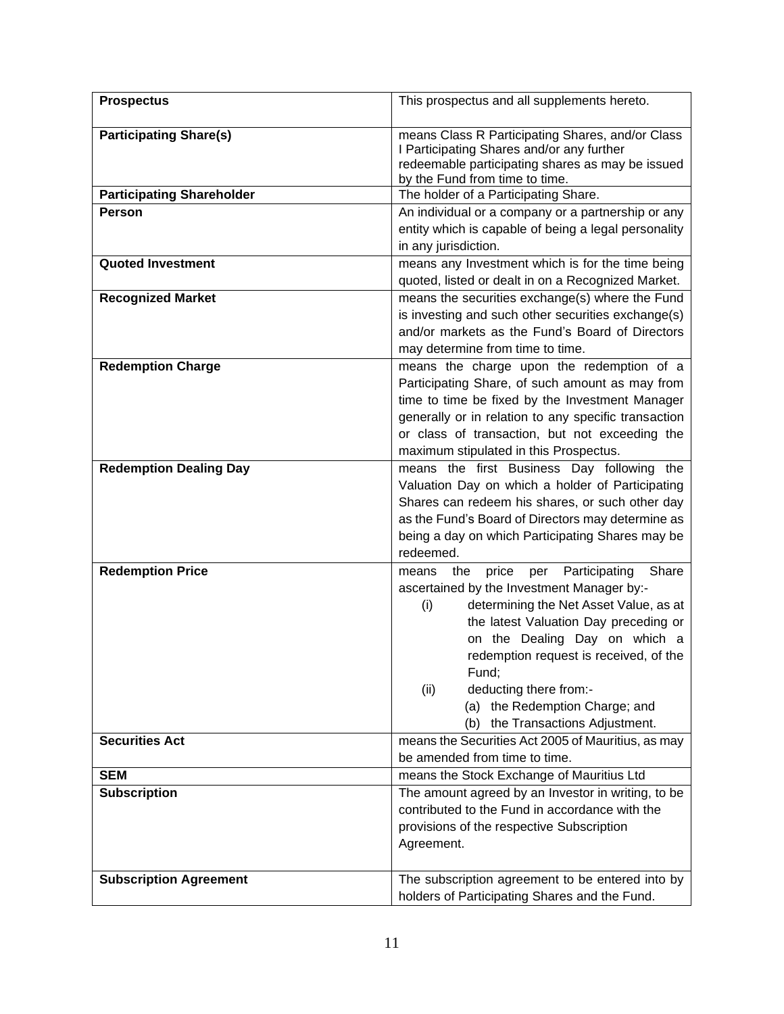| <b>Prospectus</b>                | This prospectus and all supplements hereto.                                                                                                                                                                                                                                                                                                                                                   |
|----------------------------------|-----------------------------------------------------------------------------------------------------------------------------------------------------------------------------------------------------------------------------------------------------------------------------------------------------------------------------------------------------------------------------------------------|
| <b>Participating Share(s)</b>    | means Class R Participating Shares, and/or Class<br>I Participating Shares and/or any further<br>redeemable participating shares as may be issued<br>by the Fund from time to time.                                                                                                                                                                                                           |
| <b>Participating Shareholder</b> | The holder of a Participating Share.                                                                                                                                                                                                                                                                                                                                                          |
| <b>Person</b>                    | An individual or a company or a partnership or any<br>entity which is capable of being a legal personality<br>in any jurisdiction.                                                                                                                                                                                                                                                            |
| <b>Quoted Investment</b>         | means any Investment which is for the time being<br>quoted, listed or dealt in on a Recognized Market.                                                                                                                                                                                                                                                                                        |
| <b>Recognized Market</b>         | means the securities exchange(s) where the Fund<br>is investing and such other securities exchange(s)<br>and/or markets as the Fund's Board of Directors<br>may determine from time to time.                                                                                                                                                                                                  |
| <b>Redemption Charge</b>         | means the charge upon the redemption of a<br>Participating Share, of such amount as may from<br>time to time be fixed by the Investment Manager<br>generally or in relation to any specific transaction<br>or class of transaction, but not exceeding the<br>maximum stipulated in this Prospectus.                                                                                           |
| <b>Redemption Dealing Day</b>    | means the first Business Day following the<br>Valuation Day on which a holder of Participating<br>Shares can redeem his shares, or such other day<br>as the Fund's Board of Directors may determine as<br>being a day on which Participating Shares may be<br>redeemed.                                                                                                                       |
| <b>Redemption Price</b>          | Participating<br>Share<br>the<br>price<br>per<br>means<br>ascertained by the Investment Manager by:-<br>determining the Net Asset Value, as at<br>(i)<br>the latest Valuation Day preceding or<br>on the Dealing Day on which a<br>redemption request is received, of the<br>Fund;<br>deducting there from:-<br>(ii)<br>(a) the Redemption Charge; and<br>the Transactions Adjustment.<br>(b) |
| <b>Securities Act</b>            | means the Securities Act 2005 of Mauritius, as may<br>be amended from time to time.                                                                                                                                                                                                                                                                                                           |
| <b>SEM</b>                       | means the Stock Exchange of Mauritius Ltd                                                                                                                                                                                                                                                                                                                                                     |
| <b>Subscription</b>              | The amount agreed by an Investor in writing, to be<br>contributed to the Fund in accordance with the<br>provisions of the respective Subscription<br>Agreement.                                                                                                                                                                                                                               |
| <b>Subscription Agreement</b>    | The subscription agreement to be entered into by<br>holders of Participating Shares and the Fund.                                                                                                                                                                                                                                                                                             |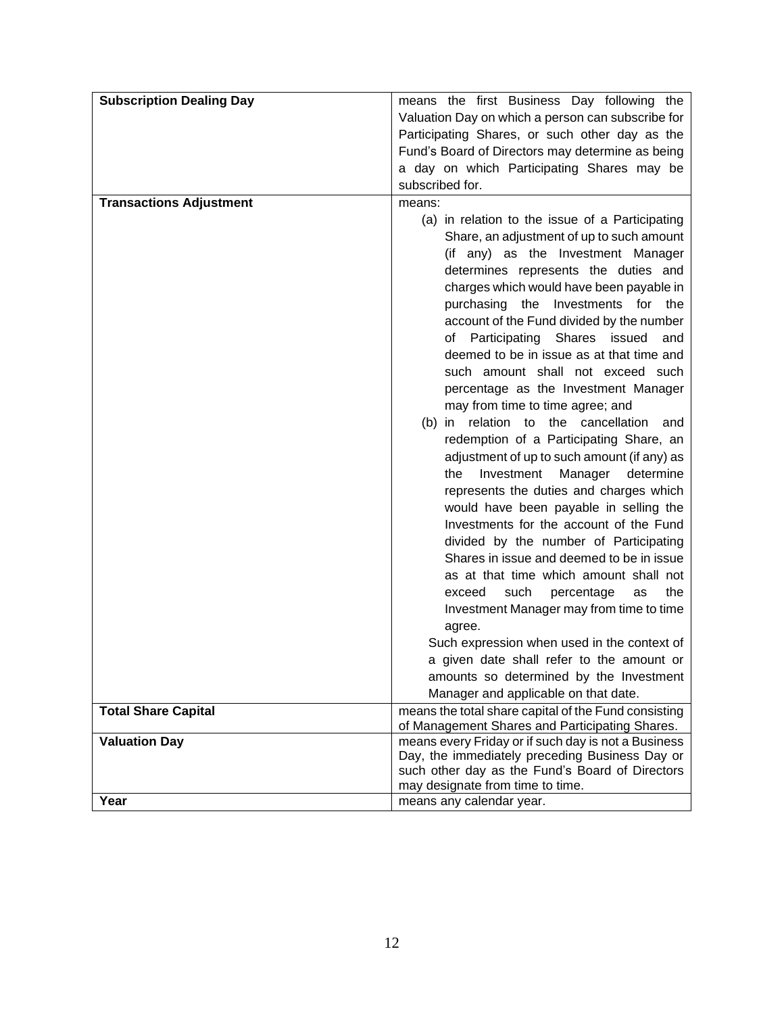| <b>Subscription Dealing Day</b> | means the first Business Day following the                                                                                                                                                                                                                         |
|---------------------------------|--------------------------------------------------------------------------------------------------------------------------------------------------------------------------------------------------------------------------------------------------------------------|
|                                 | Valuation Day on which a person can subscribe for                                                                                                                                                                                                                  |
|                                 | Participating Shares, or such other day as the                                                                                                                                                                                                                     |
|                                 | Fund's Board of Directors may determine as being                                                                                                                                                                                                                   |
|                                 | a day on which Participating Shares may be                                                                                                                                                                                                                         |
|                                 | subscribed for.                                                                                                                                                                                                                                                    |
| <b>Transactions Adjustment</b>  | means:                                                                                                                                                                                                                                                             |
|                                 | (a) in relation to the issue of a Participating<br>Share, an adjustment of up to such amount<br>(if any) as the Investment Manager<br>determines represents the duties and<br>charges which would have been payable in<br>Investments for the<br>purchasing<br>the |
|                                 | account of the Fund divided by the number<br>of Participating<br>Shares<br>issued<br>and<br>deemed to be in issue as at that time and<br>such amount shall not exceed such<br>percentage as the Investment Manager                                                 |
|                                 | may from time to time agree; and                                                                                                                                                                                                                                   |
|                                 | relation to the cancellation<br>(b) in<br>and                                                                                                                                                                                                                      |
|                                 | redemption of a Participating Share, an                                                                                                                                                                                                                            |
|                                 | adjustment of up to such amount (if any) as                                                                                                                                                                                                                        |
|                                 | Investment<br>the<br>Manager<br>determine                                                                                                                                                                                                                          |
|                                 | represents the duties and charges which                                                                                                                                                                                                                            |
|                                 | would have been payable in selling the                                                                                                                                                                                                                             |
|                                 | Investments for the account of the Fund                                                                                                                                                                                                                            |
|                                 | divided by the number of Participating                                                                                                                                                                                                                             |
|                                 | Shares in issue and deemed to be in issue                                                                                                                                                                                                                          |
|                                 | as at that time which amount shall not                                                                                                                                                                                                                             |
|                                 | such<br>percentage<br>exceed<br>as<br>the                                                                                                                                                                                                                          |
|                                 | Investment Manager may from time to time                                                                                                                                                                                                                           |
|                                 | agree.                                                                                                                                                                                                                                                             |
|                                 | Such expression when used in the context of                                                                                                                                                                                                                        |
|                                 | a given date shall refer to the amount or                                                                                                                                                                                                                          |
|                                 | amounts so determined by the Investment<br>Manager and applicable on that date.                                                                                                                                                                                    |
| <b>Total Share Capital</b>      | means the total share capital of the Fund consisting                                                                                                                                                                                                               |
|                                 | of Management Shares and Participating Shares.                                                                                                                                                                                                                     |
| <b>Valuation Day</b>            | means every Friday or if such day is not a Business                                                                                                                                                                                                                |
|                                 | Day, the immediately preceding Business Day or                                                                                                                                                                                                                     |
|                                 | such other day as the Fund's Board of Directors                                                                                                                                                                                                                    |
|                                 | may designate from time to time.                                                                                                                                                                                                                                   |
| Year                            | means any calendar year.                                                                                                                                                                                                                                           |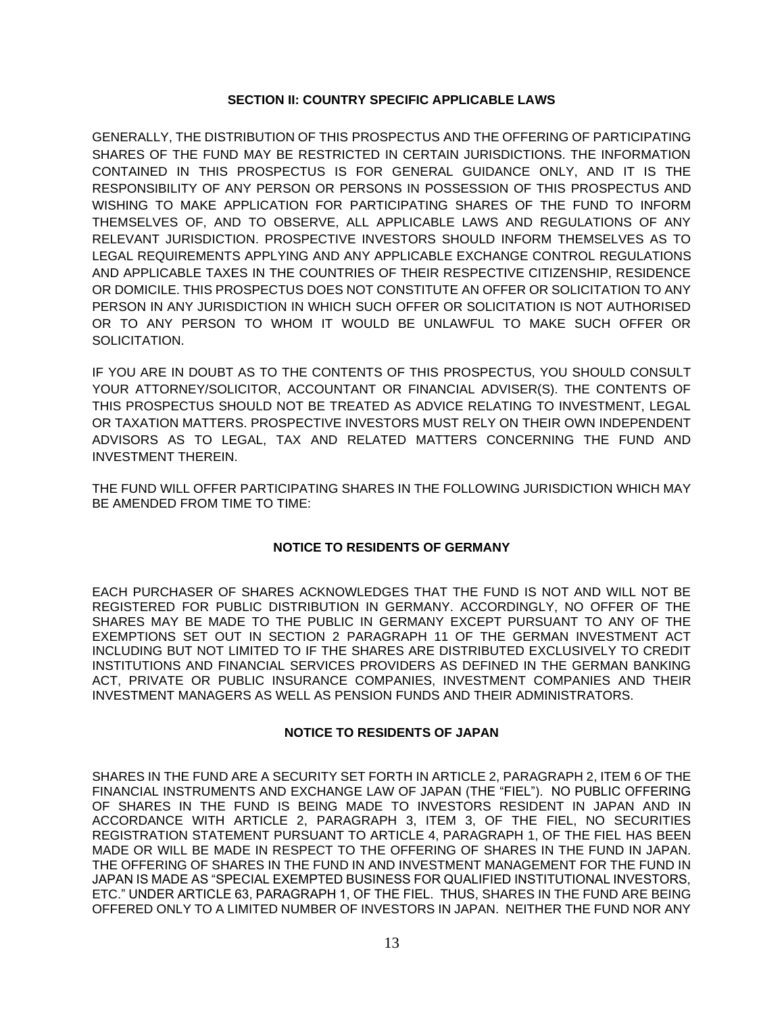### **SECTION II: COUNTRY SPECIFIC APPLICABLE LAWS**

<span id="page-12-0"></span>GENERALLY, THE DISTRIBUTION OF THIS PROSPECTUS AND THE OFFERING OF PARTICIPATING SHARES OF THE FUND MAY BE RESTRICTED IN CERTAIN JURISDICTIONS. THE INFORMATION CONTAINED IN THIS PROSPECTUS IS FOR GENERAL GUIDANCE ONLY, AND IT IS THE RESPONSIBILITY OF ANY PERSON OR PERSONS IN POSSESSION OF THIS PROSPECTUS AND WISHING TO MAKE APPLICATION FOR PARTICIPATING SHARES OF THE FUND TO INFORM THEMSELVES OF, AND TO OBSERVE, ALL APPLICABLE LAWS AND REGULATIONS OF ANY RELEVANT JURISDICTION. PROSPECTIVE INVESTORS SHOULD INFORM THEMSELVES AS TO LEGAL REQUIREMENTS APPLYING AND ANY APPLICABLE EXCHANGE CONTROL REGULATIONS AND APPLICABLE TAXES IN THE COUNTRIES OF THEIR RESPECTIVE CITIZENSHIP, RESIDENCE OR DOMICILE. THIS PROSPECTUS DOES NOT CONSTITUTE AN OFFER OR SOLICITATION TO ANY PERSON IN ANY JURISDICTION IN WHICH SUCH OFFER OR SOLICITATION IS NOT AUTHORISED OR TO ANY PERSON TO WHOM IT WOULD BE UNLAWFUL TO MAKE SUCH OFFER OR SOLICITATION.

IF YOU ARE IN DOUBT AS TO THE CONTENTS OF THIS PROSPECTUS, YOU SHOULD CONSULT YOUR ATTORNEY/SOLICITOR, ACCOUNTANT OR FINANCIAL ADVISER(S). THE CONTENTS OF THIS PROSPECTUS SHOULD NOT BE TREATED AS ADVICE RELATING TO INVESTMENT, LEGAL OR TAXATION MATTERS. PROSPECTIVE INVESTORS MUST RELY ON THEIR OWN INDEPENDENT ADVISORS AS TO LEGAL, TAX AND RELATED MATTERS CONCERNING THE FUND AND INVESTMENT THEREIN.

THE FUND WILL OFFER PARTICIPATING SHARES IN THE FOLLOWING JURISDICTION WHICH MAY BE AMENDED FROM TIME TO TIME:

### **NOTICE TO RESIDENTS OF GERMANY**

EACH PURCHASER OF SHARES ACKNOWLEDGES THAT THE FUND IS NOT AND WILL NOT BE REGISTERED FOR PUBLIC DISTRIBUTION IN GERMANY. ACCORDINGLY, NO OFFER OF THE SHARES MAY BE MADE TO THE PUBLIC IN GERMANY EXCEPT PURSUANT TO ANY OF THE EXEMPTIONS SET OUT IN SECTION 2 PARAGRAPH 11 OF THE GERMAN INVESTMENT ACT INCLUDING BUT NOT LIMITED TO IF THE SHARES ARE DISTRIBUTED EXCLUSIVELY TO CREDIT INSTITUTIONS AND FINANCIAL SERVICES PROVIDERS AS DEFINED IN THE GERMAN BANKING ACT, PRIVATE OR PUBLIC INSURANCE COMPANIES, INVESTMENT COMPANIES AND THEIR INVESTMENT MANAGERS AS WELL AS PENSION FUNDS AND THEIR ADMINISTRATORS.

### **NOTICE TO RESIDENTS OF JAPAN**

SHARES IN THE FUND ARE A SECURITY SET FORTH IN ARTICLE 2, PARAGRAPH 2, ITEM 6 OF THE FINANCIAL INSTRUMENTS AND EXCHANGE LAW OF JAPAN (THE "FIEL"). NO PUBLIC OFFERING OF SHARES IN THE FUND IS BEING MADE TO INVESTORS RESIDENT IN JAPAN AND IN ACCORDANCE WITH ARTICLE 2, PARAGRAPH 3, ITEM 3, OF THE FIEL, NO SECURITIES REGISTRATION STATEMENT PURSUANT TO ARTICLE 4, PARAGRAPH 1, OF THE FIEL HAS BEEN MADE OR WILL BE MADE IN RESPECT TO THE OFFERING OF SHARES IN THE FUND IN JAPAN. THE OFFERING OF SHARES IN THE FUND IN AND INVESTMENT MANAGEMENT FOR THE FUND IN JAPAN IS MADE AS "SPECIAL EXEMPTED BUSINESS FOR QUALIFIED INSTITUTIONAL INVESTORS, ETC." UNDER ARTICLE 63, PARAGRAPH 1, OF THE FIEL. THUS, SHARES IN THE FUND ARE BEING OFFERED ONLY TO A LIMITED NUMBER OF INVESTORS IN JAPAN. NEITHER THE FUND NOR ANY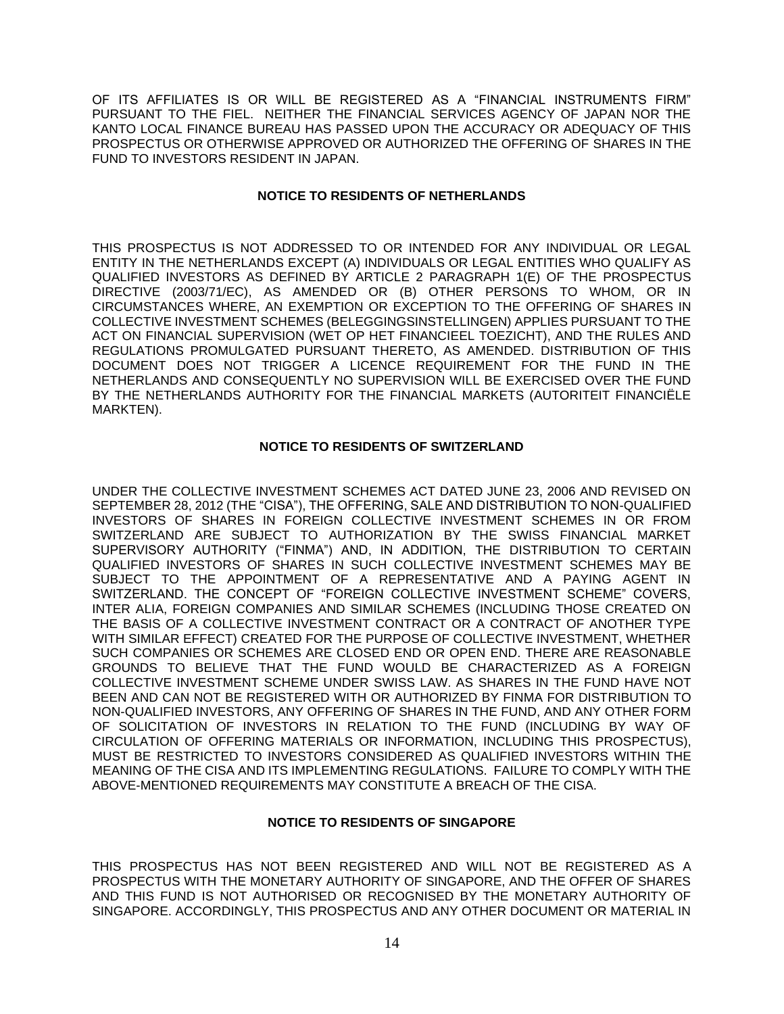OF ITS AFFILIATES IS OR WILL BE REGISTERED AS A "FINANCIAL INSTRUMENTS FIRM" PURSUANT TO THE FIEL. NEITHER THE FINANCIAL SERVICES AGENCY OF JAPAN NOR THE KANTO LOCAL FINANCE BUREAU HAS PASSED UPON THE ACCURACY OR ADEQUACY OF THIS PROSPECTUS OR OTHERWISE APPROVED OR AUTHORIZED THE OFFERING OF SHARES IN THE FUND TO INVESTORS RESIDENT IN JAPAN.

### **NOTICE TO RESIDENTS OF NETHERLANDS**

THIS PROSPECTUS IS NOT ADDRESSED TO OR INTENDED FOR ANY INDIVIDUAL OR LEGAL ENTITY IN THE NETHERLANDS EXCEPT (A) INDIVIDUALS OR LEGAL ENTITIES WHO QUALIFY AS QUALIFIED INVESTORS AS DEFINED BY ARTICLE 2 PARAGRAPH 1(E) OF THE PROSPECTUS DIRECTIVE (2003/71/EC), AS AMENDED OR (B) OTHER PERSONS TO WHOM, OR IN CIRCUMSTANCES WHERE, AN EXEMPTION OR EXCEPTION TO THE OFFERING OF SHARES IN COLLECTIVE INVESTMENT SCHEMES (BELEGGINGSINSTELLINGEN) APPLIES PURSUANT TO THE ACT ON FINANCIAL SUPERVISION (WET OP HET FINANCIEEL TOEZICHT), AND THE RULES AND REGULATIONS PROMULGATED PURSUANT THERETO, AS AMENDED. DISTRIBUTION OF THIS DOCUMENT DOES NOT TRIGGER A LICENCE REQUIREMENT FOR THE FUND IN THE NETHERLANDS AND CONSEQUENTLY NO SUPERVISION WILL BE EXERCISED OVER THE FUND BY THE NETHERLANDS AUTHORITY FOR THE FINANCIAL MARKETS (AUTORITEIT FINANCIËLE MARKTEN).

### **NOTICE TO RESIDENTS OF SWITZERLAND**

UNDER THE COLLECTIVE INVESTMENT SCHEMES ACT DATED JUNE 23, 2006 AND REVISED ON SEPTEMBER 28, 2012 (THE "CISA"), THE OFFERING, SALE AND DISTRIBUTION TO NON-QUALIFIED INVESTORS OF SHARES IN FOREIGN COLLECTIVE INVESTMENT SCHEMES IN OR FROM SWITZERLAND ARE SUBJECT TO AUTHORIZATION BY THE SWISS FINANCIAL MARKET SUPERVISORY AUTHORITY ("FINMA") AND, IN ADDITION, THE DISTRIBUTION TO CERTAIN QUALIFIED INVESTORS OF SHARES IN SUCH COLLECTIVE INVESTMENT SCHEMES MAY BE SUBJECT TO THE APPOINTMENT OF A REPRESENTATIVE AND A PAYING AGENT IN SWITZERLAND. THE CONCEPT OF "FOREIGN COLLECTIVE INVESTMENT SCHEME" COVERS, INTER ALIA, FOREIGN COMPANIES AND SIMILAR SCHEMES (INCLUDING THOSE CREATED ON THE BASIS OF A COLLECTIVE INVESTMENT CONTRACT OR A CONTRACT OF ANOTHER TYPE WITH SIMILAR EFFECT) CREATED FOR THE PURPOSE OF COLLECTIVE INVESTMENT, WHETHER SUCH COMPANIES OR SCHEMES ARE CLOSED END OR OPEN END. THERE ARE REASONABLE GROUNDS TO BELIEVE THAT THE FUND WOULD BE CHARACTERIZED AS A FOREIGN COLLECTIVE INVESTMENT SCHEME UNDER SWISS LAW. AS SHARES IN THE FUND HAVE NOT BEEN AND CAN NOT BE REGISTERED WITH OR AUTHORIZED BY FINMA FOR DISTRIBUTION TO NON-QUALIFIED INVESTORS, ANY OFFERING OF SHARES IN THE FUND, AND ANY OTHER FORM OF SOLICITATION OF INVESTORS IN RELATION TO THE FUND (INCLUDING BY WAY OF CIRCULATION OF OFFERING MATERIALS OR INFORMATION, INCLUDING THIS PROSPECTUS), MUST BE RESTRICTED TO INVESTORS CONSIDERED AS QUALIFIED INVESTORS WITHIN THE MEANING OF THE CISA AND ITS IMPLEMENTING REGULATIONS. FAILURE TO COMPLY WITH THE ABOVE-MENTIONED REQUIREMENTS MAY CONSTITUTE A BREACH OF THE CISA.

### **NOTICE TO RESIDENTS OF SINGAPORE**

THIS PROSPECTUS HAS NOT BEEN REGISTERED AND WILL NOT BE REGISTERED AS A PROSPECTUS WITH THE MONETARY AUTHORITY OF SINGAPORE, AND THE OFFER OF SHARES AND THIS FUND IS NOT AUTHORISED OR RECOGNISED BY THE MONETARY AUTHORITY OF SINGAPORE. ACCORDINGLY, THIS PROSPECTUS AND ANY OTHER DOCUMENT OR MATERIAL IN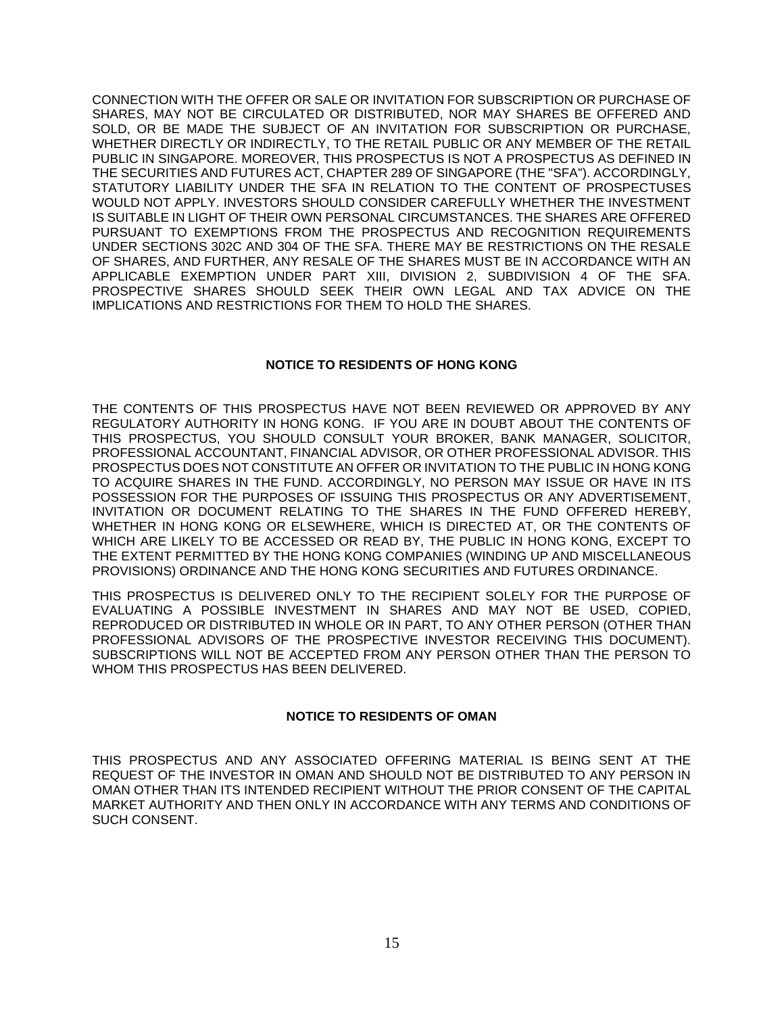CONNECTION WITH THE OFFER OR SALE OR INVITATION FOR SUBSCRIPTION OR PURCHASE OF SHARES, MAY NOT BE CIRCULATED OR DISTRIBUTED, NOR MAY SHARES BE OFFERED AND SOLD, OR BE MADE THE SUBJECT OF AN INVITATION FOR SUBSCRIPTION OR PURCHASE, WHETHER DIRECTLY OR INDIRECTLY, TO THE RETAIL PUBLIC OR ANY MEMBER OF THE RETAIL PUBLIC IN SINGAPORE. MOREOVER, THIS PROSPECTUS IS NOT A PROSPECTUS AS DEFINED IN THE SECURITIES AND FUTURES ACT, CHAPTER 289 OF SINGAPORE (THE "SFA"). ACCORDINGLY, STATUTORY LIABILITY UNDER THE SFA IN RELATION TO THE CONTENT OF PROSPECTUSES WOULD NOT APPLY. INVESTORS SHOULD CONSIDER CAREFULLY WHETHER THE INVESTMENT IS SUITABLE IN LIGHT OF THEIR OWN PERSONAL CIRCUMSTANCES. THE SHARES ARE OFFERED PURSUANT TO EXEMPTIONS FROM THE PROSPECTUS AND RECOGNITION REQUIREMENTS UNDER SECTIONS 302C AND 304 OF THE SFA. THERE MAY BE RESTRICTIONS ON THE RESALE OF SHARES, AND FURTHER, ANY RESALE OF THE SHARES MUST BE IN ACCORDANCE WITH AN APPLICABLE EXEMPTION UNDER PART XIII, DIVISION 2, SUBDIVISION 4 OF THE SFA. PROSPECTIVE SHARES SHOULD SEEK THEIR OWN LEGAL AND TAX ADVICE ON THE IMPLICATIONS AND RESTRICTIONS FOR THEM TO HOLD THE SHARES.

### **NOTICE TO RESIDENTS OF HONG KONG**

THE CONTENTS OF THIS PROSPECTUS HAVE NOT BEEN REVIEWED OR APPROVED BY ANY REGULATORY AUTHORITY IN HONG KONG. IF YOU ARE IN DOUBT ABOUT THE CONTENTS OF THIS PROSPECTUS, YOU SHOULD CONSULT YOUR BROKER, BANK MANAGER, SOLICITOR, PROFESSIONAL ACCOUNTANT, FINANCIAL ADVISOR, OR OTHER PROFESSIONAL ADVISOR. THIS PROSPECTUS DOES NOT CONSTITUTE AN OFFER OR INVITATION TO THE PUBLIC IN HONG KONG TO ACQUIRE SHARES IN THE FUND. ACCORDINGLY, NO PERSON MAY ISSUE OR HAVE IN ITS POSSESSION FOR THE PURPOSES OF ISSUING THIS PROSPECTUS OR ANY ADVERTISEMENT, INVITATION OR DOCUMENT RELATING TO THE SHARES IN THE FUND OFFERED HEREBY, WHETHER IN HONG KONG OR ELSEWHERE, WHICH IS DIRECTED AT, OR THE CONTENTS OF WHICH ARE LIKELY TO BE ACCESSED OR READ BY, THE PUBLIC IN HONG KONG, EXCEPT TO THE EXTENT PERMITTED BY THE HONG KONG COMPANIES (WINDING UP AND MISCELLANEOUS PROVISIONS) ORDINANCE AND THE HONG KONG SECURITIES AND FUTURES ORDINANCE.

THIS PROSPECTUS IS DELIVERED ONLY TO THE RECIPIENT SOLELY FOR THE PURPOSE OF EVALUATING A POSSIBLE INVESTMENT IN SHARES AND MAY NOT BE USED, COPIED, REPRODUCED OR DISTRIBUTED IN WHOLE OR IN PART, TO ANY OTHER PERSON (OTHER THAN PROFESSIONAL ADVISORS OF THE PROSPECTIVE INVESTOR RECEIVING THIS DOCUMENT). SUBSCRIPTIONS WILL NOT BE ACCEPTED FROM ANY PERSON OTHER THAN THE PERSON TO WHOM THIS PROSPECTUS HAS BEEN DELIVERED.

#### **NOTICE TO RESIDENTS OF OMAN**

THIS PROSPECTUS AND ANY ASSOCIATED OFFERING MATERIAL IS BEING SENT AT THE REQUEST OF THE INVESTOR IN OMAN AND SHOULD NOT BE DISTRIBUTED TO ANY PERSON IN OMAN OTHER THAN ITS INTENDED RECIPIENT WITHOUT THE PRIOR CONSENT OF THE CAPITAL MARKET AUTHORITY AND THEN ONLY IN ACCORDANCE WITH ANY TERMS AND CONDITIONS OF SUCH CONSENT.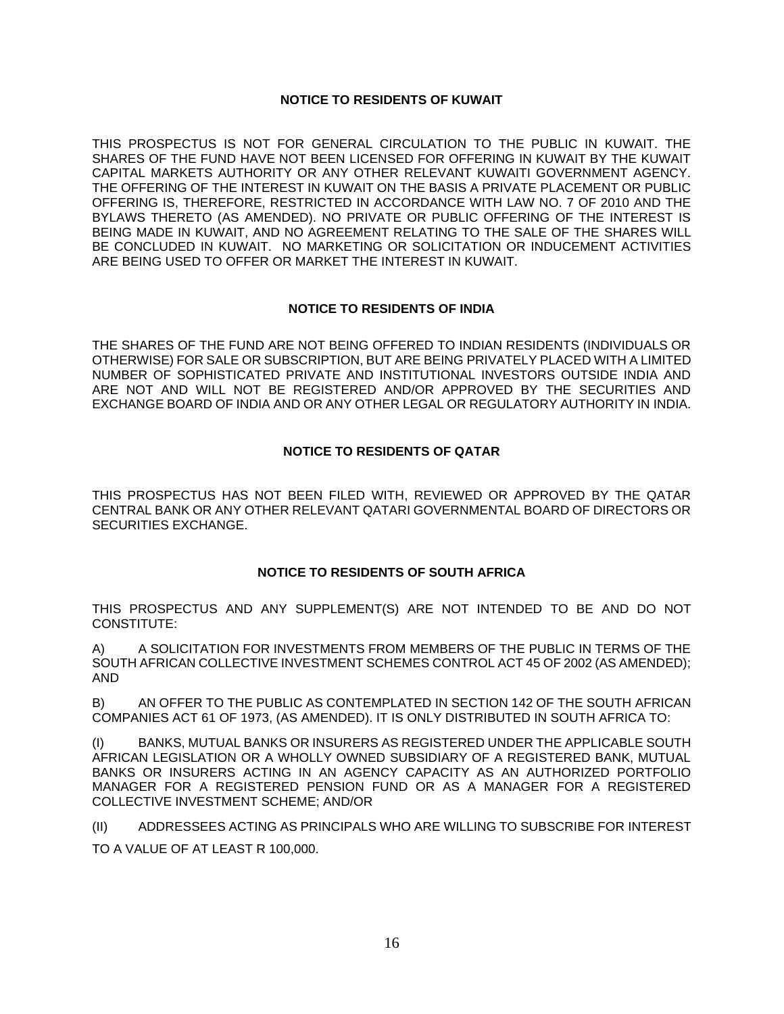### **NOTICE TO RESIDENTS OF KUWAIT**

THIS PROSPECTUS IS NOT FOR GENERAL CIRCULATION TO THE PUBLIC IN KUWAIT. THE SHARES OF THE FUND HAVE NOT BEEN LICENSED FOR OFFERING IN KUWAIT BY THE KUWAIT CAPITAL MARKETS AUTHORITY OR ANY OTHER RELEVANT KUWAITI GOVERNMENT AGENCY. THE OFFERING OF THE INTEREST IN KUWAIT ON THE BASIS A PRIVATE PLACEMENT OR PUBLIC OFFERING IS, THEREFORE, RESTRICTED IN ACCORDANCE WITH LAW NO. 7 OF 2010 AND THE BYLAWS THERETO (AS AMENDED). NO PRIVATE OR PUBLIC OFFERING OF THE INTEREST IS BEING MADE IN KUWAIT, AND NO AGREEMENT RELATING TO THE SALE OF THE SHARES WILL BE CONCLUDED IN KUWAIT. NO MARKETING OR SOLICITATION OR INDUCEMENT ACTIVITIES ARE BEING USED TO OFFER OR MARKET THE INTEREST IN KUWAIT.

### **NOTICE TO RESIDENTS OF INDIA**

THE SHARES OF THE FUND ARE NOT BEING OFFERED TO INDIAN RESIDENTS (INDIVIDUALS OR OTHERWISE) FOR SALE OR SUBSCRIPTION, BUT ARE BEING PRIVATELY PLACED WITH A LIMITED NUMBER OF SOPHISTICATED PRIVATE AND INSTITUTIONAL INVESTORS OUTSIDE INDIA AND ARE NOT AND WILL NOT BE REGISTERED AND/OR APPROVED BY THE SECURITIES AND EXCHANGE BOARD OF INDIA AND OR ANY OTHER LEGAL OR REGULATORY AUTHORITY IN INDIA.

### **NOTICE TO RESIDENTS OF QATAR**

THIS PROSPECTUS HAS NOT BEEN FILED WITH, REVIEWED OR APPROVED BY THE QATAR CENTRAL BANK OR ANY OTHER RELEVANT QATARI GOVERNMENTAL BOARD OF DIRECTORS OR SECURITIES EXCHANGE.

### **NOTICE TO RESIDENTS OF SOUTH AFRICA**

THIS PROSPECTUS AND ANY SUPPLEMENT(S) ARE NOT INTENDED TO BE AND DO NOT CONSTITUTE:

A) A SOLICITATION FOR INVESTMENTS FROM MEMBERS OF THE PUBLIC IN TERMS OF THE SOUTH AFRICAN COLLECTIVE INVESTMENT SCHEMES CONTROL ACT 45 OF 2002 (AS AMENDED); AND

B) AN OFFER TO THE PUBLIC AS CONTEMPLATED IN SECTION 142 OF THE SOUTH AFRICAN COMPANIES ACT 61 OF 1973, (AS AMENDED). IT IS ONLY DISTRIBUTED IN SOUTH AFRICA TO:

BANKS, MUTUAL BANKS OR INSURERS AS REGISTERED UNDER THE APPLICABLE SOUTH AFRICAN LEGISLATION OR A WHOLLY OWNED SUBSIDIARY OF A REGISTERED BANK, MUTUAL BANKS OR INSURERS ACTING IN AN AGENCY CAPACITY AS AN AUTHORIZED PORTFOLIO MANAGER FOR A REGISTERED PENSION FUND OR AS A MANAGER FOR A REGISTERED COLLECTIVE INVESTMENT SCHEME; AND/OR

(II) ADDRESSEES ACTING AS PRINCIPALS WHO ARE WILLING TO SUBSCRIBE FOR INTEREST TO A VALUE OF AT LEAST R 100,000.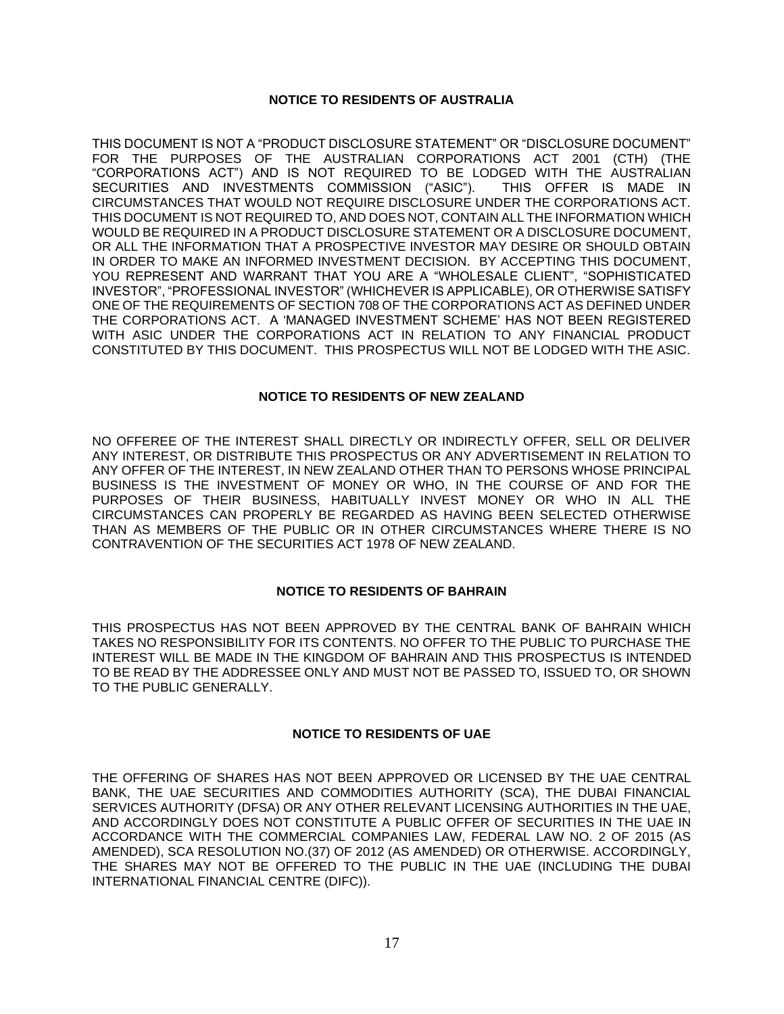### **NOTICE TO RESIDENTS OF AUSTRALIA**

THIS DOCUMENT IS NOT A "PRODUCT DISCLOSURE STATEMENT" OR "DISCLOSURE DOCUMENT" FOR THE PURPOSES OF THE AUSTRALIAN CORPORATIONS ACT 2001 (CTH) (THE "CORPORATIONS ACT") AND IS NOT REQUIRED TO BE LODGED WITH THE AUSTRALIAN SECURITIES AND INVESTMENTS COMMISSION ("ASIC"). THIS OFFER IS MADE IN CIRCUMSTANCES THAT WOULD NOT REQUIRE DISCLOSURE UNDER THE CORPORATIONS ACT. THIS DOCUMENT IS NOT REQUIRED TO, AND DOES NOT, CONTAIN ALL THE INFORMATION WHICH WOULD BE REQUIRED IN A PRODUCT DISCLOSURE STATEMENT OR A DISCLOSURE DOCUMENT, OR ALL THE INFORMATION THAT A PROSPECTIVE INVESTOR MAY DESIRE OR SHOULD OBTAIN IN ORDER TO MAKE AN INFORMED INVESTMENT DECISION. BY ACCEPTING THIS DOCUMENT, YOU REPRESENT AND WARRANT THAT YOU ARE A "WHOLESALE CLIENT", "SOPHISTICATED INVESTOR", "PROFESSIONAL INVESTOR" (WHICHEVER IS APPLICABLE), OR OTHERWISE SATISFY ONE OF THE REQUIREMENTS OF SECTION 708 OF THE CORPORATIONS ACT AS DEFINED UNDER THE CORPORATIONS ACT. A 'MANAGED INVESTMENT SCHEME' HAS NOT BEEN REGISTERED WITH ASIC UNDER THE CORPORATIONS ACT IN RELATION TO ANY FINANCIAL PRODUCT CONSTITUTED BY THIS DOCUMENT. THIS PROSPECTUS WILL NOT BE LODGED WITH THE ASIC.

### **NOTICE TO RESIDENTS OF NEW ZEALAND**

NO OFFEREE OF THE INTEREST SHALL DIRECTLY OR INDIRECTLY OFFER, SELL OR DELIVER ANY INTEREST, OR DISTRIBUTE THIS PROSPECTUS OR ANY ADVERTISEMENT IN RELATION TO ANY OFFER OF THE INTEREST, IN NEW ZEALAND OTHER THAN TO PERSONS WHOSE PRINCIPAL BUSINESS IS THE INVESTMENT OF MONEY OR WHO, IN THE COURSE OF AND FOR THE PURPOSES OF THEIR BUSINESS, HABITUALLY INVEST MONEY OR WHO IN ALL THE CIRCUMSTANCES CAN PROPERLY BE REGARDED AS HAVING BEEN SELECTED OTHERWISE THAN AS MEMBERS OF THE PUBLIC OR IN OTHER CIRCUMSTANCES WHERE THERE IS NO CONTRAVENTION OF THE SECURITIES ACT 1978 OF NEW ZEALAND.

#### **NOTICE TO RESIDENTS OF BAHRAIN**

THIS PROSPECTUS HAS NOT BEEN APPROVED BY THE CENTRAL BANK OF BAHRAIN WHICH TAKES NO RESPONSIBILITY FOR ITS CONTENTS. NO OFFER TO THE PUBLIC TO PURCHASE THE INTEREST WILL BE MADE IN THE KINGDOM OF BAHRAIN AND THIS PROSPECTUS IS INTENDED TO BE READ BY THE ADDRESSEE ONLY AND MUST NOT BE PASSED TO, ISSUED TO, OR SHOWN TO THE PUBLIC GENERALLY.

#### **NOTICE TO RESIDENTS OF UAE**

THE OFFERING OF SHARES HAS NOT BEEN APPROVED OR LICENSED BY THE UAE CENTRAL BANK, THE UAE SECURITIES AND COMMODITIES AUTHORITY (SCA), THE DUBAI FINANCIAL SERVICES AUTHORITY (DFSA) OR ANY OTHER RELEVANT LICENSING AUTHORITIES IN THE UAE, AND ACCORDINGLY DOES NOT CONSTITUTE A PUBLIC OFFER OF SECURITIES IN THE UAE IN ACCORDANCE WITH THE COMMERCIAL COMPANIES LAW, FEDERAL LAW NO. 2 OF 2015 (AS AMENDED), SCA RESOLUTION NO.(37) OF 2012 (AS AMENDED) OR OTHERWISE. ACCORDINGLY, THE SHARES MAY NOT BE OFFERED TO THE PUBLIC IN THE UAE (INCLUDING THE DUBAI INTERNATIONAL FINANCIAL CENTRE (DIFC)).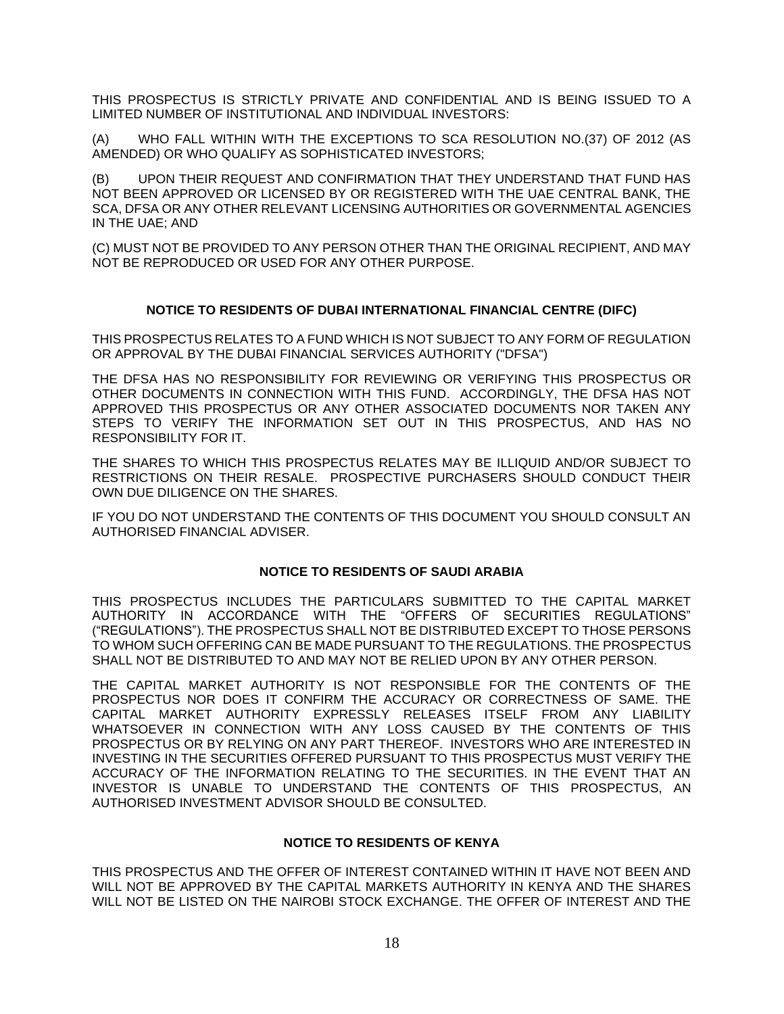THIS PROSPECTUS IS STRICTLY PRIVATE AND CONFIDENTIAL AND IS BEING ISSUED TO A LIMITED NUMBER OF INSTITUTIONAL AND INDIVIDUAL INVESTORS:

(A) WHO FALL WITHIN WITH THE EXCEPTIONS TO SCA RESOLUTION NO.(37) OF 2012 (AS AMENDED) OR WHO QUALIFY AS SOPHISTICATED INVESTORS;

UPON THEIR REQUEST AND CONFIRMATION THAT THEY UNDERSTAND THAT FUND HAS NOT BEEN APPROVED OR LICENSED BY OR REGISTERED WITH THE UAE CENTRAL BANK, THE SCA, DFSA OR ANY OTHER RELEVANT LICENSING AUTHORITIES OR GOVERNMENTAL AGENCIES IN THE UAE; AND

(C) MUST NOT BE PROVIDED TO ANY PERSON OTHER THAN THE ORIGINAL RECIPIENT, AND MAY NOT BE REPRODUCED OR USED FOR ANY OTHER PURPOSE.

# **NOTICE TO RESIDENTS OF DUBAI INTERNATIONAL FINANCIAL CENTRE (DIFC)**

THIS PROSPECTUS RELATES TO A FUND WHICH IS NOT SUBJECT TO ANY FORM OF REGULATION OR APPROVAL BY THE DUBAI FINANCIAL SERVICES AUTHORITY ("DFSA")

THE DFSA HAS NO RESPONSIBILITY FOR REVIEWING OR VERIFYING THIS PROSPECTUS OR OTHER DOCUMENTS IN CONNECTION WITH THIS FUND. ACCORDINGLY, THE DFSA HAS NOT APPROVED THIS PROSPECTUS OR ANY OTHER ASSOCIATED DOCUMENTS NOR TAKEN ANY STEPS TO VERIFY THE INFORMATION SET OUT IN THIS PROSPECTUS, AND HAS NO RESPONSIBILITY FOR IT.

THE SHARES TO WHICH THIS PROSPECTUS RELATES MAY BE ILLIQUID AND/OR SUBJECT TO RESTRICTIONS ON THEIR RESALE. PROSPECTIVE PURCHASERS SHOULD CONDUCT THEIR OWN DUE DILIGENCE ON THE SHARES.

IF YOU DO NOT UNDERSTAND THE CONTENTS OF THIS DOCUMENT YOU SHOULD CONSULT AN AUTHORISED FINANCIAL ADVISER.

#### **NOTICE TO RESIDENTS OF SAUDI ARABIA**

THIS PROSPECTUS INCLUDES THE PARTICULARS SUBMITTED TO THE CAPITAL MARKET AUTHORITY IN ACCORDANCE WITH THE "OFFERS OF SECURITIES REGULATIONS" ("REGULATIONS"). THE PROSPECTUS SHALL NOT BE DISTRIBUTED EXCEPT TO THOSE PERSONS TO WHOM SUCH OFFERING CAN BE MADE PURSUANT TO THE REGULATIONS. THE PROSPECTUS SHALL NOT BE DISTRIBUTED TO AND MAY NOT BE RELIED UPON BY ANY OTHER PERSON.

THE CAPITAL MARKET AUTHORITY IS NOT RESPONSIBLE FOR THE CONTENTS OF THE PROSPECTUS NOR DOES IT CONFIRM THE ACCURACY OR CORRECTNESS OF SAME. THE CAPITAL MARKET AUTHORITY EXPRESSLY RELEASES ITSELF FROM ANY LIABILITY WHATSOEVER IN CONNECTION WITH ANY LOSS CAUSED BY THE CONTENTS OF THIS PROSPECTUS OR BY RELYING ON ANY PART THEREOF. INVESTORS WHO ARE INTERESTED IN INVESTING IN THE SECURITIES OFFERED PURSUANT TO THIS PROSPECTUS MUST VERIFY THE ACCURACY OF THE INFORMATION RELATING TO THE SECURITIES. IN THE EVENT THAT AN INVESTOR IS UNABLE TO UNDERSTAND THE CONTENTS OF THIS PROSPECTUS, AN AUTHORISED INVESTMENT ADVISOR SHOULD BE CONSULTED.

### **NOTICE TO RESIDENTS OF KENYA**

THIS PROSPECTUS AND THE OFFER OF INTEREST CONTAINED WITHIN IT HAVE NOT BEEN AND WILL NOT BE APPROVED BY THE CAPITAL MARKETS AUTHORITY IN KENYA AND THE SHARES WILL NOT BE LISTED ON THE NAIROBI STOCK EXCHANGE. THE OFFER OF INTEREST AND THE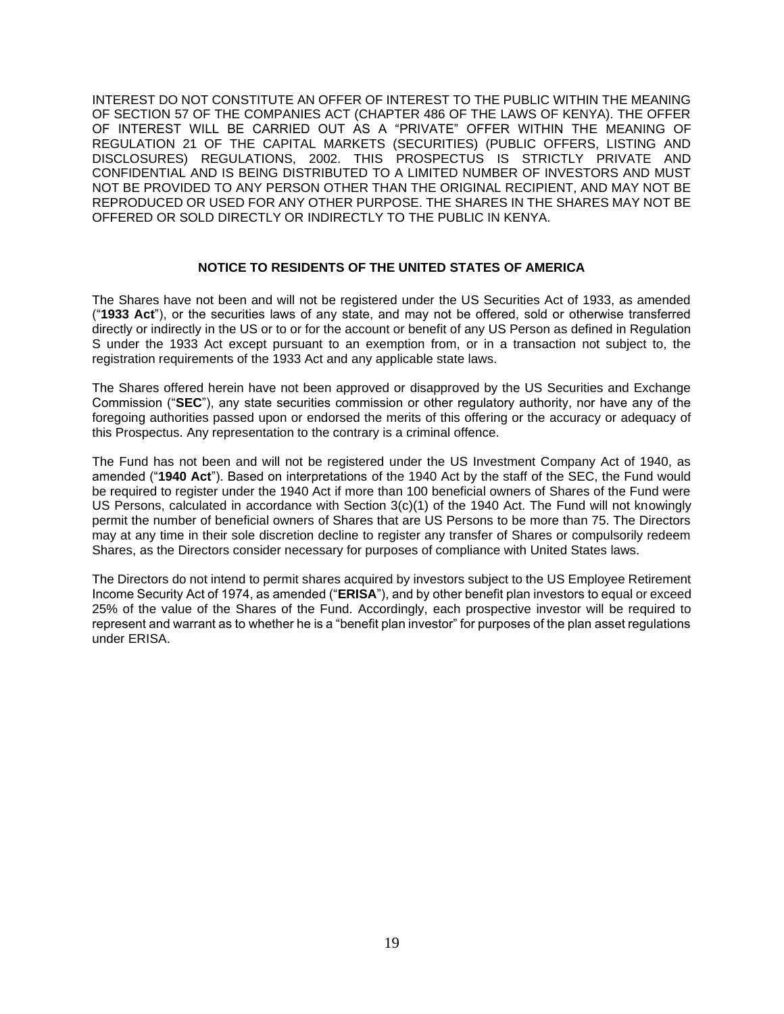INTEREST DO NOT CONSTITUTE AN OFFER OF INTEREST TO THE PUBLIC WITHIN THE MEANING OF SECTION 57 OF THE COMPANIES ACT (CHAPTER 486 OF THE LAWS OF KENYA). THE OFFER OF INTEREST WILL BE CARRIED OUT AS A "PRIVATE" OFFER WITHIN THE MEANING OF REGULATION 21 OF THE CAPITAL MARKETS (SECURITIES) (PUBLIC OFFERS, LISTING AND DISCLOSURES) REGULATIONS, 2002. THIS PROSPECTUS IS STRICTLY PRIVATE AND CONFIDENTIAL AND IS BEING DISTRIBUTED TO A LIMITED NUMBER OF INVESTORS AND MUST NOT BE PROVIDED TO ANY PERSON OTHER THAN THE ORIGINAL RECIPIENT, AND MAY NOT BE REPRODUCED OR USED FOR ANY OTHER PURPOSE. THE SHARES IN THE SHARES MAY NOT BE OFFERED OR SOLD DIRECTLY OR INDIRECTLY TO THE PUBLIC IN KENYA.

### **NOTICE TO RESIDENTS OF THE UNITED STATES OF AMERICA**

The Shares have not been and will not be registered under the US Securities Act of 1933, as amended ("**1933 Act**"), or the securities laws of any state, and may not be offered, sold or otherwise transferred directly or indirectly in the US or to or for the account or benefit of any US Person as defined in Regulation S under the 1933 Act except pursuant to an exemption from, or in a transaction not subject to, the registration requirements of the 1933 Act and any applicable state laws.

The Shares offered herein have not been approved or disapproved by the US Securities and Exchange Commission ("**SEC**"), any state securities commission or other regulatory authority, nor have any of the foregoing authorities passed upon or endorsed the merits of this offering or the accuracy or adequacy of this Prospectus. Any representation to the contrary is a criminal offence.

The Fund has not been and will not be registered under the US Investment Company Act of 1940, as amended ("**1940 Act**"). Based on interpretations of the 1940 Act by the staff of the SEC, the Fund would be required to register under the 1940 Act if more than 100 beneficial owners of Shares of the Fund were US Persons, calculated in accordance with Section 3(c)(1) of the 1940 Act. The Fund will not knowingly permit the number of beneficial owners of Shares that are US Persons to be more than 75. The Directors may at any time in their sole discretion decline to register any transfer of Shares or compulsorily redeem Shares, as the Directors consider necessary for purposes of compliance with United States laws.

The Directors do not intend to permit shares acquired by investors subject to the US Employee Retirement Income Security Act of 1974, as amended ("**ERISA**"), and by other benefit plan investors to equal or exceed 25% of the value of the Shares of the Fund. Accordingly, each prospective investor will be required to represent and warrant as to whether he is a "benefit plan investor" for purposes of the plan asset regulations under ERISA.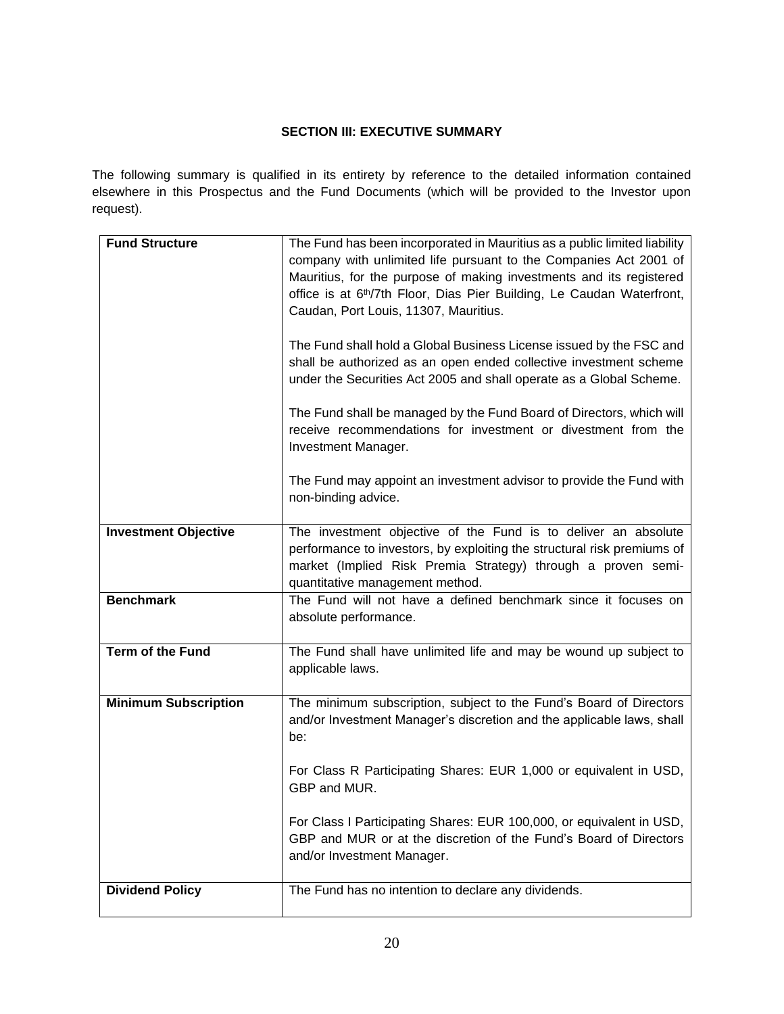# **SECTION III: EXECUTIVE SUMMARY**

The following summary is qualified in its entirety by reference to the detailed information contained elsewhere in this Prospectus and the Fund Documents (which will be provided to the Investor upon request).

| <b>Fund Structure</b>       | The Fund has been incorporated in Mauritius as a public limited liability<br>company with unlimited life pursuant to the Companies Act 2001 of                                                                                               |
|-----------------------------|----------------------------------------------------------------------------------------------------------------------------------------------------------------------------------------------------------------------------------------------|
|                             | Mauritius, for the purpose of making investments and its registered<br>office is at 6 <sup>th</sup> /7th Floor, Dias Pier Building, Le Caudan Waterfront,<br>Caudan, Port Louis, 11307, Mauritius.                                           |
|                             | The Fund shall hold a Global Business License issued by the FSC and<br>shall be authorized as an open ended collective investment scheme<br>under the Securities Act 2005 and shall operate as a Global Scheme.                              |
|                             | The Fund shall be managed by the Fund Board of Directors, which will<br>receive recommendations for investment or divestment from the<br>Investment Manager.                                                                                 |
|                             | The Fund may appoint an investment advisor to provide the Fund with<br>non-binding advice.                                                                                                                                                   |
| <b>Investment Objective</b> | The investment objective of the Fund is to deliver an absolute<br>performance to investors, by exploiting the structural risk premiums of<br>market (Implied Risk Premia Strategy) through a proven semi-<br>quantitative management method. |
| <b>Benchmark</b>            | The Fund will not have a defined benchmark since it focuses on<br>absolute performance.                                                                                                                                                      |
| <b>Term of the Fund</b>     | The Fund shall have unlimited life and may be wound up subject to<br>applicable laws.                                                                                                                                                        |
| <b>Minimum Subscription</b> | The minimum subscription, subject to the Fund's Board of Directors<br>and/or Investment Manager's discretion and the applicable laws, shall<br>be:                                                                                           |
|                             | For Class R Participating Shares: EUR 1,000 or equivalent in USD,<br>GBP and MUR.                                                                                                                                                            |
|                             | For Class I Participating Shares: EUR 100,000, or equivalent in USD,<br>GBP and MUR or at the discretion of the Fund's Board of Directors<br>and/or Investment Manager.                                                                      |
| <b>Dividend Policy</b>      | The Fund has no intention to declare any dividends.                                                                                                                                                                                          |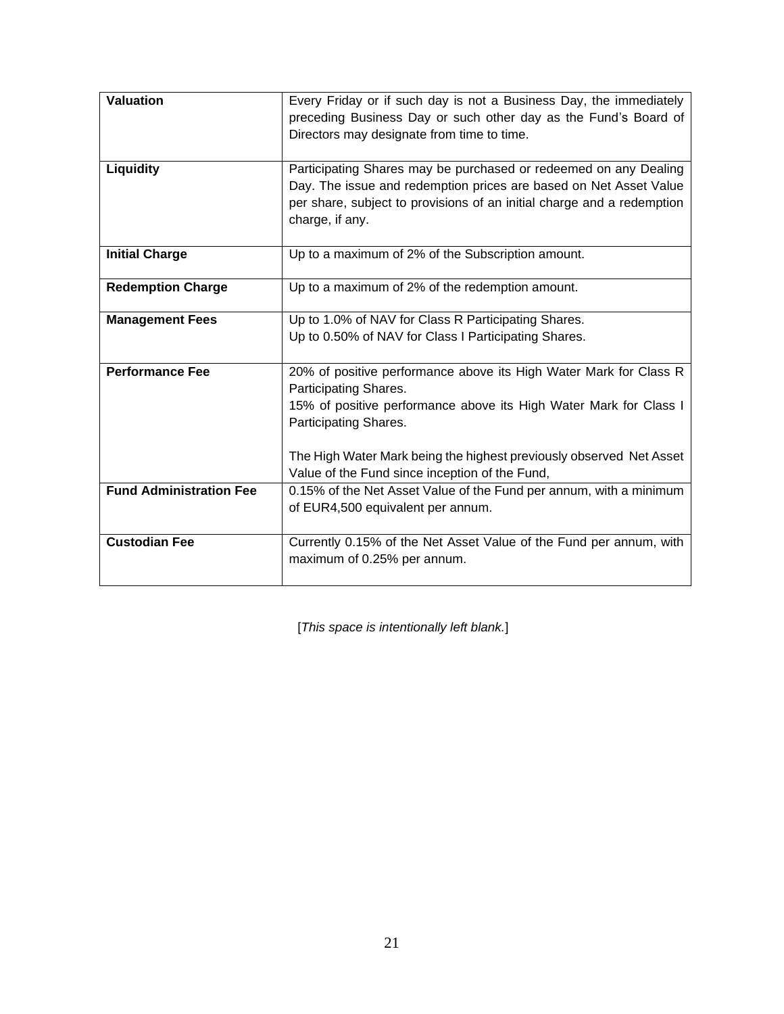| <b>Valuation</b>               | Every Friday or if such day is not a Business Day, the immediately<br>preceding Business Day or such other day as the Fund's Board of<br>Directors may designate from time to time.                                                                                                                               |
|--------------------------------|-------------------------------------------------------------------------------------------------------------------------------------------------------------------------------------------------------------------------------------------------------------------------------------------------------------------|
| <b>Liquidity</b>               | Participating Shares may be purchased or redeemed on any Dealing<br>Day. The issue and redemption prices are based on Net Asset Value<br>per share, subject to provisions of an initial charge and a redemption<br>charge, if any.                                                                                |
| <b>Initial Charge</b>          | Up to a maximum of 2% of the Subscription amount.                                                                                                                                                                                                                                                                 |
| <b>Redemption Charge</b>       | Up to a maximum of 2% of the redemption amount.                                                                                                                                                                                                                                                                   |
| <b>Management Fees</b>         | Up to 1.0% of NAV for Class R Participating Shares.<br>Up to 0.50% of NAV for Class I Participating Shares.                                                                                                                                                                                                       |
| <b>Performance Fee</b>         | 20% of positive performance above its High Water Mark for Class R<br>Participating Shares.<br>15% of positive performance above its High Water Mark for Class I<br>Participating Shares.<br>The High Water Mark being the highest previously observed Net Asset<br>Value of the Fund since inception of the Fund, |
| <b>Fund Administration Fee</b> | 0.15% of the Net Asset Value of the Fund per annum, with a minimum<br>of EUR4,500 equivalent per annum.                                                                                                                                                                                                           |
| <b>Custodian Fee</b>           | Currently 0.15% of the Net Asset Value of the Fund per annum, with<br>maximum of 0.25% per annum.                                                                                                                                                                                                                 |

[*This space is intentionally left blank.*]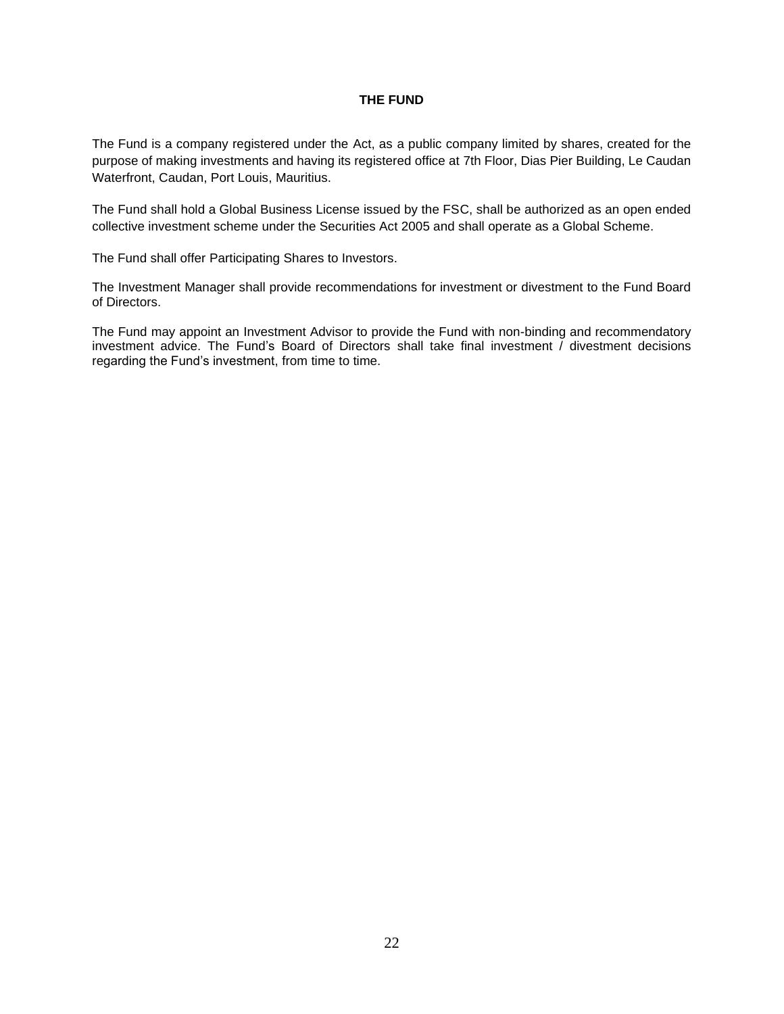### **THE FUND**

The Fund is a company registered under the Act, as a public company limited by shares, created for the purpose of making investments and having its registered office at 7th Floor, Dias Pier Building, Le Caudan Waterfront, Caudan, Port Louis, Mauritius.

The Fund shall hold a Global Business License issued by the FSC, shall be authorized as an open ended collective investment scheme under the Securities Act 2005 and shall operate as a Global Scheme.

The Fund shall offer Participating Shares to Investors.

The Investment Manager shall provide recommendations for investment or divestment to the Fund Board of Directors.

The Fund may appoint an Investment Advisor to provide the Fund with non-binding and recommendatory investment advice. The Fund's Board of Directors shall take final investment / divestment decisions regarding the Fund's investment, from time to time.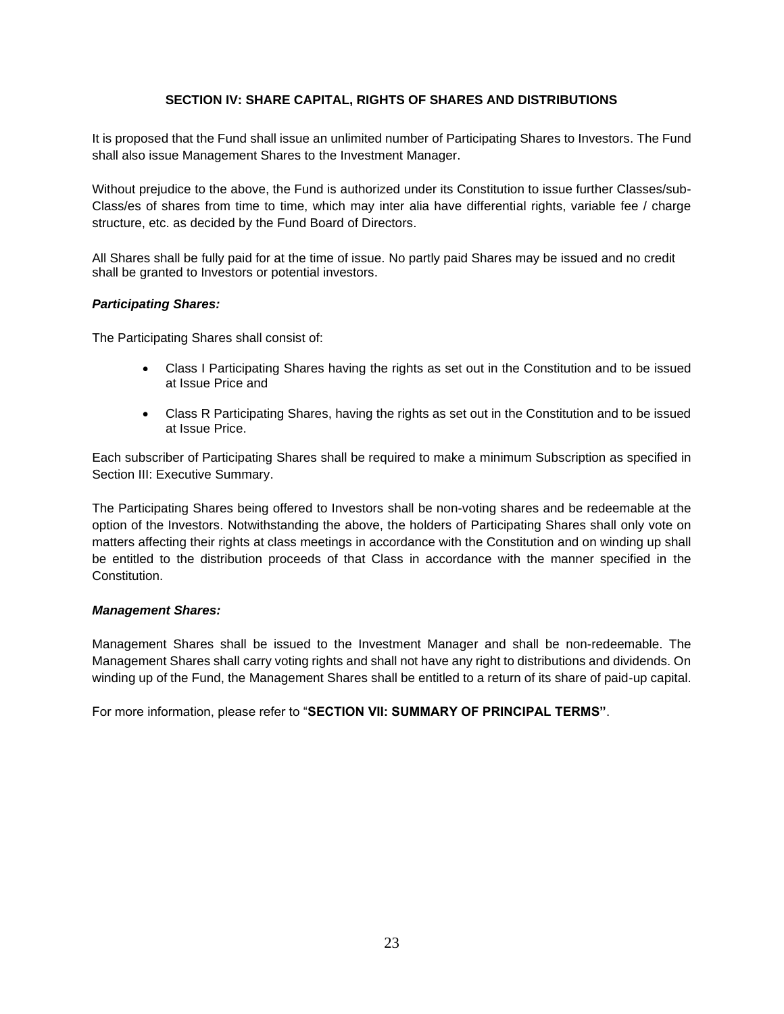### **SECTION IV: SHARE CAPITAL, RIGHTS OF SHARES AND DISTRIBUTIONS**

<span id="page-22-0"></span>It is proposed that the Fund shall issue an unlimited number of Participating Shares to Investors. The Fund shall also issue Management Shares to the Investment Manager.

Without prejudice to the above, the Fund is authorized under its Constitution to issue further Classes/sub-Class/es of shares from time to time, which may inter alia have differential rights, variable fee / charge structure, etc. as decided by the Fund Board of Directors.

All Shares shall be fully paid for at the time of issue. No partly paid Shares may be issued and no credit shall be granted to Investors or potential investors.

#### *Participating Shares:*

The Participating Shares shall consist of:

- Class I Participating Shares having the rights as set out in the Constitution and to be issued at Issue Price and
- Class R Participating Shares, having the rights as set out in the Constitution and to be issued at Issue Price.

Each subscriber of Participating Shares shall be required to make a minimum Subscription as specified in Section III: Executive Summary.

The Participating Shares being offered to Investors shall be non-voting shares and be redeemable at the option of the Investors. Notwithstanding the above, the holders of Participating Shares shall only vote on matters affecting their rights at class meetings in accordance with the Constitution and on winding up shall be entitled to the distribution proceeds of that Class in accordance with the manner specified in the Constitution.

#### *Management Shares:*

Management Shares shall be issued to the Investment Manager and shall be non-redeemable. The Management Shares shall carry voting rights and shall not have any right to distributions and dividends. On winding up of the Fund, the Management Shares shall be entitled to a return of its share of paid-up capital.

For more information, please refer to "**SECTION VII: SUMMARY OF PRINCIPAL TERMS"**.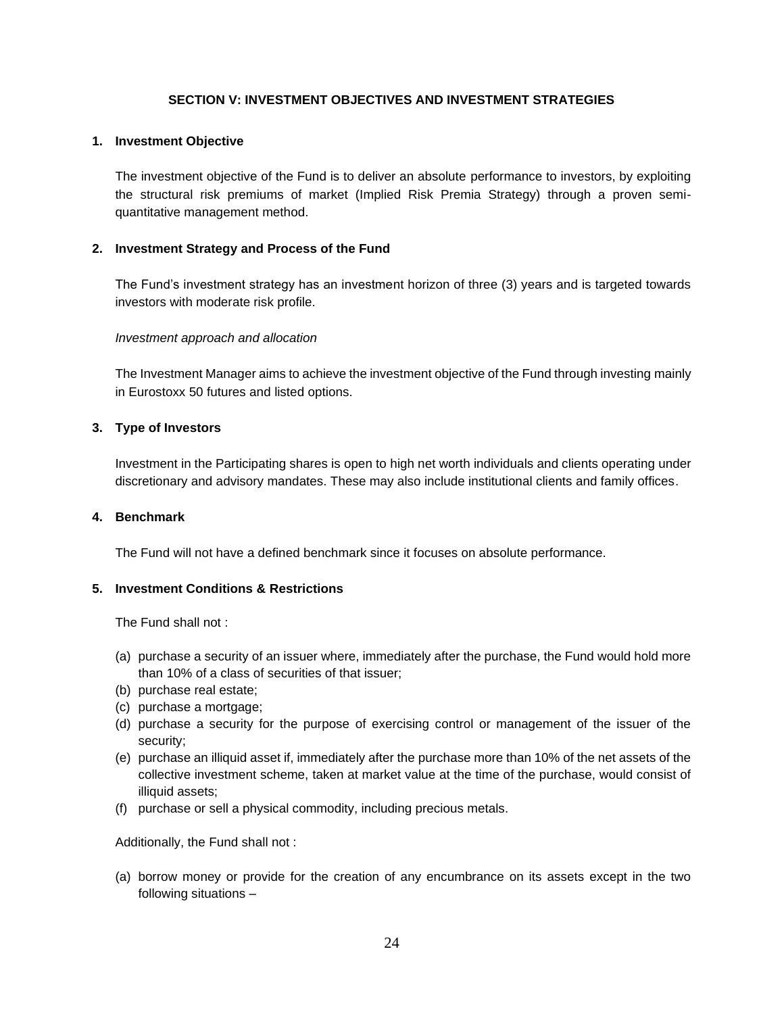### **SECTION V: INVESTMENT OBJECTIVES AND INVESTMENT STRATEGIES**

#### <span id="page-23-0"></span>**1. Investment Objective**

The investment objective of the Fund is to deliver an absolute performance to investors, by exploiting the structural risk premiums of market (Implied Risk Premia Strategy) through a proven semiquantitative management method.

### **2. Investment Strategy and Process of the Fund**

The Fund's investment strategy has an investment horizon of three (3) years and is targeted towards investors with moderate risk profile.

#### *Investment approach and allocation*

The Investment Manager aims to achieve the investment objective of the Fund through investing mainly in Eurostoxx 50 futures and listed options.

### **3. Type of Investors**

Investment in the Participating shares is open to high net worth individuals and clients operating under discretionary and advisory mandates. These may also include institutional clients and family offices.

#### **4. Benchmark**

The Fund will not have a defined benchmark since it focuses on absolute performance.

#### **5. Investment Conditions & Restrictions**

The Fund shall not :

- (a) purchase a security of an issuer where, immediately after the purchase, the Fund would hold more than 10% of a class of securities of that issuer;
- (b) purchase real estate;
- (c) purchase a mortgage;
- (d) purchase a security for the purpose of exercising control or management of the issuer of the security;
- (e) purchase an illiquid asset if, immediately after the purchase more than 10% of the net assets of the collective investment scheme, taken at market value at the time of the purchase, would consist of illiquid assets;
- (f) purchase or sell a physical commodity, including precious metals.

Additionally, the Fund shall not :

(a) borrow money or provide for the creation of any encumbrance on its assets except in the two following situations –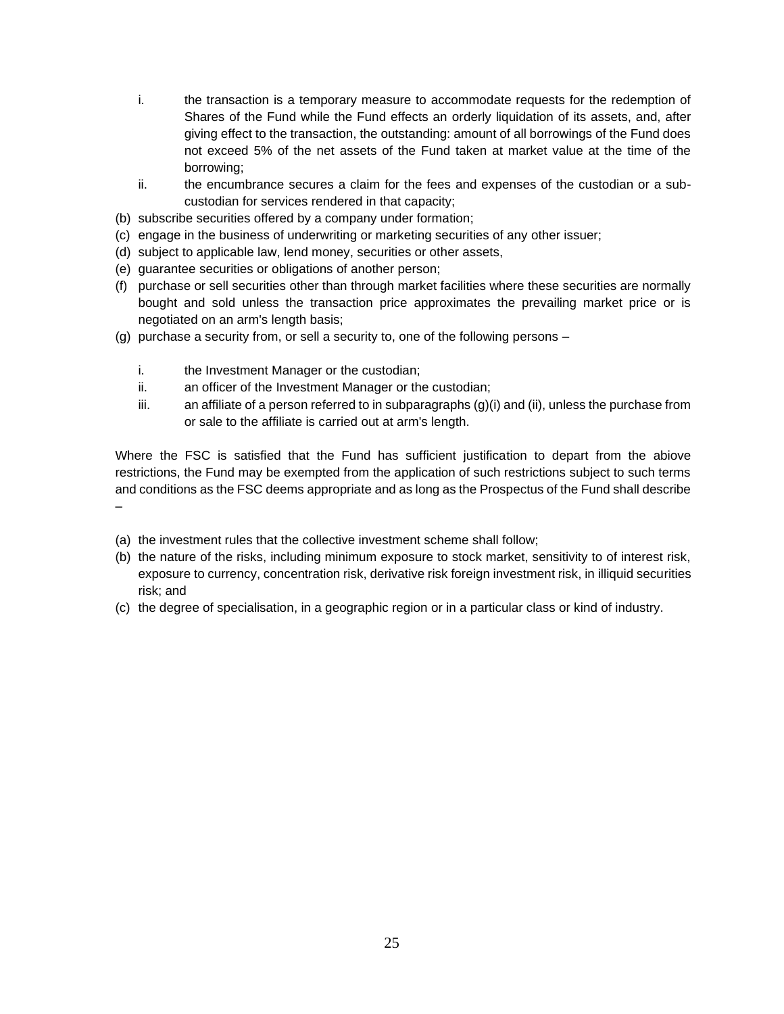- i. the transaction is a temporary measure to accommodate requests for the redemption of Shares of the Fund while the Fund effects an orderly liquidation of its assets, and, after giving effect to the transaction, the outstanding: amount of all borrowings of the Fund does not exceed 5% of the net assets of the Fund taken at market value at the time of the borrowing;
- ii. the encumbrance secures a claim for the fees and expenses of the custodian or a subcustodian for services rendered in that capacity;
- (b) subscribe securities offered by a company under formation;
- (c) engage in the business of underwriting or marketing securities of any other issuer;
- (d) subject to applicable law, lend money, securities or other assets,
- (e) guarantee securities or obligations of another person;
- (f) purchase or sell securities other than through market facilities where these securities are normally bought and sold unless the transaction price approximates the prevailing market price or is negotiated on an arm's length basis;
- (g) purchase a security from, or sell a security to, one of the following persons
	- i. the Investment Manager or the custodian;
	- ii. an officer of the Investment Manager or the custodian;
	- iii. an affiliate of a person referred to in subparagraphs  $(q)(i)$  and (ii), unless the purchase from or sale to the affiliate is carried out at arm's length.

Where the FSC is satisfied that the Fund has sufficient justification to depart from the abiove restrictions, the Fund may be exempted from the application of such restrictions subject to such terms and conditions as the FSC deems appropriate and as long as the Prospectus of the Fund shall describe –

- (a) the investment rules that the collective investment scheme shall follow;
- (b) the nature of the risks, including minimum exposure to stock market, sensitivity to of interest risk, exposure to currency, concentration risk, derivative risk foreign investment risk, in illiquid securities risk; and
- (c) the degree of specialisation, in a geographic region or in a particular class or kind of industry.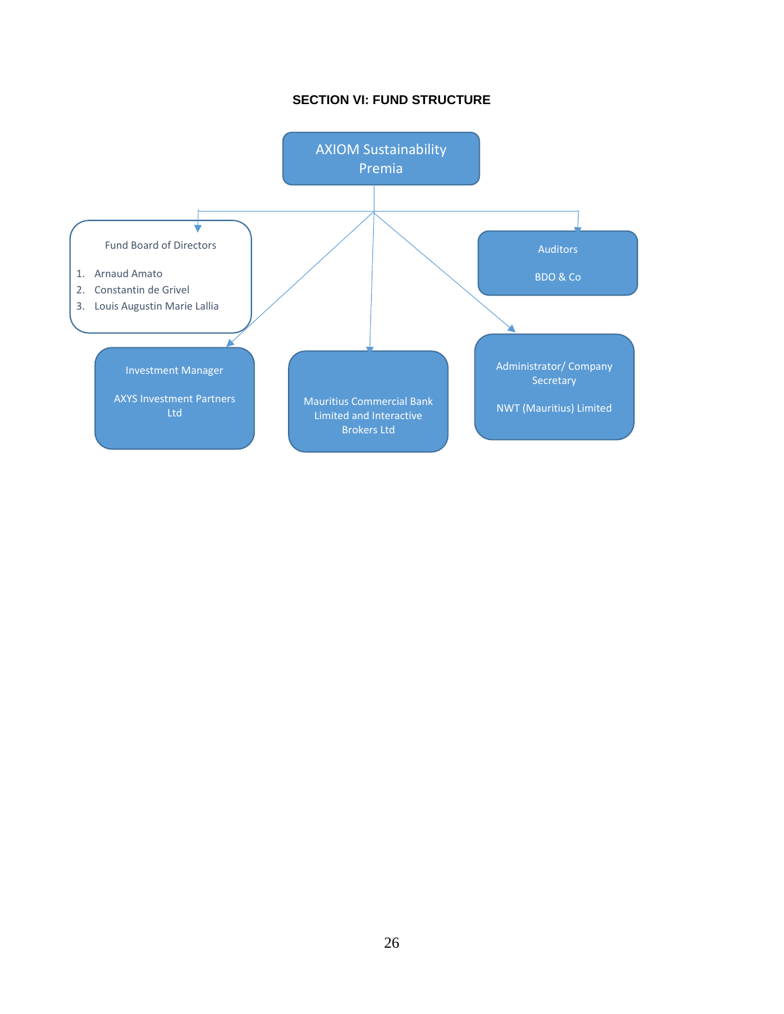# **SECTION VI: FUND STRUCTURE**

<span id="page-25-0"></span>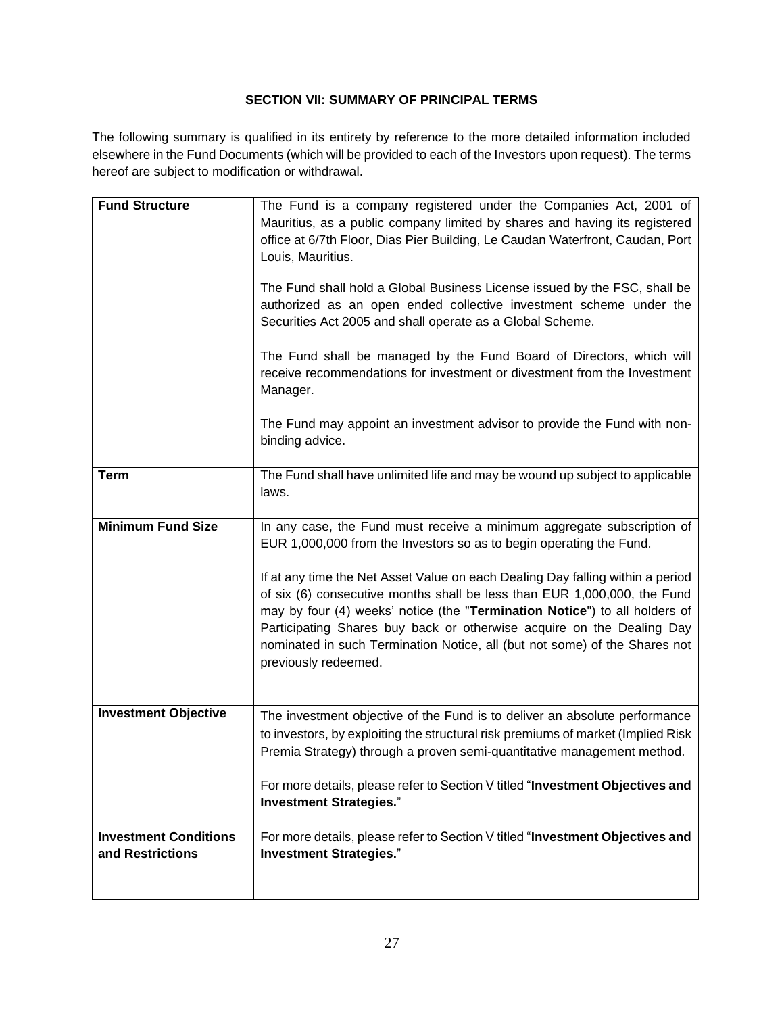# **SECTION VII: SUMMARY OF PRINCIPAL TERMS**

<span id="page-26-0"></span>The following summary is qualified in its entirety by reference to the more detailed information included elsewhere in the Fund Documents (which will be provided to each of the Investors upon request). The terms hereof are subject to modification or withdrawal.

| <b>Fund Structure</b>                            | The Fund is a company registered under the Companies Act, 2001 of<br>Mauritius, as a public company limited by shares and having its registered<br>office at 6/7th Floor, Dias Pier Building, Le Caudan Waterfront, Caudan, Port<br>Louis, Mauritius.<br>The Fund shall hold a Global Business License issued by the FSC, shall be<br>authorized as an open ended collective investment scheme under the<br>Securities Act 2005 and shall operate as a Global Scheme.<br>The Fund shall be managed by the Fund Board of Directors, which will<br>receive recommendations for investment or divestment from the Investment<br>Manager.<br>The Fund may appoint an investment advisor to provide the Fund with non-<br>binding advice. |
|--------------------------------------------------|--------------------------------------------------------------------------------------------------------------------------------------------------------------------------------------------------------------------------------------------------------------------------------------------------------------------------------------------------------------------------------------------------------------------------------------------------------------------------------------------------------------------------------------------------------------------------------------------------------------------------------------------------------------------------------------------------------------------------------------|
| <b>Term</b>                                      | The Fund shall have unlimited life and may be wound up subject to applicable<br>laws.                                                                                                                                                                                                                                                                                                                                                                                                                                                                                                                                                                                                                                                |
|                                                  |                                                                                                                                                                                                                                                                                                                                                                                                                                                                                                                                                                                                                                                                                                                                      |
| <b>Minimum Fund Size</b>                         | In any case, the Fund must receive a minimum aggregate subscription of<br>EUR 1,000,000 from the Investors so as to begin operating the Fund.<br>If at any time the Net Asset Value on each Dealing Day falling within a period<br>of six (6) consecutive months shall be less than EUR 1,000,000, the Fund<br>may by four (4) weeks' notice (the "Termination Notice") to all holders of<br>Participating Shares buy back or otherwise acquire on the Dealing Day<br>nominated in such Termination Notice, all (but not some) of the Shares not<br>previously redeemed.                                                                                                                                                             |
| <b>Investment Objective</b>                      | The investment objective of the Fund is to deliver an absolute performance<br>to investors, by exploiting the structural risk premiums of market (Implied Risk<br>Premia Strategy) through a proven semi-quantitative management method.<br>For more details, please refer to Section V titled "Investment Objectives and<br><b>Investment Strategies."</b>                                                                                                                                                                                                                                                                                                                                                                          |
| <b>Investment Conditions</b><br>and Restrictions | For more details, please refer to Section V titled "Investment Objectives and<br><b>Investment Strategies."</b>                                                                                                                                                                                                                                                                                                                                                                                                                                                                                                                                                                                                                      |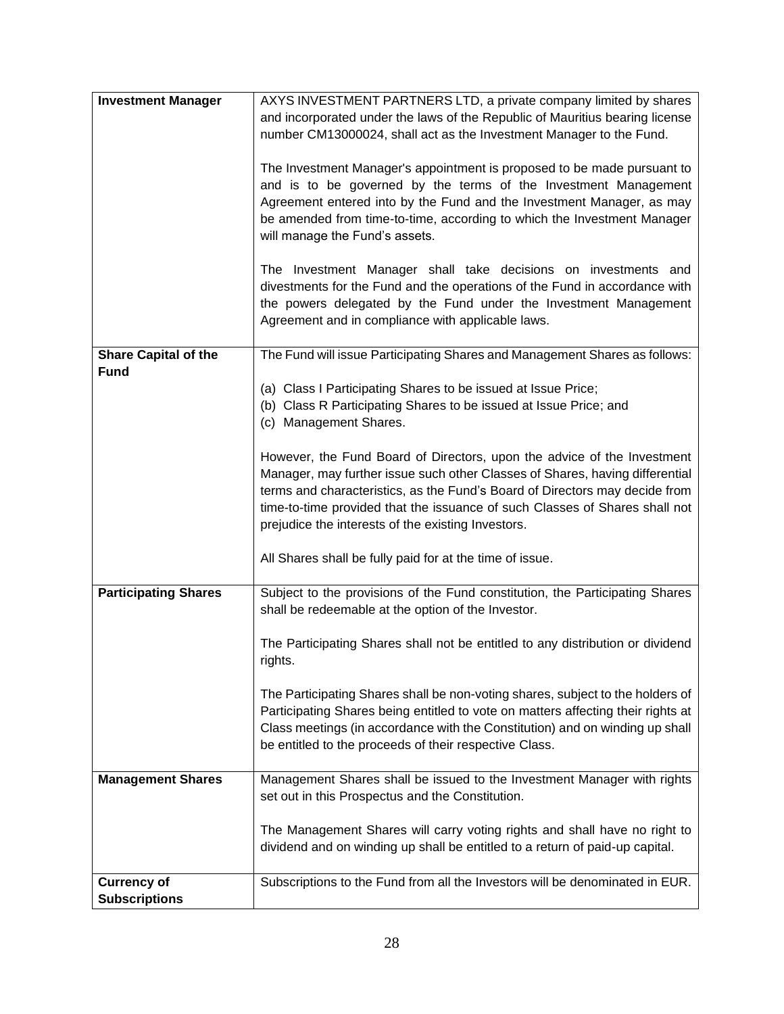| <b>Investment Manager</b>   | AXYS INVESTMENT PARTNERS LTD, a private company limited by shares                                                                                          |
|-----------------------------|------------------------------------------------------------------------------------------------------------------------------------------------------------|
|                             | and incorporated under the laws of the Republic of Mauritius bearing license                                                                               |
|                             | number CM13000024, shall act as the Investment Manager to the Fund.                                                                                        |
|                             | The Investment Manager's appointment is proposed to be made pursuant to                                                                                    |
|                             | and is to be governed by the terms of the Investment Management                                                                                            |
|                             | Agreement entered into by the Fund and the Investment Manager, as may                                                                                      |
|                             | be amended from time-to-time, according to which the Investment Manager                                                                                    |
|                             | will manage the Fund's assets.                                                                                                                             |
|                             | The Investment Manager shall take decisions on investments and                                                                                             |
|                             | divestments for the Fund and the operations of the Fund in accordance with                                                                                 |
|                             | the powers delegated by the Fund under the Investment Management                                                                                           |
|                             | Agreement and in compliance with applicable laws.                                                                                                          |
| <b>Share Capital of the</b> | The Fund will issue Participating Shares and Management Shares as follows:                                                                                 |
| <b>Fund</b>                 |                                                                                                                                                            |
|                             | (a) Class I Participating Shares to be issued at Issue Price;<br>(b) Class R Participating Shares to be issued at Issue Price; and                         |
|                             | (c) Management Shares.                                                                                                                                     |
|                             |                                                                                                                                                            |
|                             | However, the Fund Board of Directors, upon the advice of the Investment                                                                                    |
|                             | Manager, may further issue such other Classes of Shares, having differential                                                                               |
|                             | terms and characteristics, as the Fund's Board of Directors may decide from<br>time-to-time provided that the issuance of such Classes of Shares shall not |
|                             | prejudice the interests of the existing Investors.                                                                                                         |
|                             |                                                                                                                                                            |
|                             | All Shares shall be fully paid for at the time of issue.                                                                                                   |
| <b>Participating Shares</b> | Subject to the provisions of the Fund constitution, the Participating Shares                                                                               |
|                             | shall be redeemable at the option of the Investor.                                                                                                         |
|                             | The Participating Shares shall not be entitled to any distribution or dividend                                                                             |
|                             | rights.                                                                                                                                                    |
|                             | The Participating Shares shall be non-voting shares, subject to the holders of                                                                             |
|                             | Participating Shares being entitled to vote on matters affecting their rights at                                                                           |
|                             | Class meetings (in accordance with the Constitution) and on winding up shall                                                                               |
|                             | be entitled to the proceeds of their respective Class.                                                                                                     |
| <b>Management Shares</b>    | Management Shares shall be issued to the Investment Manager with rights                                                                                    |
|                             | set out in this Prospectus and the Constitution.                                                                                                           |
|                             |                                                                                                                                                            |
|                             | The Management Shares will carry voting rights and shall have no right to<br>dividend and on winding up shall be entitled to a return of paid-up capital.  |
|                             |                                                                                                                                                            |
| <b>Currency of</b>          | Subscriptions to the Fund from all the Investors will be denominated in EUR.                                                                               |
| <b>Subscriptions</b>        |                                                                                                                                                            |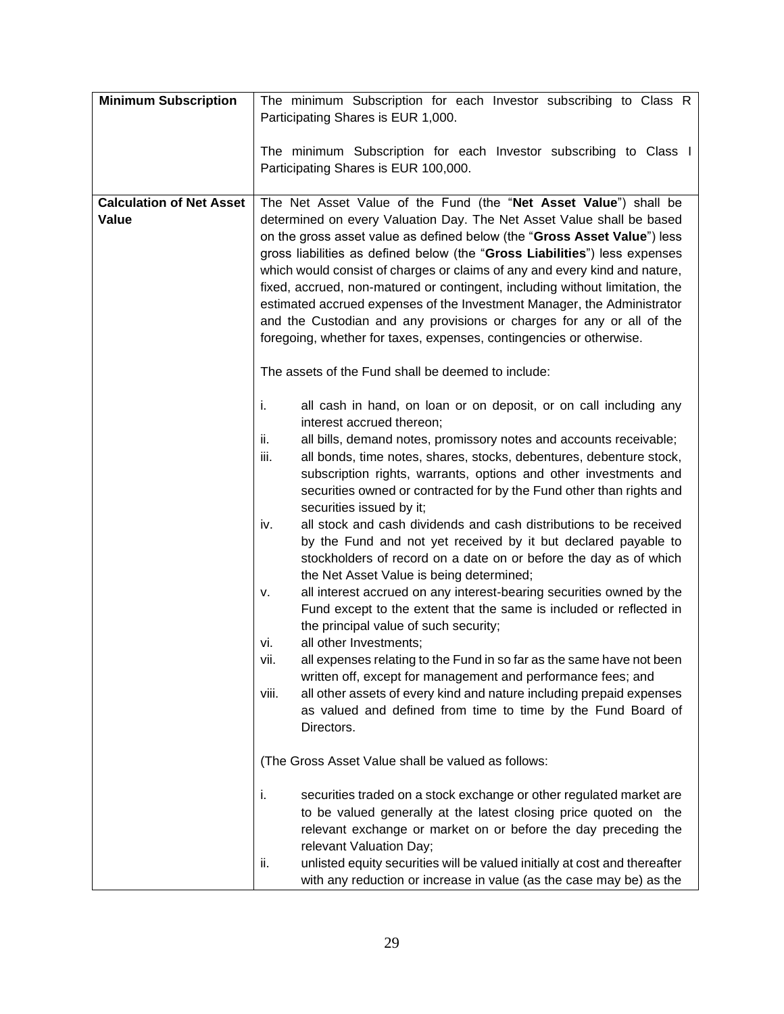| <b>Minimum Subscription</b>              | The minimum Subscription for each Investor subscribing to Class R<br>Participating Shares is EUR 1,000.                                                                                                                                                                                                                                                                                                                                                                                                                                                                                                                                                                                                                                                                                                                                                                                                                                                                                                                                                                                                                                                                                                                                                 |
|------------------------------------------|---------------------------------------------------------------------------------------------------------------------------------------------------------------------------------------------------------------------------------------------------------------------------------------------------------------------------------------------------------------------------------------------------------------------------------------------------------------------------------------------------------------------------------------------------------------------------------------------------------------------------------------------------------------------------------------------------------------------------------------------------------------------------------------------------------------------------------------------------------------------------------------------------------------------------------------------------------------------------------------------------------------------------------------------------------------------------------------------------------------------------------------------------------------------------------------------------------------------------------------------------------|
|                                          | The minimum Subscription for each Investor subscribing to Class I<br>Participating Shares is EUR 100,000.                                                                                                                                                                                                                                                                                                                                                                                                                                                                                                                                                                                                                                                                                                                                                                                                                                                                                                                                                                                                                                                                                                                                               |
| <b>Calculation of Net Asset</b><br>Value | The Net Asset Value of the Fund (the "Net Asset Value") shall be<br>determined on every Valuation Day. The Net Asset Value shall be based<br>on the gross asset value as defined below (the "Gross Asset Value") less<br>gross liabilities as defined below (the "Gross Liabilities") less expenses<br>which would consist of charges or claims of any and every kind and nature,<br>fixed, accrued, non-matured or contingent, including without limitation, the<br>estimated accrued expenses of the Investment Manager, the Administrator<br>and the Custodian and any provisions or charges for any or all of the<br>foregoing, whether for taxes, expenses, contingencies or otherwise.                                                                                                                                                                                                                                                                                                                                                                                                                                                                                                                                                            |
|                                          | The assets of the Fund shall be deemed to include:                                                                                                                                                                                                                                                                                                                                                                                                                                                                                                                                                                                                                                                                                                                                                                                                                                                                                                                                                                                                                                                                                                                                                                                                      |
|                                          | j.<br>all cash in hand, on loan or on deposit, or on call including any<br>interest accrued thereon;<br>ii.<br>all bills, demand notes, promissory notes and accounts receivable;<br>iii.<br>all bonds, time notes, shares, stocks, debentures, debenture stock,<br>subscription rights, warrants, options and other investments and<br>securities owned or contracted for by the Fund other than rights and<br>securities issued by it;<br>all stock and cash dividends and cash distributions to be received<br>iv.<br>by the Fund and not yet received by it but declared payable to<br>stockholders of record on a date on or before the day as of which<br>the Net Asset Value is being determined;<br>all interest accrued on any interest-bearing securities owned by the<br>ν.<br>Fund except to the extent that the same is included or reflected in<br>the principal value of such security;<br>all other Investments;<br>vi.<br>all expenses relating to the Fund in so far as the same have not been<br>VII.<br>written off, except for management and performance fees; and<br>all other assets of every kind and nature including prepaid expenses<br>viii.<br>as valued and defined from time to time by the Fund Board of<br>Directors. |
|                                          | (The Gross Asset Value shall be valued as follows:<br>securities traded on a stock exchange or other regulated market are<br>j.                                                                                                                                                                                                                                                                                                                                                                                                                                                                                                                                                                                                                                                                                                                                                                                                                                                                                                                                                                                                                                                                                                                         |
|                                          | to be valued generally at the latest closing price quoted on the<br>relevant exchange or market on or before the day preceding the<br>relevant Valuation Day;<br>unlisted equity securities will be valued initially at cost and thereafter<br>ii.                                                                                                                                                                                                                                                                                                                                                                                                                                                                                                                                                                                                                                                                                                                                                                                                                                                                                                                                                                                                      |
|                                          | with any reduction or increase in value (as the case may be) as the                                                                                                                                                                                                                                                                                                                                                                                                                                                                                                                                                                                                                                                                                                                                                                                                                                                                                                                                                                                                                                                                                                                                                                                     |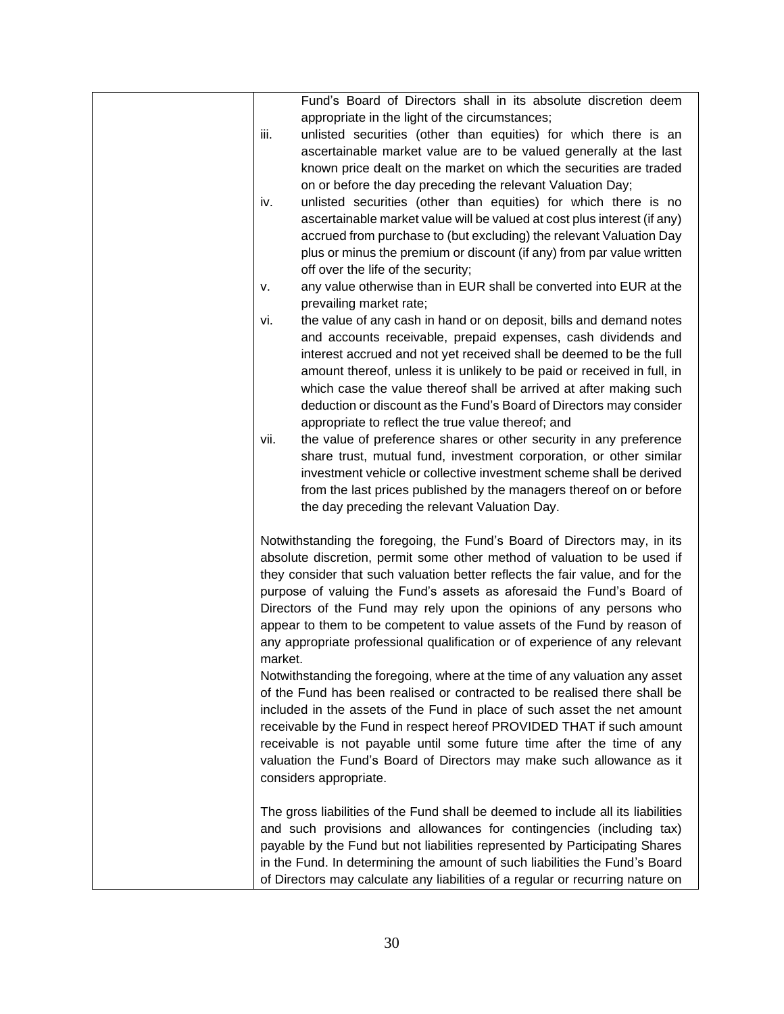| Fund's Board of Directors shall in its absolute discretion deem                  |
|----------------------------------------------------------------------------------|
| appropriate in the light of the circumstances;                                   |
| unlisted securities (other than equities) for which there is an<br>iii.          |
| ascertainable market value are to be valued generally at the last                |
| known price dealt on the market on which the securities are traded               |
| on or before the day preceding the relevant Valuation Day;                       |
| unlisted securities (other than equities) for which there is no<br>iv.           |
| ascertainable market value will be valued at cost plus interest (if any)         |
| accrued from purchase to (but excluding) the relevant Valuation Day              |
| plus or minus the premium or discount (if any) from par value written            |
| off over the life of the security;                                               |
| any value otherwise than in EUR shall be converted into EUR at the<br>ν.         |
| prevailing market rate;                                                          |
| the value of any cash in hand or on deposit, bills and demand notes<br>vi.       |
| and accounts receivable, prepaid expenses, cash dividends and                    |
| interest accrued and not yet received shall be deemed to be the full             |
| amount thereof, unless it is unlikely to be paid or received in full, in         |
| which case the value thereof shall be arrived at after making such               |
| deduction or discount as the Fund's Board of Directors may consider              |
| appropriate to reflect the true value thereof; and                               |
| the value of preference shares or other security in any preference<br>vii.       |
| share trust, mutual fund, investment corporation, or other similar               |
| investment vehicle or collective investment scheme shall be derived              |
| from the last prices published by the managers thereof on or before              |
| the day preceding the relevant Valuation Day.                                    |
|                                                                                  |
| Notwithstanding the foregoing, the Fund's Board of Directors may, in its         |
| absolute discretion, permit some other method of valuation to be used if         |
| they consider that such valuation better reflects the fair value, and for the    |
| purpose of valuing the Fund's assets as aforesaid the Fund's Board of            |
| Directors of the Fund may rely upon the opinions of any persons who              |
| appear to them to be competent to value assets of the Fund by reason of          |
| any appropriate professional qualification or of experience of any relevant      |
| market.                                                                          |
| Notwithstanding the foregoing, where at the time of any valuation any asset      |
| of the Fund has been realised or contracted to be realised there shall be        |
| included in the assets of the Fund in place of such asset the net amount         |
| receivable by the Fund in respect hereof PROVIDED THAT if such amount            |
| receivable is not payable until some future time after the time of any           |
| valuation the Fund's Board of Directors may make such allowance as it            |
| considers appropriate.                                                           |
| The gross liabilities of the Fund shall be deemed to include all its liabilities |
| and such provisions and allowances for contingencies (including tax)             |
| payable by the Fund but not liabilities represented by Participating Shares      |
| in the Fund. In determining the amount of such liabilities the Fund's Board      |
| of Directors may calculate any liabilities of a regular or recurring nature on   |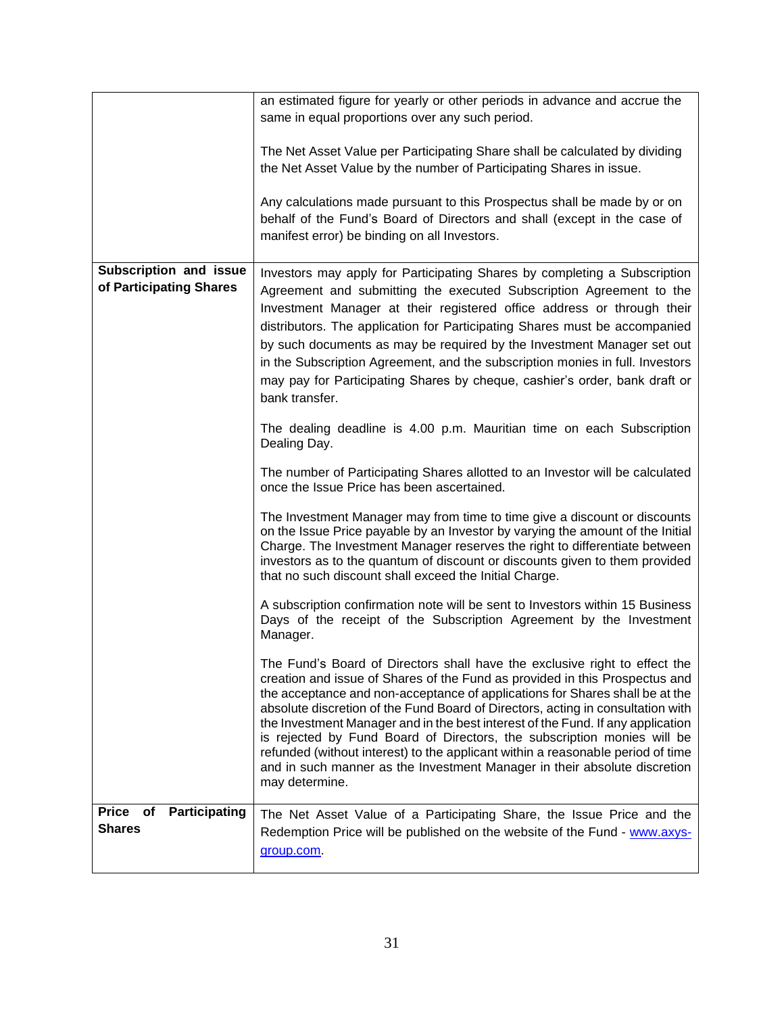|                                                      | an estimated figure for yearly or other periods in advance and accrue the                                                                                                                                                                                                                                                                                                                                                                                                                                                                                                                                                                                                    |
|------------------------------------------------------|------------------------------------------------------------------------------------------------------------------------------------------------------------------------------------------------------------------------------------------------------------------------------------------------------------------------------------------------------------------------------------------------------------------------------------------------------------------------------------------------------------------------------------------------------------------------------------------------------------------------------------------------------------------------------|
|                                                      | same in equal proportions over any such period.                                                                                                                                                                                                                                                                                                                                                                                                                                                                                                                                                                                                                              |
|                                                      | The Net Asset Value per Participating Share shall be calculated by dividing<br>the Net Asset Value by the number of Participating Shares in issue.                                                                                                                                                                                                                                                                                                                                                                                                                                                                                                                           |
|                                                      | Any calculations made pursuant to this Prospectus shall be made by or on<br>behalf of the Fund's Board of Directors and shall (except in the case of<br>manifest error) be binding on all Investors.                                                                                                                                                                                                                                                                                                                                                                                                                                                                         |
| Subscription and issue<br>of Participating Shares    | Investors may apply for Participating Shares by completing a Subscription<br>Agreement and submitting the executed Subscription Agreement to the<br>Investment Manager at their registered office address or through their<br>distributors. The application for Participating Shares must be accompanied<br>by such documents as may be required by the Investment Manager set out<br>in the Subscription Agreement, and the subscription monies in full. Investors<br>may pay for Participating Shares by cheque, cashier's order, bank draft or<br>bank transfer.                                                                                                          |
|                                                      | The dealing deadline is 4.00 p.m. Mauritian time on each Subscription<br>Dealing Day.                                                                                                                                                                                                                                                                                                                                                                                                                                                                                                                                                                                        |
|                                                      | The number of Participating Shares allotted to an Investor will be calculated<br>once the Issue Price has been ascertained.                                                                                                                                                                                                                                                                                                                                                                                                                                                                                                                                                  |
|                                                      | The Investment Manager may from time to time give a discount or discounts<br>on the Issue Price payable by an Investor by varying the amount of the Initial<br>Charge. The Investment Manager reserves the right to differentiate between<br>investors as to the quantum of discount or discounts given to them provided<br>that no such discount shall exceed the Initial Charge.                                                                                                                                                                                                                                                                                           |
|                                                      | A subscription confirmation note will be sent to Investors within 15 Business<br>Days of the receipt of the Subscription Agreement by the Investment<br>Manager.                                                                                                                                                                                                                                                                                                                                                                                                                                                                                                             |
|                                                      | The Fund's Board of Directors shall have the exclusive right to effect the<br>creation and issue of Shares of the Fund as provided in this Prospectus and<br>the acceptance and non-acceptance of applications for Shares shall be at the<br>absolute discretion of the Fund Board of Directors, acting in consultation with<br>the Investment Manager and in the best interest of the Fund. If any application<br>is rejected by Fund Board of Directors, the subscription monies will be<br>refunded (without interest) to the applicant within a reasonable period of time<br>and in such manner as the Investment Manager in their absolute discretion<br>may determine. |
| Participating<br><b>Price</b><br>оf<br><b>Shares</b> | The Net Asset Value of a Participating Share, the Issue Price and the<br>Redemption Price will be published on the website of the Fund - www.axys-<br>group.com                                                                                                                                                                                                                                                                                                                                                                                                                                                                                                              |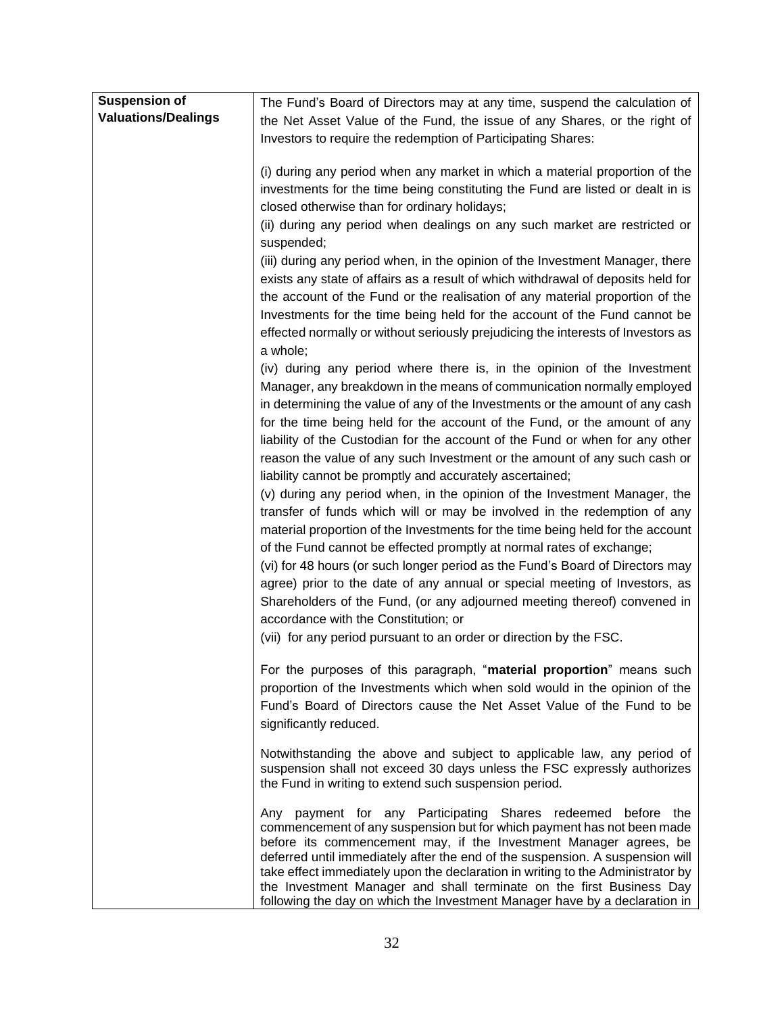| <b>Suspension of</b>       | The Fund's Board of Directors may at any time, suspend the calculation of                                                                                                                                                                                                                                                                                                                                                                                                                                                             |
|----------------------------|---------------------------------------------------------------------------------------------------------------------------------------------------------------------------------------------------------------------------------------------------------------------------------------------------------------------------------------------------------------------------------------------------------------------------------------------------------------------------------------------------------------------------------------|
| <b>Valuations/Dealings</b> | the Net Asset Value of the Fund, the issue of any Shares, or the right of                                                                                                                                                                                                                                                                                                                                                                                                                                                             |
|                            | Investors to require the redemption of Participating Shares:                                                                                                                                                                                                                                                                                                                                                                                                                                                                          |
|                            |                                                                                                                                                                                                                                                                                                                                                                                                                                                                                                                                       |
|                            | (i) during any period when any market in which a material proportion of the<br>investments for the time being constituting the Fund are listed or dealt in is                                                                                                                                                                                                                                                                                                                                                                         |
|                            | closed otherwise than for ordinary holidays;                                                                                                                                                                                                                                                                                                                                                                                                                                                                                          |
|                            | (ii) during any period when dealings on any such market are restricted or<br>suspended;                                                                                                                                                                                                                                                                                                                                                                                                                                               |
|                            | (iii) during any period when, in the opinion of the Investment Manager, there                                                                                                                                                                                                                                                                                                                                                                                                                                                         |
|                            | exists any state of affairs as a result of which withdrawal of deposits held for                                                                                                                                                                                                                                                                                                                                                                                                                                                      |
|                            | the account of the Fund or the realisation of any material proportion of the                                                                                                                                                                                                                                                                                                                                                                                                                                                          |
|                            | Investments for the time being held for the account of the Fund cannot be                                                                                                                                                                                                                                                                                                                                                                                                                                                             |
|                            | effected normally or without seriously prejudicing the interests of Investors as<br>a whole;                                                                                                                                                                                                                                                                                                                                                                                                                                          |
|                            | (iv) during any period where there is, in the opinion of the Investment                                                                                                                                                                                                                                                                                                                                                                                                                                                               |
|                            | Manager, any breakdown in the means of communication normally employed                                                                                                                                                                                                                                                                                                                                                                                                                                                                |
|                            | in determining the value of any of the Investments or the amount of any cash                                                                                                                                                                                                                                                                                                                                                                                                                                                          |
|                            | for the time being held for the account of the Fund, or the amount of any                                                                                                                                                                                                                                                                                                                                                                                                                                                             |
|                            | liability of the Custodian for the account of the Fund or when for any other                                                                                                                                                                                                                                                                                                                                                                                                                                                          |
|                            | reason the value of any such Investment or the amount of any such cash or                                                                                                                                                                                                                                                                                                                                                                                                                                                             |
|                            | liability cannot be promptly and accurately ascertained;                                                                                                                                                                                                                                                                                                                                                                                                                                                                              |
|                            | (v) during any period when, in the opinion of the Investment Manager, the                                                                                                                                                                                                                                                                                                                                                                                                                                                             |
|                            | transfer of funds which will or may be involved in the redemption of any<br>material proportion of the Investments for the time being held for the account<br>of the Fund cannot be effected promptly at normal rates of exchange;<br>(vi) for 48 hours (or such longer period as the Fund's Board of Directors may<br>agree) prior to the date of any annual or special meeting of Investors, as                                                                                                                                     |
|                            | Shareholders of the Fund, (or any adjourned meeting thereof) convened in                                                                                                                                                                                                                                                                                                                                                                                                                                                              |
|                            | accordance with the Constitution; or                                                                                                                                                                                                                                                                                                                                                                                                                                                                                                  |
|                            | (vii) for any period pursuant to an order or direction by the FSC.                                                                                                                                                                                                                                                                                                                                                                                                                                                                    |
|                            | For the purposes of this paragraph, "material proportion" means such<br>proportion of the Investments which when sold would in the opinion of the<br>Fund's Board of Directors cause the Net Asset Value of the Fund to be<br>significantly reduced.                                                                                                                                                                                                                                                                                  |
|                            | Notwithstanding the above and subject to applicable law, any period of<br>suspension shall not exceed 30 days unless the FSC expressly authorizes<br>the Fund in writing to extend such suspension period.                                                                                                                                                                                                                                                                                                                            |
|                            | Any payment for any Participating Shares redeemed before the<br>commencement of any suspension but for which payment has not been made<br>before its commencement may, if the Investment Manager agrees, be<br>deferred until immediately after the end of the suspension. A suspension will<br>take effect immediately upon the declaration in writing to the Administrator by<br>the Investment Manager and shall terminate on the first Business Day<br>following the day on which the Investment Manager have by a declaration in |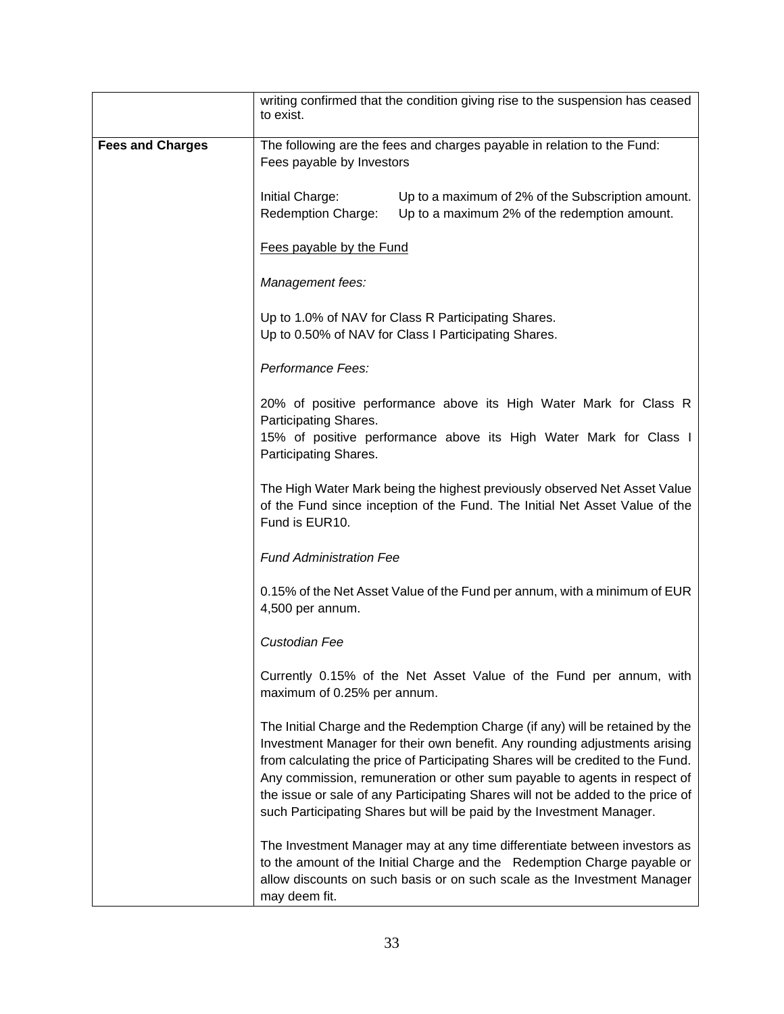|                         | writing confirmed that the condition giving rise to the suspension has ceased<br>to exist.                                                                                                                                                                                                                                                                                                                                                                                               |  |
|-------------------------|------------------------------------------------------------------------------------------------------------------------------------------------------------------------------------------------------------------------------------------------------------------------------------------------------------------------------------------------------------------------------------------------------------------------------------------------------------------------------------------|--|
| <b>Fees and Charges</b> | The following are the fees and charges payable in relation to the Fund:<br>Fees payable by Investors                                                                                                                                                                                                                                                                                                                                                                                     |  |
|                         | Initial Charge:<br>Up to a maximum of 2% of the Subscription amount.<br>Redemption Charge:<br>Up to a maximum 2% of the redemption amount.                                                                                                                                                                                                                                                                                                                                               |  |
|                         | Fees payable by the Fund                                                                                                                                                                                                                                                                                                                                                                                                                                                                 |  |
|                         | Management fees:                                                                                                                                                                                                                                                                                                                                                                                                                                                                         |  |
|                         | Up to 1.0% of NAV for Class R Participating Shares.<br>Up to 0.50% of NAV for Class I Participating Shares.                                                                                                                                                                                                                                                                                                                                                                              |  |
|                         | Performance Fees:                                                                                                                                                                                                                                                                                                                                                                                                                                                                        |  |
|                         | 20% of positive performance above its High Water Mark for Class R<br>Participating Shares.<br>15% of positive performance above its High Water Mark for Class I<br>Participating Shares.                                                                                                                                                                                                                                                                                                 |  |
|                         | The High Water Mark being the highest previously observed Net Asset Value<br>of the Fund since inception of the Fund. The Initial Net Asset Value of the<br>Fund is EUR10.                                                                                                                                                                                                                                                                                                               |  |
|                         | <b>Fund Administration Fee</b>                                                                                                                                                                                                                                                                                                                                                                                                                                                           |  |
|                         | 0.15% of the Net Asset Value of the Fund per annum, with a minimum of EUR<br>4,500 per annum.                                                                                                                                                                                                                                                                                                                                                                                            |  |
|                         | Custodian Fee                                                                                                                                                                                                                                                                                                                                                                                                                                                                            |  |
|                         | Currently 0.15% of the Net Asset Value of the Fund per annum, with<br>maximum of 0.25% per annum.                                                                                                                                                                                                                                                                                                                                                                                        |  |
|                         | The Initial Charge and the Redemption Charge (if any) will be retained by the<br>Investment Manager for their own benefit. Any rounding adjustments arising<br>from calculating the price of Participating Shares will be credited to the Fund.<br>Any commission, remuneration or other sum payable to agents in respect of<br>the issue or sale of any Participating Shares will not be added to the price of<br>such Participating Shares but will be paid by the Investment Manager. |  |
|                         | The Investment Manager may at any time differentiate between investors as<br>to the amount of the Initial Charge and the Redemption Charge payable or<br>allow discounts on such basis or on such scale as the Investment Manager<br>may deem fit.                                                                                                                                                                                                                                       |  |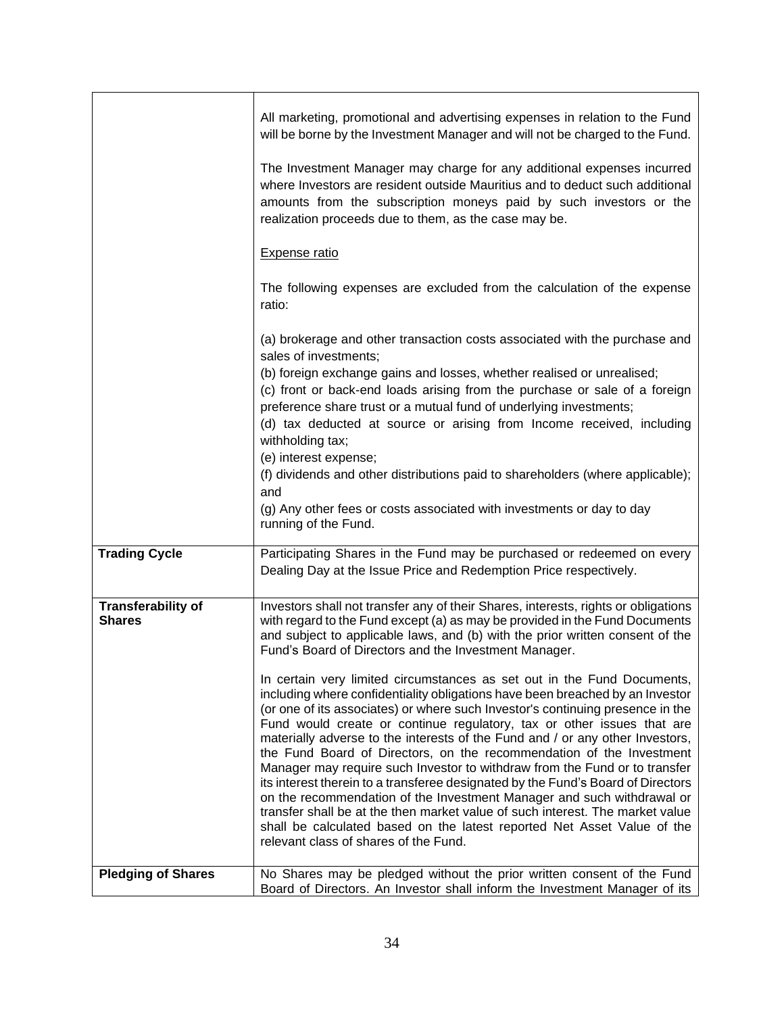|                                            | All marketing, promotional and advertising expenses in relation to the Fund<br>will be borne by the Investment Manager and will not be charged to the Fund.                                                                                                                                                                                                                                                                                                                                                                                                                                                                                                                                                                                                                                                                                                                                                                    |
|--------------------------------------------|--------------------------------------------------------------------------------------------------------------------------------------------------------------------------------------------------------------------------------------------------------------------------------------------------------------------------------------------------------------------------------------------------------------------------------------------------------------------------------------------------------------------------------------------------------------------------------------------------------------------------------------------------------------------------------------------------------------------------------------------------------------------------------------------------------------------------------------------------------------------------------------------------------------------------------|
|                                            | The Investment Manager may charge for any additional expenses incurred<br>where Investors are resident outside Mauritius and to deduct such additional<br>amounts from the subscription moneys paid by such investors or the<br>realization proceeds due to them, as the case may be.                                                                                                                                                                                                                                                                                                                                                                                                                                                                                                                                                                                                                                          |
|                                            | <b>Expense ratio</b>                                                                                                                                                                                                                                                                                                                                                                                                                                                                                                                                                                                                                                                                                                                                                                                                                                                                                                           |
|                                            | The following expenses are excluded from the calculation of the expense<br>ratio:                                                                                                                                                                                                                                                                                                                                                                                                                                                                                                                                                                                                                                                                                                                                                                                                                                              |
|                                            | (a) brokerage and other transaction costs associated with the purchase and<br>sales of investments;                                                                                                                                                                                                                                                                                                                                                                                                                                                                                                                                                                                                                                                                                                                                                                                                                            |
|                                            | (b) foreign exchange gains and losses, whether realised or unrealised;<br>(c) front or back-end loads arising from the purchase or sale of a foreign<br>preference share trust or a mutual fund of underlying investments;<br>(d) tax deducted at source or arising from Income received, including<br>withholding tax;<br>(e) interest expense;                                                                                                                                                                                                                                                                                                                                                                                                                                                                                                                                                                               |
|                                            | (f) dividends and other distributions paid to shareholders (where applicable);<br>and                                                                                                                                                                                                                                                                                                                                                                                                                                                                                                                                                                                                                                                                                                                                                                                                                                          |
|                                            | (g) Any other fees or costs associated with investments or day to day<br>running of the Fund.                                                                                                                                                                                                                                                                                                                                                                                                                                                                                                                                                                                                                                                                                                                                                                                                                                  |
| <b>Trading Cycle</b>                       | Participating Shares in the Fund may be purchased or redeemed on every<br>Dealing Day at the Issue Price and Redemption Price respectively.                                                                                                                                                                                                                                                                                                                                                                                                                                                                                                                                                                                                                                                                                                                                                                                    |
| <b>Transferability of</b><br><b>Shares</b> | Investors shall not transfer any of their Shares, interests, rights or obligations<br>with regard to the Fund except (a) as may be provided in the Fund Documents<br>and subject to applicable laws, and (b) with the prior written consent of the<br>Fund's Board of Directors and the Investment Manager.                                                                                                                                                                                                                                                                                                                                                                                                                                                                                                                                                                                                                    |
|                                            | In certain very limited circumstances as set out in the Fund Documents,<br>including where confidentiality obligations have been breached by an Investor<br>(or one of its associates) or where such Investor's continuing presence in the<br>Fund would create or continue regulatory, tax or other issues that are<br>materially adverse to the interests of the Fund and / or any other Investors,<br>the Fund Board of Directors, on the recommendation of the Investment<br>Manager may require such Investor to withdraw from the Fund or to transfer<br>its interest therein to a transferee designated by the Fund's Board of Directors<br>on the recommendation of the Investment Manager and such withdrawal or<br>transfer shall be at the then market value of such interest. The market value<br>shall be calculated based on the latest reported Net Asset Value of the<br>relevant class of shares of the Fund. |
| <b>Pledging of Shares</b>                  | No Shares may be pledged without the prior written consent of the Fund<br>Board of Directors. An Investor shall inform the Investment Manager of its                                                                                                                                                                                                                                                                                                                                                                                                                                                                                                                                                                                                                                                                                                                                                                           |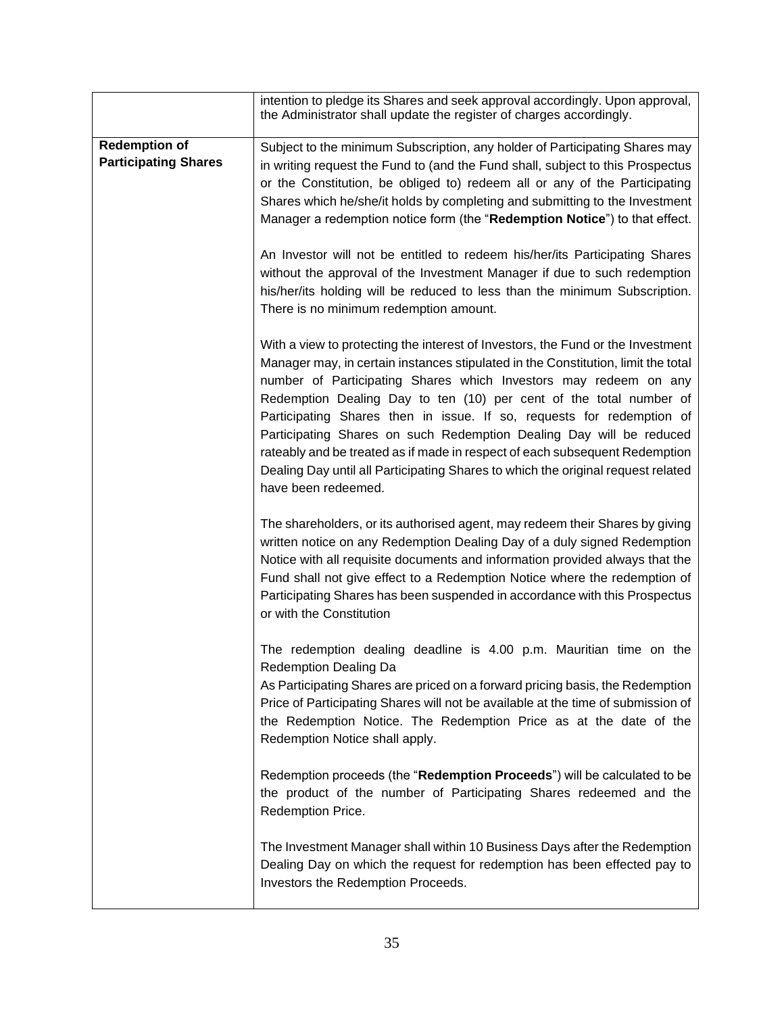|                                                     | intention to pledge its Shares and seek approval accordingly. Upon approval,<br>the Administrator shall update the register of charges accordingly.                                                                                                                                                                                                                                                                                                                                                                                                                                                                                                      |
|-----------------------------------------------------|----------------------------------------------------------------------------------------------------------------------------------------------------------------------------------------------------------------------------------------------------------------------------------------------------------------------------------------------------------------------------------------------------------------------------------------------------------------------------------------------------------------------------------------------------------------------------------------------------------------------------------------------------------|
| <b>Redemption of</b><br><b>Participating Shares</b> | Subject to the minimum Subscription, any holder of Participating Shares may<br>in writing request the Fund to (and the Fund shall, subject to this Prospectus<br>or the Constitution, be obliged to) redeem all or any of the Participating<br>Shares which he/she/it holds by completing and submitting to the Investment<br>Manager a redemption notice form (the "Redemption Notice") to that effect.                                                                                                                                                                                                                                                 |
|                                                     | An Investor will not be entitled to redeem his/her/its Participating Shares<br>without the approval of the Investment Manager if due to such redemption<br>his/her/its holding will be reduced to less than the minimum Subscription.<br>There is no minimum redemption amount.                                                                                                                                                                                                                                                                                                                                                                          |
|                                                     | With a view to protecting the interest of Investors, the Fund or the Investment<br>Manager may, in certain instances stipulated in the Constitution, limit the total<br>number of Participating Shares which Investors may redeem on any<br>Redemption Dealing Day to ten (10) per cent of the total number of<br>Participating Shares then in issue. If so, requests for redemption of<br>Participating Shares on such Redemption Dealing Day will be reduced<br>rateably and be treated as if made in respect of each subsequent Redemption<br>Dealing Day until all Participating Shares to which the original request related<br>have been redeemed. |
|                                                     | The shareholders, or its authorised agent, may redeem their Shares by giving<br>written notice on any Redemption Dealing Day of a duly signed Redemption<br>Notice with all requisite documents and information provided always that the<br>Fund shall not give effect to a Redemption Notice where the redemption of<br>Participating Shares has been suspended in accordance with this Prospectus<br>or with the Constitution                                                                                                                                                                                                                          |
|                                                     | The redemption dealing deadline is 4.00 p.m. Mauritian time on the<br><b>Redemption Dealing Da</b><br>As Participating Shares are priced on a forward pricing basis, the Redemption<br>Price of Participating Shares will not be available at the time of submission of<br>the Redemption Notice. The Redemption Price as at the date of the<br>Redemption Notice shall apply.                                                                                                                                                                                                                                                                           |
|                                                     | Redemption proceeds (the "Redemption Proceeds") will be calculated to be<br>the product of the number of Participating Shares redeemed and the<br>Redemption Price.                                                                                                                                                                                                                                                                                                                                                                                                                                                                                      |
|                                                     | The Investment Manager shall within 10 Business Days after the Redemption<br>Dealing Day on which the request for redemption has been effected pay to<br>Investors the Redemption Proceeds.                                                                                                                                                                                                                                                                                                                                                                                                                                                              |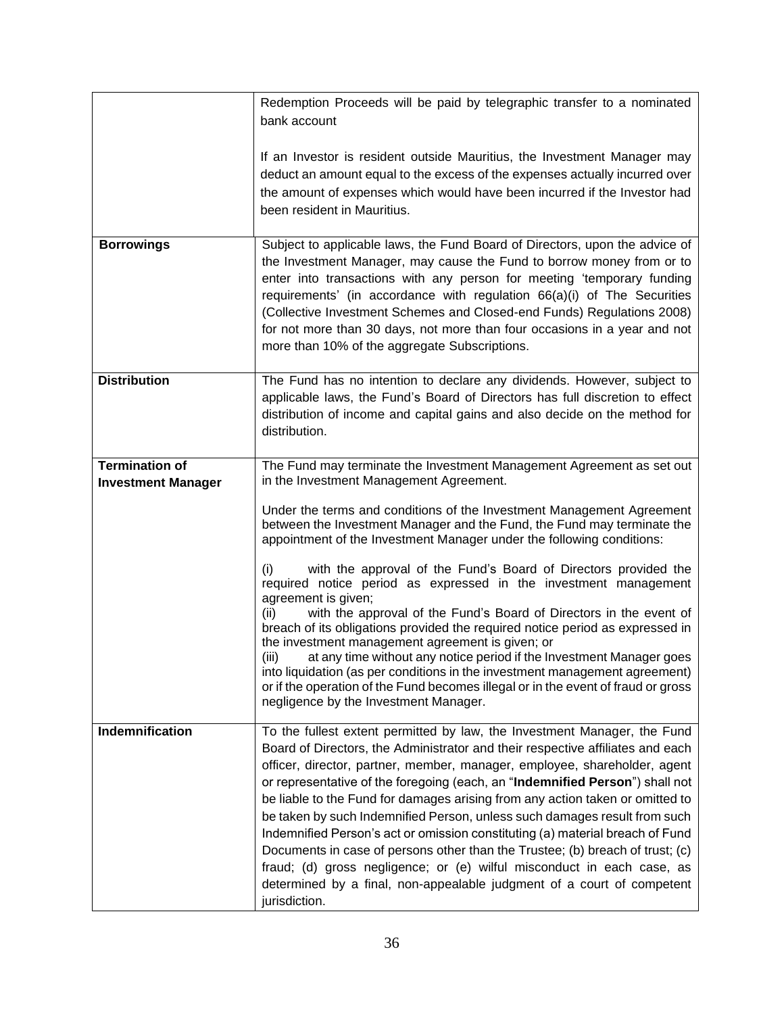|                                                    | Redemption Proceeds will be paid by telegraphic transfer to a nominated                                                                                                                                                                                                                                                                                                                                                                                          |
|----------------------------------------------------|------------------------------------------------------------------------------------------------------------------------------------------------------------------------------------------------------------------------------------------------------------------------------------------------------------------------------------------------------------------------------------------------------------------------------------------------------------------|
|                                                    | bank account                                                                                                                                                                                                                                                                                                                                                                                                                                                     |
|                                                    | If an Investor is resident outside Mauritius, the Investment Manager may                                                                                                                                                                                                                                                                                                                                                                                         |
|                                                    | deduct an amount equal to the excess of the expenses actually incurred over                                                                                                                                                                                                                                                                                                                                                                                      |
|                                                    | the amount of expenses which would have been incurred if the Investor had<br>been resident in Mauritius.                                                                                                                                                                                                                                                                                                                                                         |
|                                                    |                                                                                                                                                                                                                                                                                                                                                                                                                                                                  |
| <b>Borrowings</b>                                  | Subject to applicable laws, the Fund Board of Directors, upon the advice of<br>the Investment Manager, may cause the Fund to borrow money from or to<br>enter into transactions with any person for meeting 'temporary funding<br>requirements' (in accordance with regulation 66(a)(i) of The Securities<br>(Collective Investment Schemes and Closed-end Funds) Regulations 2008)<br>for not more than 30 days, not more than four occasions in a year and not |
|                                                    | more than 10% of the aggregate Subscriptions.                                                                                                                                                                                                                                                                                                                                                                                                                    |
| <b>Distribution</b>                                | The Fund has no intention to declare any dividends. However, subject to                                                                                                                                                                                                                                                                                                                                                                                          |
|                                                    | applicable laws, the Fund's Board of Directors has full discretion to effect                                                                                                                                                                                                                                                                                                                                                                                     |
|                                                    | distribution of income and capital gains and also decide on the method for<br>distribution.                                                                                                                                                                                                                                                                                                                                                                      |
|                                                    |                                                                                                                                                                                                                                                                                                                                                                                                                                                                  |
| <b>Termination of</b><br><b>Investment Manager</b> | The Fund may terminate the Investment Management Agreement as set out<br>in the Investment Management Agreement.                                                                                                                                                                                                                                                                                                                                                 |
|                                                    | Under the terms and conditions of the Investment Management Agreement<br>between the Investment Manager and the Fund, the Fund may terminate the<br>appointment of the Investment Manager under the following conditions:                                                                                                                                                                                                                                        |
|                                                    | with the approval of the Fund's Board of Directors provided the<br>(i)<br>required notice period as expressed in the investment management<br>agreement is given;                                                                                                                                                                                                                                                                                                |
|                                                    | with the approval of the Fund's Board of Directors in the event of<br>(ii)<br>breach of its obligations provided the required notice period as expressed in<br>the investment management agreement is given; or                                                                                                                                                                                                                                                  |
|                                                    | at any time without any notice period if the Investment Manager goes<br>(iii)<br>into liquidation (as per conditions in the investment management agreement)<br>or if the operation of the Fund becomes illegal or in the event of fraud or gross<br>negligence by the Investment Manager.                                                                                                                                                                       |
| Indemnification                                    | To the fullest extent permitted by law, the Investment Manager, the Fund                                                                                                                                                                                                                                                                                                                                                                                         |
|                                                    | Board of Directors, the Administrator and their respective affiliates and each<br>officer, director, partner, member, manager, employee, shareholder, agent                                                                                                                                                                                                                                                                                                      |
|                                                    | or representative of the foregoing (each, an "Indemnified Person") shall not                                                                                                                                                                                                                                                                                                                                                                                     |
|                                                    | be liable to the Fund for damages arising from any action taken or omitted to                                                                                                                                                                                                                                                                                                                                                                                    |
|                                                    | be taken by such Indemnified Person, unless such damages result from such                                                                                                                                                                                                                                                                                                                                                                                        |
|                                                    | Indemnified Person's act or omission constituting (a) material breach of Fund<br>Documents in case of persons other than the Trustee; (b) breach of trust; (c)                                                                                                                                                                                                                                                                                                   |
|                                                    | fraud; (d) gross negligence; or (e) wilful misconduct in each case, as                                                                                                                                                                                                                                                                                                                                                                                           |
|                                                    | determined by a final, non-appealable judgment of a court of competent<br>jurisdiction.                                                                                                                                                                                                                                                                                                                                                                          |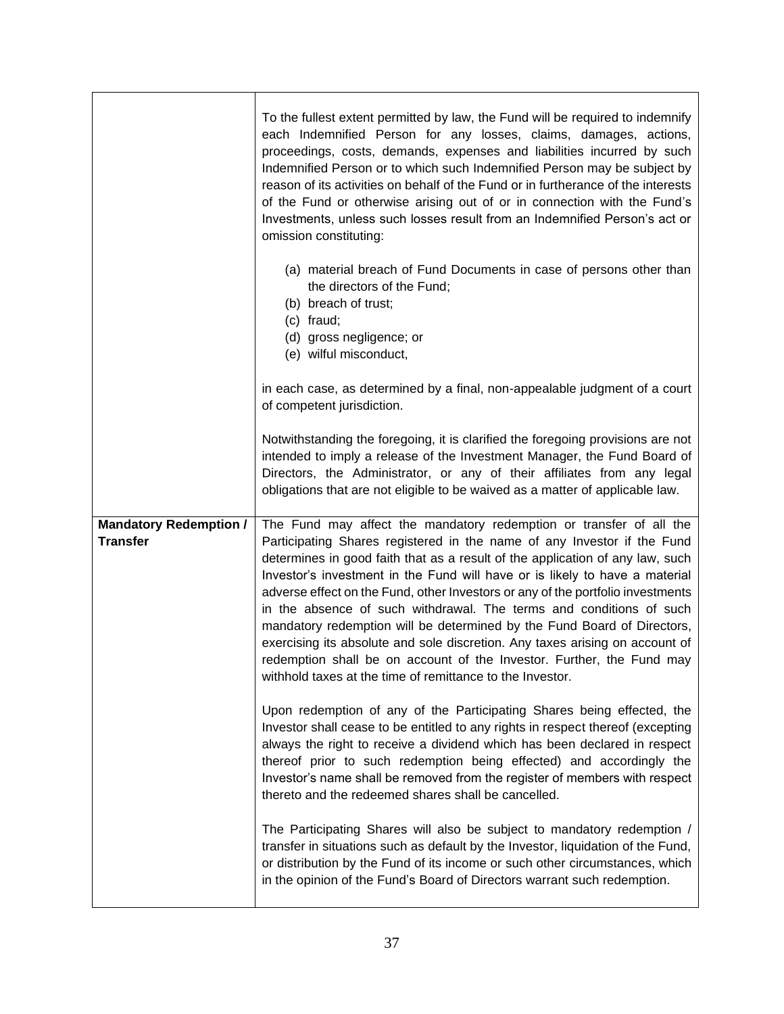|                                                  | To the fullest extent permitted by law, the Fund will be required to indemnify<br>each Indemnified Person for any losses, claims, damages, actions,<br>proceedings, costs, demands, expenses and liabilities incurred by such<br>Indemnified Person or to which such Indemnified Person may be subject by<br>reason of its activities on behalf of the Fund or in furtherance of the interests<br>of the Fund or otherwise arising out of or in connection with the Fund's<br>Investments, unless such losses result from an Indemnified Person's act or<br>omission constituting:                                                                                                                                                                                        |
|--------------------------------------------------|---------------------------------------------------------------------------------------------------------------------------------------------------------------------------------------------------------------------------------------------------------------------------------------------------------------------------------------------------------------------------------------------------------------------------------------------------------------------------------------------------------------------------------------------------------------------------------------------------------------------------------------------------------------------------------------------------------------------------------------------------------------------------|
|                                                  | (a) material breach of Fund Documents in case of persons other than<br>the directors of the Fund;<br>(b) breach of trust;<br>(c) fraud;<br>(d) gross negligence; or<br>(e) wilful misconduct,                                                                                                                                                                                                                                                                                                                                                                                                                                                                                                                                                                             |
|                                                  | in each case, as determined by a final, non-appealable judgment of a court<br>of competent jurisdiction.                                                                                                                                                                                                                                                                                                                                                                                                                                                                                                                                                                                                                                                                  |
|                                                  | Notwithstanding the foregoing, it is clarified the foregoing provisions are not<br>intended to imply a release of the Investment Manager, the Fund Board of<br>Directors, the Administrator, or any of their affiliates from any legal<br>obligations that are not eligible to be waived as a matter of applicable law.                                                                                                                                                                                                                                                                                                                                                                                                                                                   |
| <b>Mandatory Redemption /</b><br><b>Transfer</b> | The Fund may affect the mandatory redemption or transfer of all the<br>Participating Shares registered in the name of any Investor if the Fund<br>determines in good faith that as a result of the application of any law, such<br>Investor's investment in the Fund will have or is likely to have a material<br>adverse effect on the Fund, other Investors or any of the portfolio investments<br>in the absence of such withdrawal. The terms and conditions of such<br>mandatory redemption will be determined by the Fund Board of Directors,<br>exercising its absolute and sole discretion. Any taxes arising on account of<br>redemption shall be on account of the Investor. Further, the Fund may<br>withhold taxes at the time of remittance to the Investor. |
|                                                  | Upon redemption of any of the Participating Shares being effected, the<br>Investor shall cease to be entitled to any rights in respect thereof (excepting<br>always the right to receive a dividend which has been declared in respect<br>thereof prior to such redemption being effected) and accordingly the<br>Investor's name shall be removed from the register of members with respect<br>thereto and the redeemed shares shall be cancelled.                                                                                                                                                                                                                                                                                                                       |
|                                                  | The Participating Shares will also be subject to mandatory redemption /<br>transfer in situations such as default by the Investor, liquidation of the Fund,<br>or distribution by the Fund of its income or such other circumstances, which<br>in the opinion of the Fund's Board of Directors warrant such redemption.                                                                                                                                                                                                                                                                                                                                                                                                                                                   |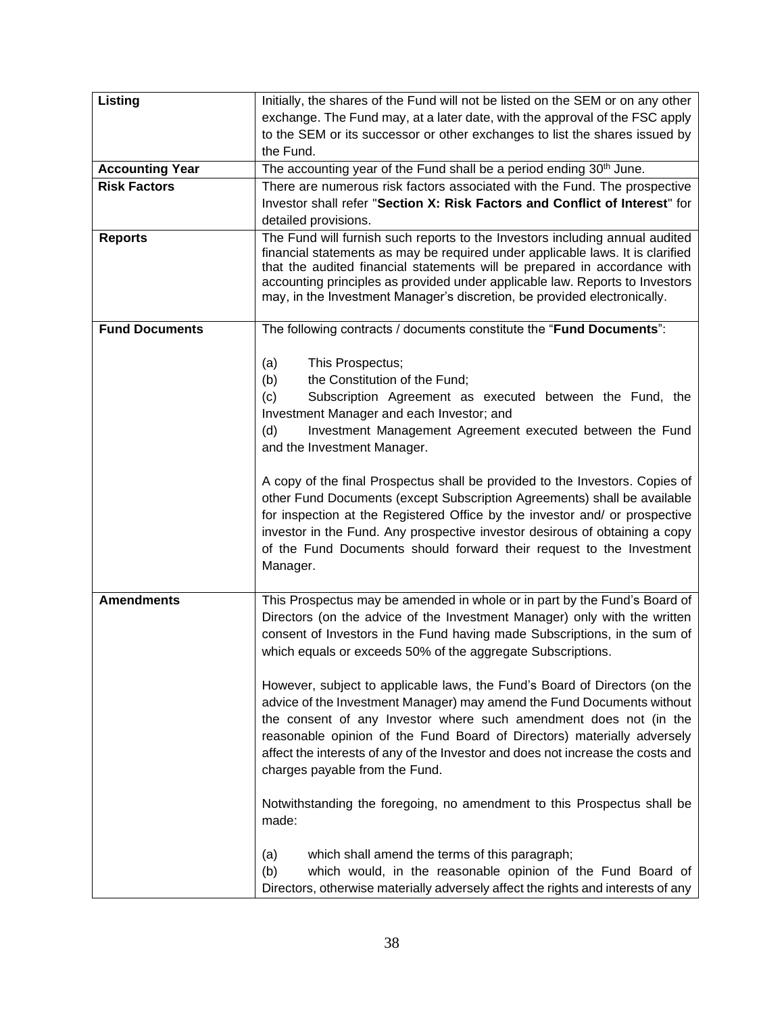| Listing                | Initially, the shares of the Fund will not be listed on the SEM or on any other                                                                                                                                                                                                                                                                                                                                                                |
|------------------------|------------------------------------------------------------------------------------------------------------------------------------------------------------------------------------------------------------------------------------------------------------------------------------------------------------------------------------------------------------------------------------------------------------------------------------------------|
|                        | exchange. The Fund may, at a later date, with the approval of the FSC apply                                                                                                                                                                                                                                                                                                                                                                    |
|                        | to the SEM or its successor or other exchanges to list the shares issued by                                                                                                                                                                                                                                                                                                                                                                    |
|                        | the Fund.                                                                                                                                                                                                                                                                                                                                                                                                                                      |
| <b>Accounting Year</b> | The accounting year of the Fund shall be a period ending 30th June.                                                                                                                                                                                                                                                                                                                                                                            |
| <b>Risk Factors</b>    | There are numerous risk factors associated with the Fund. The prospective                                                                                                                                                                                                                                                                                                                                                                      |
|                        | Investor shall refer "Section X: Risk Factors and Conflict of Interest" for                                                                                                                                                                                                                                                                                                                                                                    |
|                        | detailed provisions.                                                                                                                                                                                                                                                                                                                                                                                                                           |
| <b>Reports</b>         | The Fund will furnish such reports to the Investors including annual audited<br>financial statements as may be required under applicable laws. It is clarified<br>that the audited financial statements will be prepared in accordance with<br>accounting principles as provided under applicable law. Reports to Investors<br>may, in the Investment Manager's discretion, be provided electronically.                                        |
| <b>Fund Documents</b>  | The following contracts / documents constitute the "Fund Documents":                                                                                                                                                                                                                                                                                                                                                                           |
|                        | This Prospectus;<br>(a)<br>the Constitution of the Fund;<br>(b)<br>Subscription Agreement as executed between the Fund, the<br>(c)<br>Investment Manager and each Investor; and<br>(d)<br>Investment Management Agreement executed between the Fund<br>and the Investment Manager.<br>A copy of the final Prospectus shall be provided to the Investors. Copies of<br>other Fund Documents (except Subscription Agreements) shall be available |
|                        | for inspection at the Registered Office by the investor and/ or prospective<br>investor in the Fund. Any prospective investor desirous of obtaining a copy<br>of the Fund Documents should forward their request to the Investment<br>Manager.                                                                                                                                                                                                 |
| <b>Amendments</b>      | This Prospectus may be amended in whole or in part by the Fund's Board of<br>Directors (on the advice of the Investment Manager) only with the written<br>consent of Investors in the Fund having made Subscriptions, in the sum of<br>which equals or exceeds 50% of the aggregate Subscriptions.                                                                                                                                             |
|                        | However, subject to applicable laws, the Fund's Board of Directors (on the<br>advice of the Investment Manager) may amend the Fund Documents without<br>the consent of any Investor where such amendment does not (in the<br>reasonable opinion of the Fund Board of Directors) materially adversely<br>affect the interests of any of the Investor and does not increase the costs and<br>charges payable from the Fund.                      |
|                        | Notwithstanding the foregoing, no amendment to this Prospectus shall be<br>made:                                                                                                                                                                                                                                                                                                                                                               |
|                        | which shall amend the terms of this paragraph;<br>(a)<br>(b)<br>which would, in the reasonable opinion of the Fund Board of<br>Directors, otherwise materially adversely affect the rights and interests of any                                                                                                                                                                                                                                |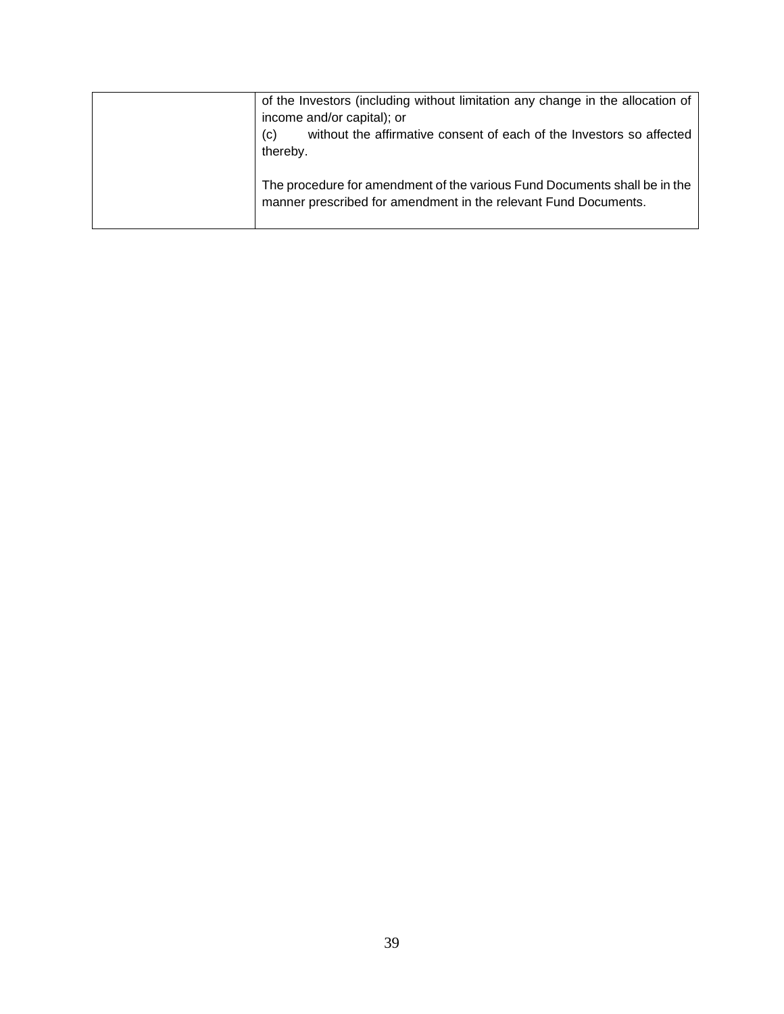| of the Investors (including without limitation any change in the allocation of<br>income and/or capital); or<br>without the affirmative consent of each of the Investors so affected<br>(c)<br>thereby. |
|---------------------------------------------------------------------------------------------------------------------------------------------------------------------------------------------------------|
| The procedure for amendment of the various Fund Documents shall be in the<br>manner prescribed for amendment in the relevant Fund Documents.                                                            |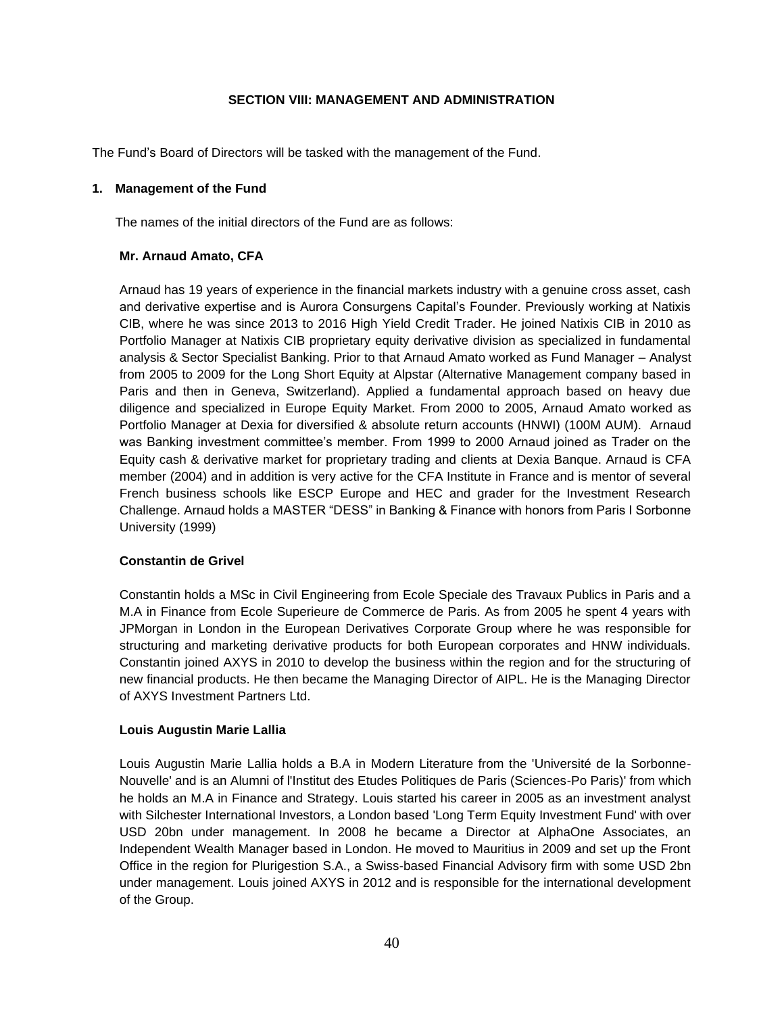### **SECTION VIII: MANAGEMENT AND ADMINISTRATION**

<span id="page-39-0"></span>The Fund's Board of Directors will be tasked with the management of the Fund.

#### **1. Management of the Fund**

The names of the initial directors of the Fund are as follows:

### **Mr. Arnaud Amato, CFA**

Arnaud has 19 years of experience in the financial markets industry with a genuine cross asset, cash and derivative expertise and is Aurora Consurgens Capital's Founder. Previously working at Natixis CIB, where he was since 2013 to 2016 High Yield Credit Trader. He joined Natixis CIB in 2010 as Portfolio Manager at Natixis CIB proprietary equity derivative division as specialized in fundamental analysis & Sector Specialist Banking. Prior to that Arnaud Amato worked as Fund Manager – Analyst from 2005 to 2009 for the Long Short Equity at Alpstar (Alternative Management company based in Paris and then in Geneva, Switzerland). Applied a fundamental approach based on heavy due diligence and specialized in Europe Equity Market. From 2000 to 2005, Arnaud Amato worked as Portfolio Manager at Dexia for diversified & absolute return accounts (HNWI) (100M AUM). Arnaud was Banking investment committee's member. From 1999 to 2000 Arnaud joined as Trader on the Equity cash & derivative market for proprietary trading and clients at Dexia Banque. Arnaud is CFA member (2004) and in addition is very active for the CFA Institute in France and is mentor of several French business schools like ESCP Europe and HEC and grader for the Investment Research Challenge. Arnaud holds a MASTER "DESS" in Banking & Finance with honors from Paris I Sorbonne University (1999)

### **Constantin de Grivel**

Constantin holds a MSc in Civil Engineering from Ecole Speciale des Travaux Publics in Paris and a M.A in Finance from Ecole Superieure de Commerce de Paris. As from 2005 he spent 4 years with JPMorgan in London in the European Derivatives Corporate Group where he was responsible for structuring and marketing derivative products for both European corporates and HNW individuals. Constantin joined AXYS in 2010 to develop the business within the region and for the structuring of new financial products. He then became the Managing Director of AIPL. He is the Managing Director of AXYS Investment Partners Ltd.

### **Louis Augustin Marie Lallia**

Louis Augustin Marie Lallia holds a B.A in Modern Literature from the 'Université de la Sorbonne-Nouvelle' and is an Alumni of l'Institut des Etudes Politiques de Paris (Sciences-Po Paris)' from which he holds an M.A in Finance and Strategy. Louis started his career in 2005 as an investment analyst with Silchester International Investors, a London based 'Long Term Equity Investment Fund' with over USD 20bn under management. In 2008 he became a Director at AlphaOne Associates, an Independent Wealth Manager based in London. He moved to Mauritius in 2009 and set up the Front Office in the region for Plurigestion S.A., a Swiss-based Financial Advisory firm with some USD 2bn under management. Louis joined AXYS in 2012 and is responsible for the international development of the Group.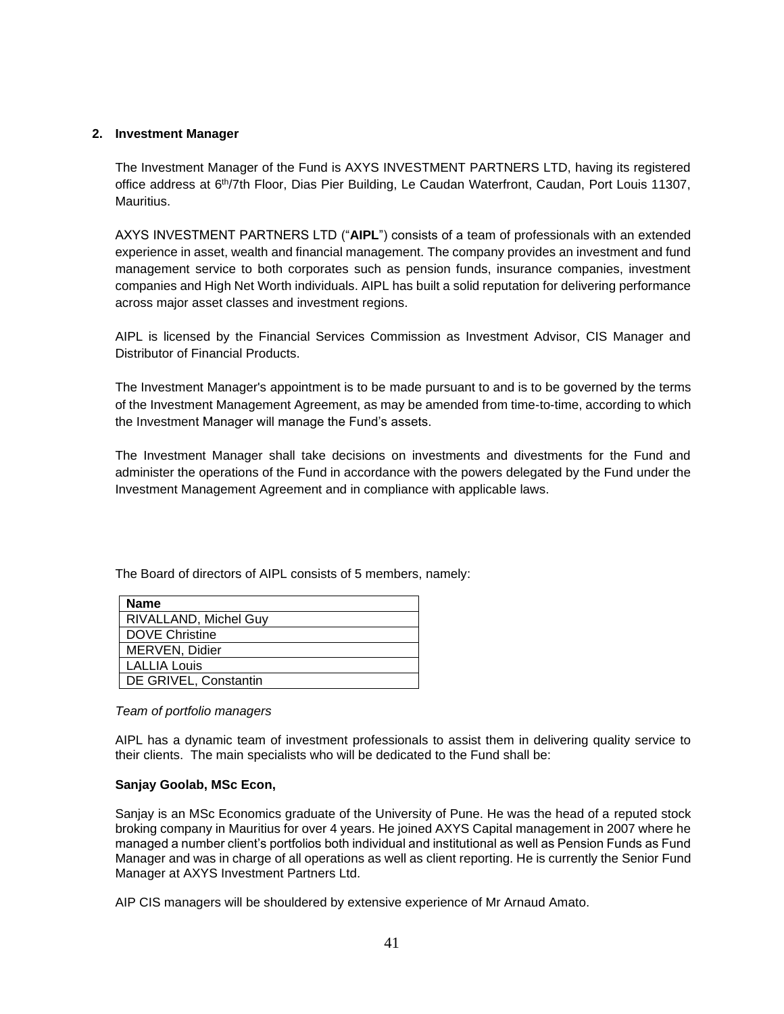#### **2. Investment Manager**

The Investment Manager of the Fund is AXYS INVESTMENT PARTNERS LTD, having its registered office address at 6<sup>th</sup>/7th Floor, Dias Pier Building, Le Caudan Waterfront, Caudan, Port Louis 11307, Mauritius.

AXYS INVESTMENT PARTNERS LTD ("**AIPL**") consists of a team of professionals with an extended experience in asset, wealth and financial management. The company provides an investment and fund management service to both corporates such as pension funds, insurance companies, investment companies and High Net Worth individuals. AIPL has built a solid reputation for delivering performance across major asset classes and investment regions.

AIPL is licensed by the Financial Services Commission as Investment Advisor, CIS Manager and Distributor of Financial Products.

The Investment Manager's appointment is to be made pursuant to and is to be governed by the terms of the Investment Management Agreement, as may be amended from time-to-time, according to which the Investment Manager will manage the Fund's assets.

The Investment Manager shall take decisions on investments and divestments for the Fund and administer the operations of the Fund in accordance with the powers delegated by the Fund under the Investment Management Agreement and in compliance with applicable laws.

| <b>Name</b>           |  |
|-----------------------|--|
| RIVALLAND, Michel Guv |  |
| <b>DOVE Christine</b> |  |
| MERVEN, Didier        |  |
| <b>LALLIA Louis</b>   |  |
| DE GRIVEL, Constantin |  |

The Board of directors of AIPL consists of 5 members, namely:

#### *Team of portfolio managers*

AIPL has a dynamic team of investment professionals to assist them in delivering quality service to their clients. The main specialists who will be dedicated to the Fund shall be:

### **Sanjay Goolab, MSc Econ,**

Sanjay is an MSc Economics graduate of the University of Pune. He was the head of a reputed stock broking company in Mauritius for over 4 years. He joined AXYS Capital management in 2007 where he managed a number client's portfolios both individual and institutional as well as Pension Funds as Fund Manager and was in charge of all operations as well as client reporting. He is currently the Senior Fund Manager at AXYS Investment Partners Ltd.

AIP CIS managers will be shouldered by extensive experience of Mr Arnaud Amato.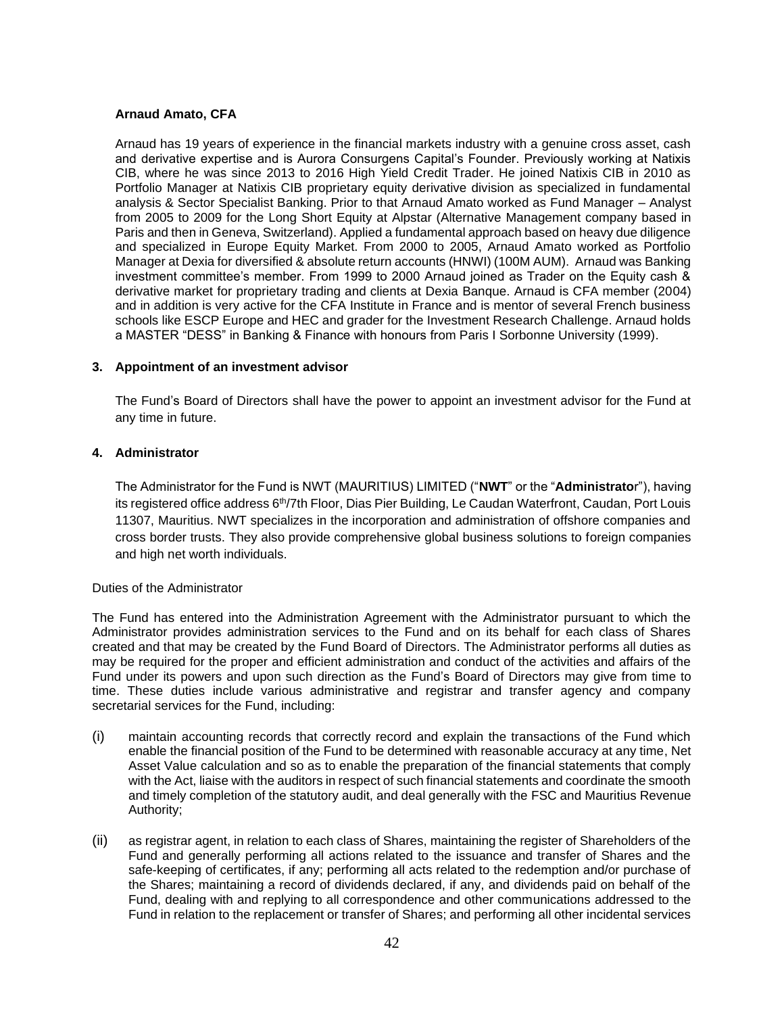### **Arnaud Amato, CFA**

Arnaud has 19 years of experience in the financial markets industry with a genuine cross asset, cash and derivative expertise and is Aurora Consurgens Capital's Founder. Previously working at Natixis CIB, where he was since 2013 to 2016 High Yield Credit Trader. He joined Natixis CIB in 2010 as Portfolio Manager at Natixis CIB proprietary equity derivative division as specialized in fundamental analysis & Sector Specialist Banking. Prior to that Arnaud Amato worked as Fund Manager – Analyst from 2005 to 2009 for the Long Short Equity at Alpstar (Alternative Management company based in Paris and then in Geneva, Switzerland). Applied a fundamental approach based on heavy due diligence and specialized in Europe Equity Market. From 2000 to 2005, Arnaud Amato worked as Portfolio Manager at Dexia for diversified & absolute return accounts (HNWI) (100M AUM). Arnaud was Banking investment committee's member. From 1999 to 2000 Arnaud joined as Trader on the Equity cash & derivative market for proprietary trading and clients at Dexia Banque. Arnaud is CFA member (2004) and in addition is very active for the CFA Institute in France and is mentor of several French business schools like ESCP Europe and HEC and grader for the Investment Research Challenge. Arnaud holds a MASTER "DESS" in Banking & Finance with honours from Paris I Sorbonne University (1999).

#### **3. Appointment of an investment advisor**

The Fund's Board of Directors shall have the power to appoint an investment advisor for the Fund at any time in future.

#### **4. Administrator**

The Administrator for the Fund is NWT (MAURITIUS) LIMITED ("**NWT**" or the "**Administrato**r"), having its registered office address 6<sup>th</sup>/7th Floor, Dias Pier Building, Le Caudan Waterfront, Caudan, Port Louis 11307, Mauritius. NWT specializes in the incorporation and administration of offshore companies and cross border trusts. They also provide comprehensive global business solutions to foreign companies and high net worth individuals.

#### Duties of the Administrator

The Fund has entered into the Administration Agreement with the Administrator pursuant to which the Administrator provides administration services to the Fund and on its behalf for each class of Shares created and that may be created by the Fund Board of Directors. The Administrator performs all duties as may be required for the proper and efficient administration and conduct of the activities and affairs of the Fund under its powers and upon such direction as the Fund's Board of Directors may give from time to time. These duties include various administrative and registrar and transfer agency and company secretarial services for the Fund, including:

- (i) maintain accounting records that correctly record and explain the transactions of the Fund which enable the financial position of the Fund to be determined with reasonable accuracy at any time, Net Asset Value calculation and so as to enable the preparation of the financial statements that comply with the Act, liaise with the auditors in respect of such financial statements and coordinate the smooth and timely completion of the statutory audit, and deal generally with the FSC and Mauritius Revenue Authority;
- (ii) as registrar agent, in relation to each class of Shares, maintaining the register of Shareholders of the Fund and generally performing all actions related to the issuance and transfer of Shares and the safe-keeping of certificates, if any; performing all acts related to the redemption and/or purchase of the Shares; maintaining a record of dividends declared, if any, and dividends paid on behalf of the Fund, dealing with and replying to all correspondence and other communications addressed to the Fund in relation to the replacement or transfer of Shares; and performing all other incidental services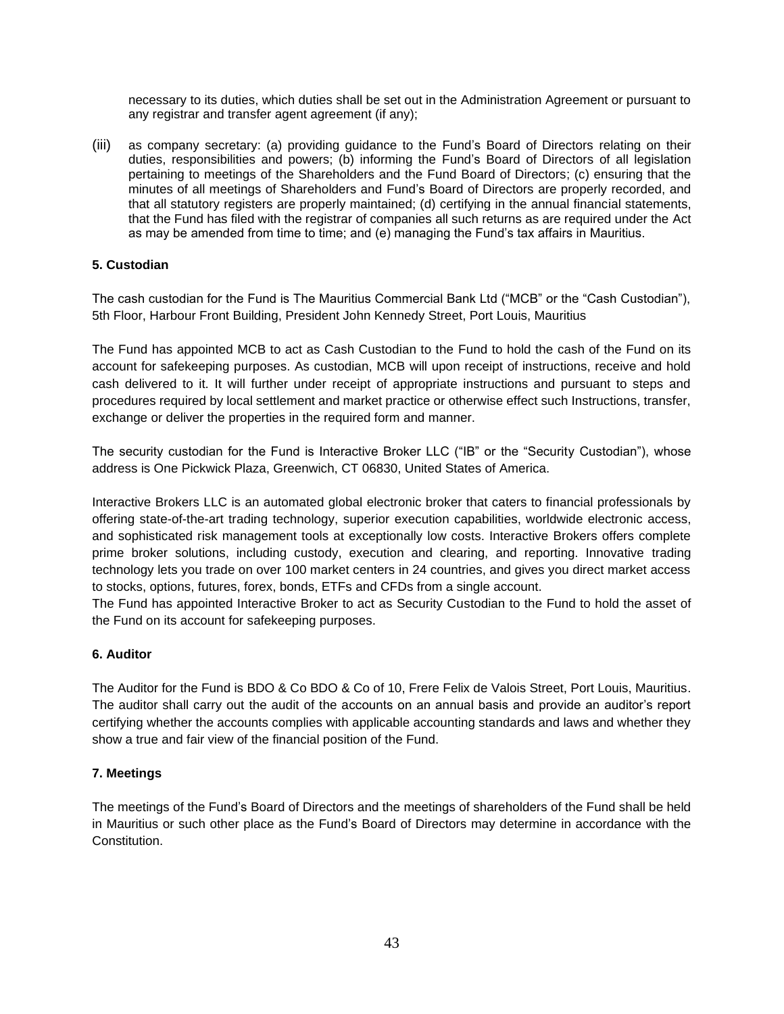necessary to its duties, which duties shall be set out in the Administration Agreement or pursuant to any registrar and transfer agent agreement (if any);

(iii) as company secretary: (a) providing guidance to the Fund's Board of Directors relating on their duties, responsibilities and powers; (b) informing the Fund's Board of Directors of all legislation pertaining to meetings of the Shareholders and the Fund Board of Directors; (c) ensuring that the minutes of all meetings of Shareholders and Fund's Board of Directors are properly recorded, and that all statutory registers are properly maintained; (d) certifying in the annual financial statements, that the Fund has filed with the registrar of companies all such returns as are required under the Act as may be amended from time to time; and (e) managing the Fund's tax affairs in Mauritius.

# **5. Custodian**

The cash custodian for the Fund is The Mauritius Commercial Bank Ltd ("MCB" or the "Cash Custodian"), 5th Floor, Harbour Front Building, President John Kennedy Street, Port Louis, Mauritius

The Fund has appointed MCB to act as Cash Custodian to the Fund to hold the cash of the Fund on its account for safekeeping purposes. As custodian, MCB will upon receipt of instructions, receive and hold cash delivered to it. It will further under receipt of appropriate instructions and pursuant to steps and procedures required by local settlement and market practice or otherwise effect such Instructions, transfer, exchange or deliver the properties in the required form and manner.

The security custodian for the Fund is Interactive Broker LLC ("IB" or the "Security Custodian"), whose address is One Pickwick Plaza, Greenwich, CT 06830, United States of America.

Interactive Brokers LLC is an automated global electronic broker that caters to financial professionals by offering state-of-the-art trading technology, superior execution capabilities, worldwide electronic access, and sophisticated risk management tools at exceptionally low costs. Interactive Brokers offers complete prime broker solutions, including custody, execution and clearing, and reporting. Innovative trading technology lets you trade on over 100 market centers in 24 countries, and gives you direct market access to stocks, options, futures, forex, bonds, ETFs and CFDs from a single account.

The Fund has appointed Interactive Broker to act as Security Custodian to the Fund to hold the asset of the Fund on its account for safekeeping purposes.

### **6. Auditor**

The Auditor for the Fund is BDO & Co BDO & Co of 10, Frere Felix de Valois Street, Port Louis, Mauritius. The auditor shall carry out the audit of the accounts on an annual basis and provide an auditor's report certifying whether the accounts complies with applicable accounting standards and laws and whether they show a true and fair view of the financial position of the Fund.

### **7. Meetings**

The meetings of the Fund's Board of Directors and the meetings of shareholders of the Fund shall be held in Mauritius or such other place as the Fund's Board of Directors may determine in accordance with the Constitution.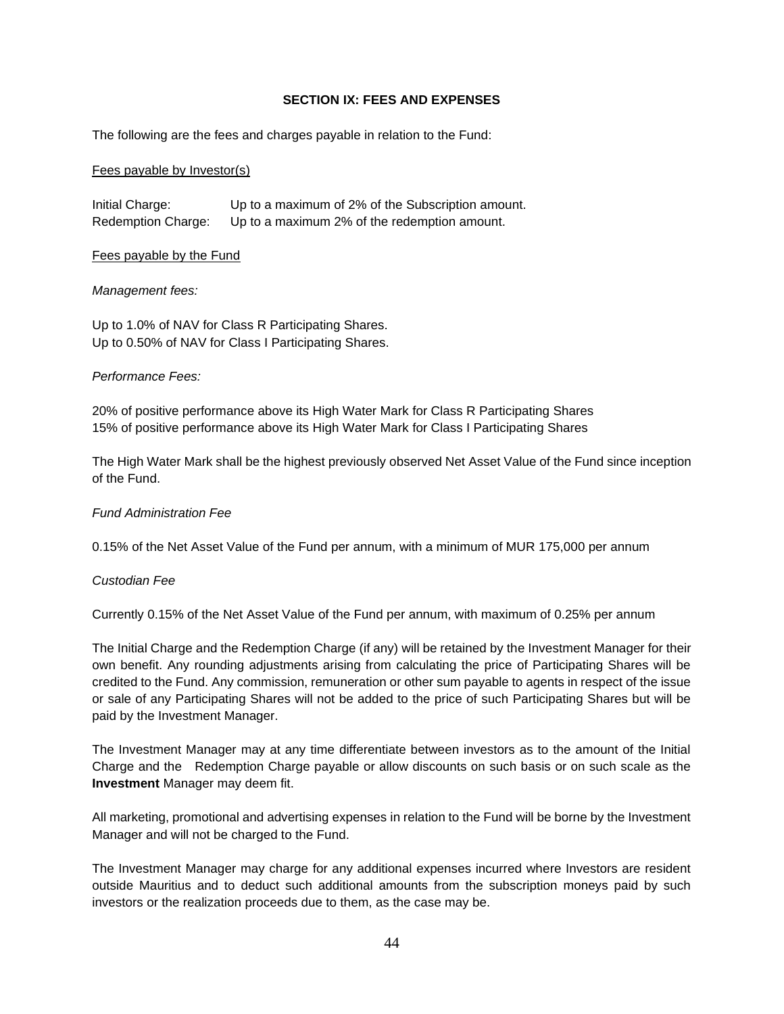#### **SECTION IX: FEES AND EXPENSES**

<span id="page-43-0"></span>The following are the fees and charges payable in relation to the Fund:

#### Fees payable by Investor(s)

Initial Charge: Up to a maximum of 2% of the Subscription amount. Redemption Charge: Up to a maximum 2% of the redemption amount.

#### Fees payable by the Fund

#### *Management fees:*

Up to 1.0% of NAV for Class R Participating Shares. Up to 0.50% of NAV for Class I Participating Shares.

#### *Performance Fees:*

20% of positive performance above its High Water Mark for Class R Participating Shares 15% of positive performance above its High Water Mark for Class I Participating Shares

The High Water Mark shall be the highest previously observed Net Asset Value of the Fund since inception of the Fund.

#### *Fund Administration Fee*

0.15% of the Net Asset Value of the Fund per annum, with a minimum of MUR 175,000 per annum

#### *Custodian Fee*

Currently 0.15% of the Net Asset Value of the Fund per annum, with maximum of 0.25% per annum

The Initial Charge and the Redemption Charge (if any) will be retained by the Investment Manager for their own benefit. Any rounding adjustments arising from calculating the price of Participating Shares will be credited to the Fund. Any commission, remuneration or other sum payable to agents in respect of the issue or sale of any Participating Shares will not be added to the price of such Participating Shares but will be paid by the Investment Manager.

The Investment Manager may at any time differentiate between investors as to the amount of the Initial Charge and the Redemption Charge payable or allow discounts on such basis or on such scale as the **Investment** Manager may deem fit.

All marketing, promotional and advertising expenses in relation to the Fund will be borne by the Investment Manager and will not be charged to the Fund.

The Investment Manager may charge for any additional expenses incurred where Investors are resident outside Mauritius and to deduct such additional amounts from the subscription moneys paid by such investors or the realization proceeds due to them, as the case may be.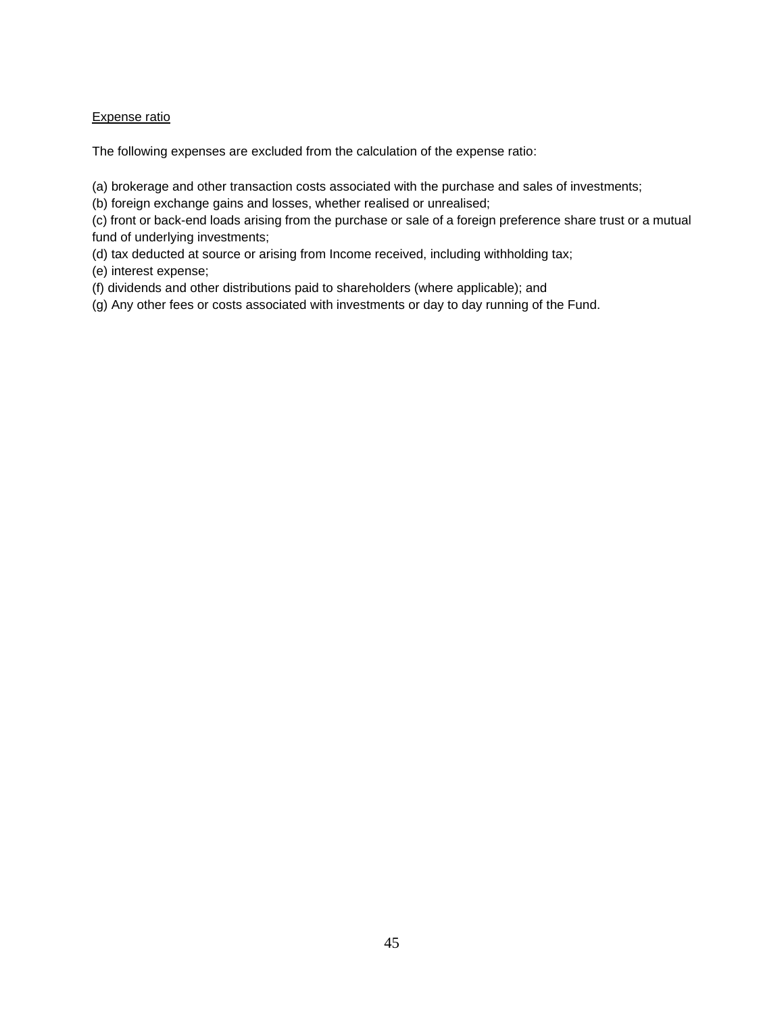# Expense ratio

The following expenses are excluded from the calculation of the expense ratio:

(a) brokerage and other transaction costs associated with the purchase and sales of investments;

(b) foreign exchange gains and losses, whether realised or unrealised;

(c) front or back-end loads arising from the purchase or sale of a foreign preference share trust or a mutual fund of underlying investments;

(d) tax deducted at source or arising from Income received, including withholding tax;

(e) interest expense;

(f) dividends and other distributions paid to shareholders (where applicable); and

(g) Any other fees or costs associated with investments or day to day running of the Fund.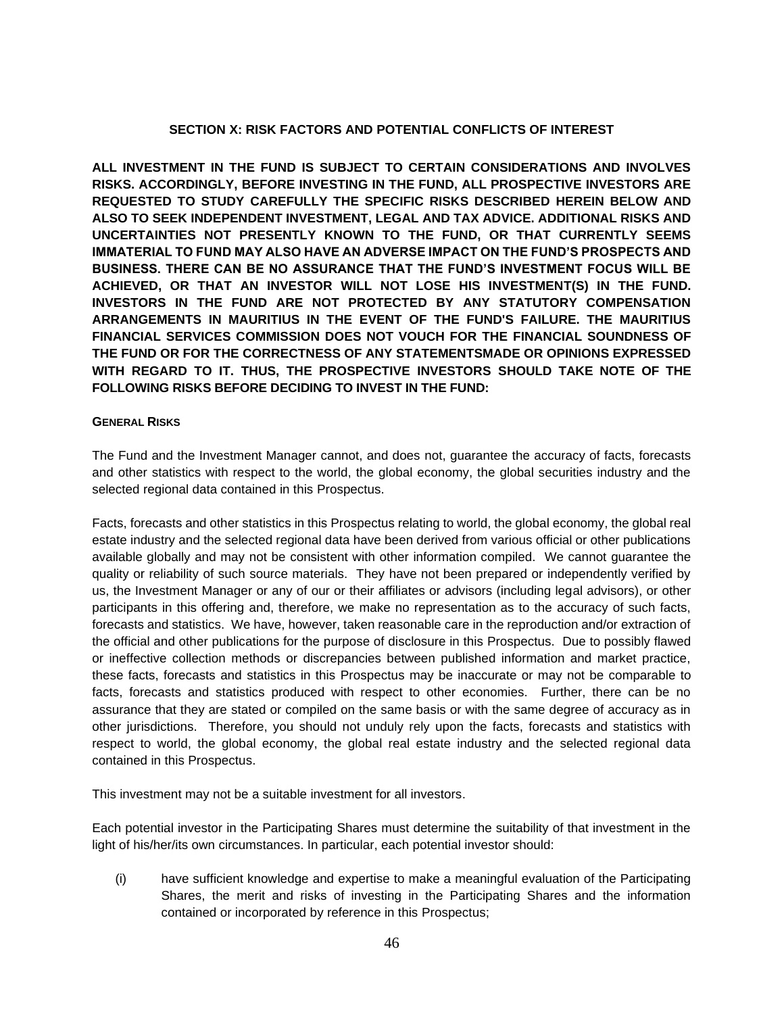### **SECTION X: RISK FACTORS AND POTENTIAL CONFLICTS OF INTEREST**

<span id="page-45-0"></span>**ALL INVESTMENT IN THE FUND IS SUBJECT TO CERTAIN CONSIDERATIONS AND INVOLVES RISKS. ACCORDINGLY, BEFORE INVESTING IN THE FUND, ALL PROSPECTIVE INVESTORS ARE REQUESTED TO STUDY CAREFULLY THE SPECIFIC RISKS DESCRIBED HEREIN BELOW AND ALSO TO SEEK INDEPENDENT INVESTMENT, LEGAL AND TAX ADVICE. ADDITIONAL RISKS AND UNCERTAINTIES NOT PRESENTLY KNOWN TO THE FUND, OR THAT CURRENTLY SEEMS IMMATERIAL TO FUND MAY ALSO HAVE AN ADVERSE IMPACT ON THE FUND'S PROSPECTS AND BUSINESS. THERE CAN BE NO ASSURANCE THAT THE FUND'S INVESTMENT FOCUS WILL BE ACHIEVED, OR THAT AN INVESTOR WILL NOT LOSE HIS INVESTMENT(S) IN THE FUND. INVESTORS IN THE FUND ARE NOT PROTECTED BY ANY STATUTORY COMPENSATION ARRANGEMENTS IN MAURITIUS IN THE EVENT OF THE FUND'S FAILURE. THE MAURITIUS FINANCIAL SERVICES COMMISSION DOES NOT VOUCH FOR THE FINANCIAL SOUNDNESS OF THE FUND OR FOR THE CORRECTNESS OF ANY STATEMENTSMADE OR OPINIONS EXPRESSED WITH REGARD TO IT. THUS, THE PROSPECTIVE INVESTORS SHOULD TAKE NOTE OF THE FOLLOWING RISKS BEFORE DECIDING TO INVEST IN THE FUND:**

#### **GENERAL RISKS**

The Fund and the Investment Manager cannot, and does not, guarantee the accuracy of facts, forecasts and other statistics with respect to the world, the global economy, the global securities industry and the selected regional data contained in this Prospectus.

Facts, forecasts and other statistics in this Prospectus relating to world, the global economy, the global real estate industry and the selected regional data have been derived from various official or other publications available globally and may not be consistent with other information compiled. We cannot guarantee the quality or reliability of such source materials. They have not been prepared or independently verified by us, the Investment Manager or any of our or their affiliates or advisors (including legal advisors), or other participants in this offering and, therefore, we make no representation as to the accuracy of such facts, forecasts and statistics. We have, however, taken reasonable care in the reproduction and/or extraction of the official and other publications for the purpose of disclosure in this Prospectus. Due to possibly flawed or ineffective collection methods or discrepancies between published information and market practice, these facts, forecasts and statistics in this Prospectus may be inaccurate or may not be comparable to facts, forecasts and statistics produced with respect to other economies. Further, there can be no assurance that they are stated or compiled on the same basis or with the same degree of accuracy as in other jurisdictions. Therefore, you should not unduly rely upon the facts, forecasts and statistics with respect to world, the global economy, the global real estate industry and the selected regional data contained in this Prospectus.

This investment may not be a suitable investment for all investors.

Each potential investor in the Participating Shares must determine the suitability of that investment in the light of his/her/its own circumstances. In particular, each potential investor should:

(i) have sufficient knowledge and expertise to make a meaningful evaluation of the Participating Shares, the merit and risks of investing in the Participating Shares and the information contained or incorporated by reference in this Prospectus;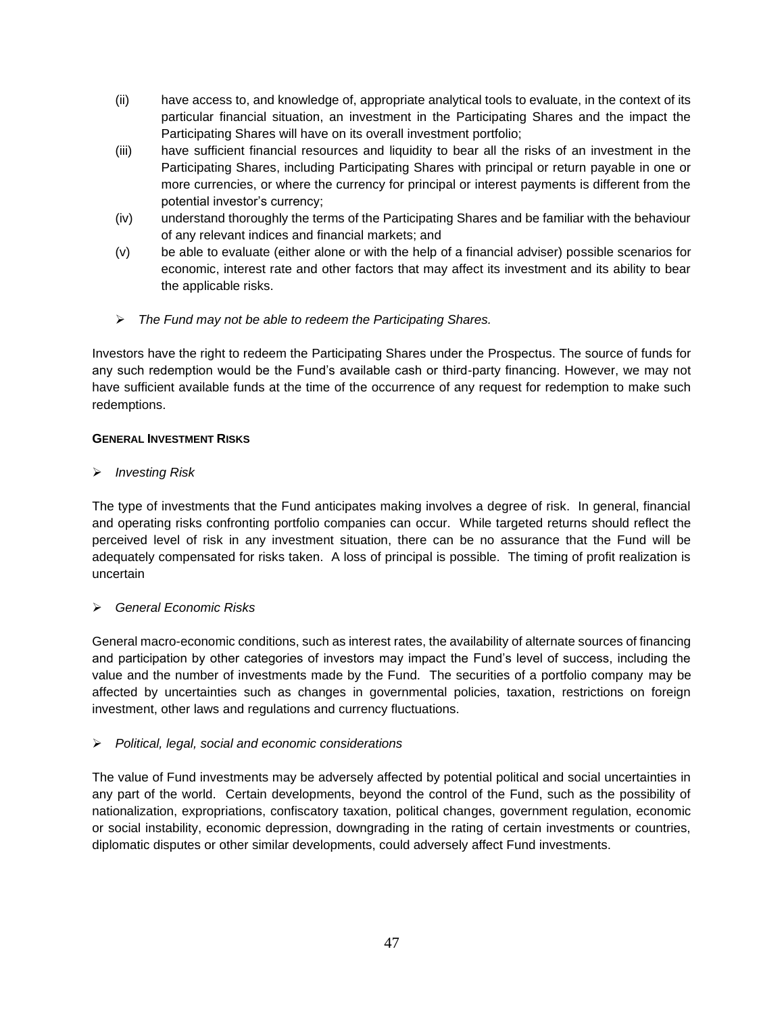- (ii) have access to, and knowledge of, appropriate analytical tools to evaluate, in the context of its particular financial situation, an investment in the Participating Shares and the impact the Participating Shares will have on its overall investment portfolio;
- (iii) have sufficient financial resources and liquidity to bear all the risks of an investment in the Participating Shares, including Participating Shares with principal or return payable in one or more currencies, or where the currency for principal or interest payments is different from the potential investor's currency;
- (iv) understand thoroughly the terms of the Participating Shares and be familiar with the behaviour of any relevant indices and financial markets; and
- (v) be able to evaluate (either alone or with the help of a financial adviser) possible scenarios for economic, interest rate and other factors that may affect its investment and its ability to bear the applicable risks.
- ➢ *The Fund may not be able to redeem the Participating Shares.*

Investors have the right to redeem the Participating Shares under the Prospectus. The source of funds for any such redemption would be the Fund's available cash or third-party financing. However, we may not have sufficient available funds at the time of the occurrence of any request for redemption to make such redemptions.

# **GENERAL INVESTMENT RISKS**

➢ *Investing Risk*

The type of investments that the Fund anticipates making involves a degree of risk. In general, financial and operating risks confronting portfolio companies can occur. While targeted returns should reflect the perceived level of risk in any investment situation, there can be no assurance that the Fund will be adequately compensated for risks taken. A loss of principal is possible. The timing of profit realization is uncertain

# ➢ *General Economic Risks*

General macro-economic conditions, such as interest rates, the availability of alternate sources of financing and participation by other categories of investors may impact the Fund's level of success, including the value and the number of investments made by the Fund. The securities of a portfolio company may be affected by uncertainties such as changes in governmental policies, taxation, restrictions on foreign investment, other laws and regulations and currency fluctuations.

# ➢ *Political, legal, social and economic considerations*

The value of Fund investments may be adversely affected by potential political and social uncertainties in any part of the world. Certain developments, beyond the control of the Fund, such as the possibility of nationalization, expropriations, confiscatory taxation, political changes, government regulation, economic or social instability, economic depression, downgrading in the rating of certain investments or countries, diplomatic disputes or other similar developments, could adversely affect Fund investments.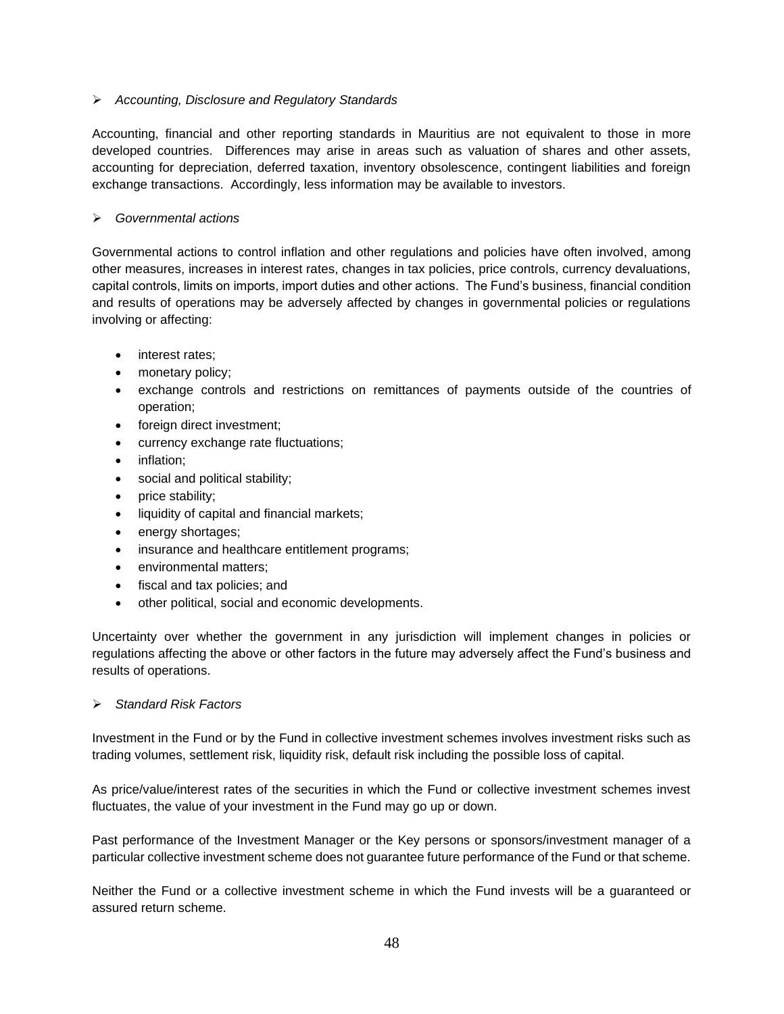# ➢ *Accounting, Disclosure and Regulatory Standards*

Accounting, financial and other reporting standards in Mauritius are not equivalent to those in more developed countries. Differences may arise in areas such as valuation of shares and other assets, accounting for depreciation, deferred taxation, inventory obsolescence, contingent liabilities and foreign exchange transactions. Accordingly, less information may be available to investors.

### ➢ *Governmental actions*

Governmental actions to control inflation and other regulations and policies have often involved, among other measures, increases in interest rates, changes in tax policies, price controls, currency devaluations, capital controls, limits on imports, import duties and other actions. The Fund's business, financial condition and results of operations may be adversely affected by changes in governmental policies or regulations involving or affecting:

- interest rates:
- monetary policy;
- exchange controls and restrictions on remittances of payments outside of the countries of operation;
- foreign direct investment;
- currency exchange rate fluctuations;
- inflation;
- social and political stability;
- price stability;
- liquidity of capital and financial markets;
- energy shortages;
- insurance and healthcare entitlement programs;
- environmental matters:
- fiscal and tax policies; and
- other political, social and economic developments.

Uncertainty over whether the government in any jurisdiction will implement changes in policies or regulations affecting the above or other factors in the future may adversely affect the Fund's business and results of operations.

### ➢ *Standard Risk Factors*

Investment in the Fund or by the Fund in collective investment schemes involves investment risks such as trading volumes, settlement risk, liquidity risk, default risk including the possible loss of capital.

As price/value/interest rates of the securities in which the Fund or collective investment schemes invest fluctuates, the value of your investment in the Fund may go up or down.

Past performance of the Investment Manager or the Key persons or sponsors/investment manager of a particular collective investment scheme does not guarantee future performance of the Fund or that scheme.

Neither the Fund or a collective investment scheme in which the Fund invests will be a guaranteed or assured return scheme.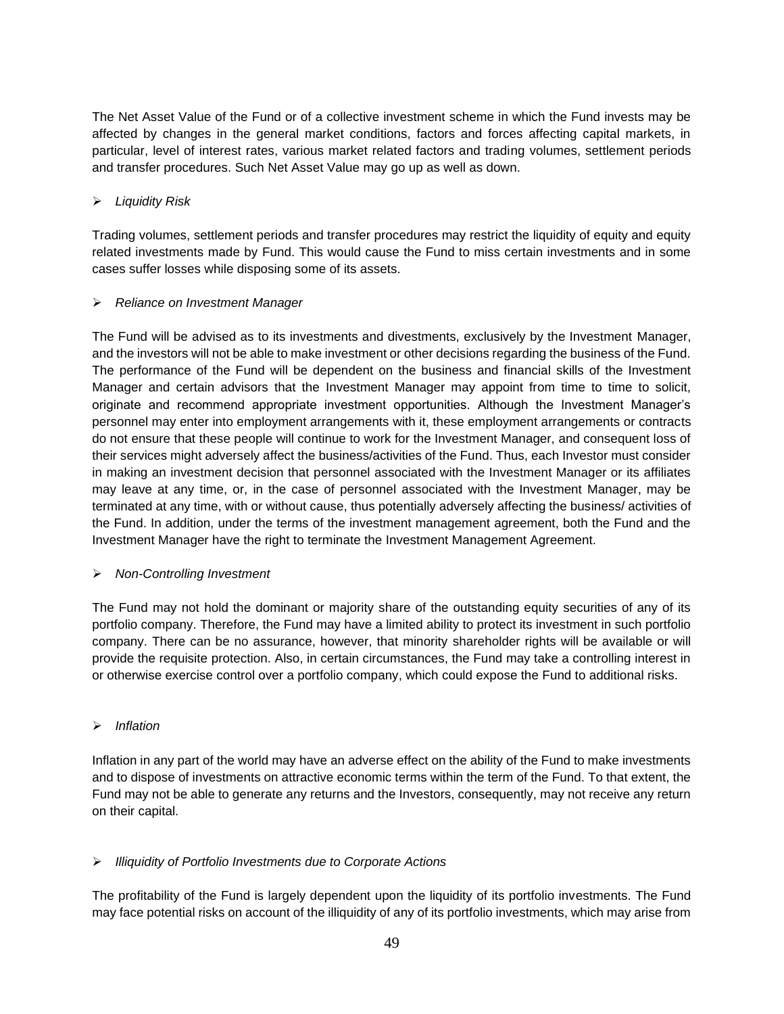The Net Asset Value of the Fund or of a collective investment scheme in which the Fund invests may be affected by changes in the general market conditions, factors and forces affecting capital markets, in particular, level of interest rates, various market related factors and trading volumes, settlement periods and transfer procedures. Such Net Asset Value may go up as well as down.

# ➢ *Liquidity Risk*

Trading volumes, settlement periods and transfer procedures may restrict the liquidity of equity and equity related investments made by Fund. This would cause the Fund to miss certain investments and in some cases suffer losses while disposing some of its assets.

### ➢ *Reliance on Investment Manager*

The Fund will be advised as to its investments and divestments, exclusively by the Investment Manager, and the investors will not be able to make investment or other decisions regarding the business of the Fund. The performance of the Fund will be dependent on the business and financial skills of the Investment Manager and certain advisors that the Investment Manager may appoint from time to time to solicit, originate and recommend appropriate investment opportunities. Although the Investment Manager's personnel may enter into employment arrangements with it, these employment arrangements or contracts do not ensure that these people will continue to work for the Investment Manager, and consequent loss of their services might adversely affect the business/activities of the Fund. Thus, each Investor must consider in making an investment decision that personnel associated with the Investment Manager or its affiliates may leave at any time, or, in the case of personnel associated with the Investment Manager, may be terminated at any time, with or without cause, thus potentially adversely affecting the business/ activities of the Fund. In addition, under the terms of the investment management agreement, both the Fund and the Investment Manager have the right to terminate the Investment Management Agreement.

### ➢ *Non-Controlling Investment*

The Fund may not hold the dominant or majority share of the outstanding equity securities of any of its portfolio company. Therefore, the Fund may have a limited ability to protect its investment in such portfolio company. There can be no assurance, however, that minority shareholder rights will be available or will provide the requisite protection. Also, in certain circumstances, the Fund may take a controlling interest in or otherwise exercise control over a portfolio company, which could expose the Fund to additional risks.

# ➢ *Inflation*

Inflation in any part of the world may have an adverse effect on the ability of the Fund to make investments and to dispose of investments on attractive economic terms within the term of the Fund. To that extent, the Fund may not be able to generate any returns and the Investors, consequently, may not receive any return on their capital.

# ➢ *Illiquidity of Portfolio Investments due to Corporate Actions*

The profitability of the Fund is largely dependent upon the liquidity of its portfolio investments. The Fund may face potential risks on account of the illiquidity of any of its portfolio investments, which may arise from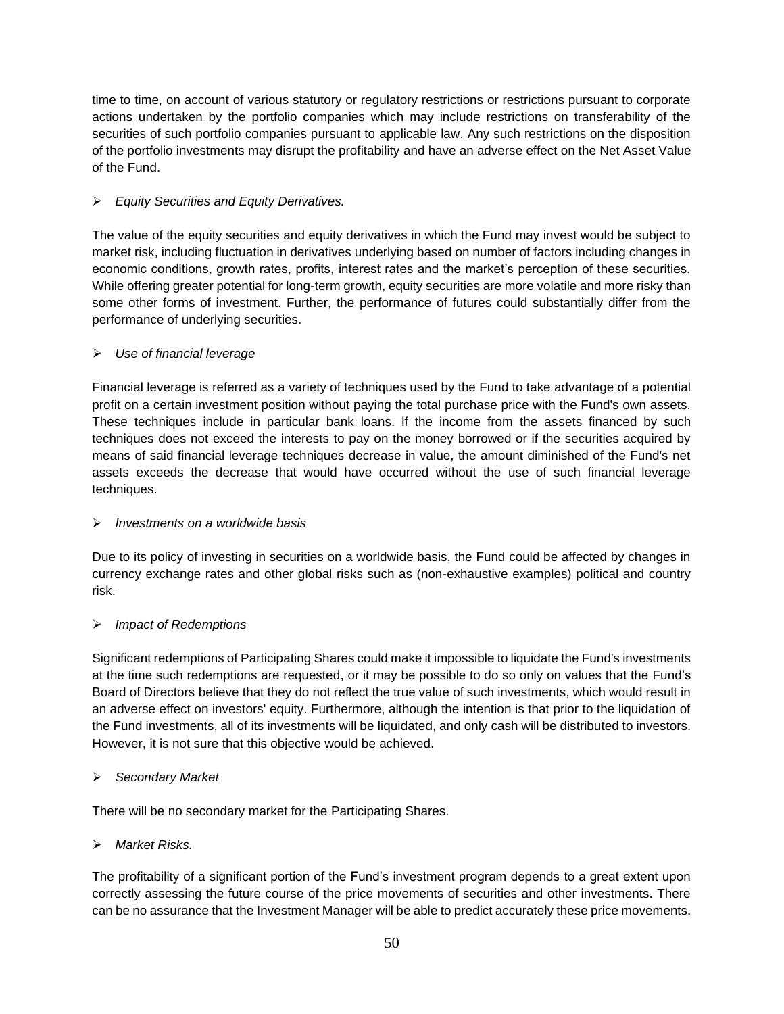time to time, on account of various statutory or regulatory restrictions or restrictions pursuant to corporate actions undertaken by the portfolio companies which may include restrictions on transferability of the securities of such portfolio companies pursuant to applicable law. Any such restrictions on the disposition of the portfolio investments may disrupt the profitability and have an adverse effect on the Net Asset Value of the Fund.

# ➢ *Equity Securities and Equity Derivatives.*

The value of the equity securities and equity derivatives in which the Fund may invest would be subject to market risk, including fluctuation in derivatives underlying based on number of factors including changes in economic conditions, growth rates, profits, interest rates and the market's perception of these securities. While offering greater potential for long-term growth, equity securities are more volatile and more risky than some other forms of investment. Further, the performance of futures could substantially differ from the performance of underlying securities.

# ➢ *Use of financial leverage*

Financial leverage is referred as a variety of techniques used by the Fund to take advantage of a potential profit on a certain investment position without paying the total purchase price with the Fund's own assets. These techniques include in particular bank loans. lf the income from the assets financed by such techniques does not exceed the interests to pay on the money borrowed or if the securities acquired by means of said financial leverage techniques decrease in value, the amount diminished of the Fund's net assets exceeds the decrease that would have occurred without the use of such financial leverage techniques.

### ➢ *Investments on a worldwide basis*

Due to its policy of investing in securities on a worldwide basis, the Fund could be affected by changes in currency exchange rates and other global risks such as (non-exhaustive examples) political and country risk.

# ➢ *Impact of Redemptions*

Significant redemptions of Participating Shares could make it impossible to liquidate the Fund's investments at the time such redemptions are requested, or it may be possible to do so only on values that the Fund's Board of Directors believe that they do not reflect the true value of such investments, which would result in an adverse effect on investors' equity. Furthermore, although the intention is that prior to the liquidation of the Fund investments, all of its investments will be liquidated, and only cash will be distributed to investors. However, it is not sure that this objective would be achieved.

### ➢ *Secondary Market*

There will be no secondary market for the Participating Shares.

# ➢ *Market Risks.*

The profitability of a significant portion of the Fund's investment program depends to a great extent upon correctly assessing the future course of the price movements of securities and other investments. There can be no assurance that the Investment Manager will be able to predict accurately these price movements.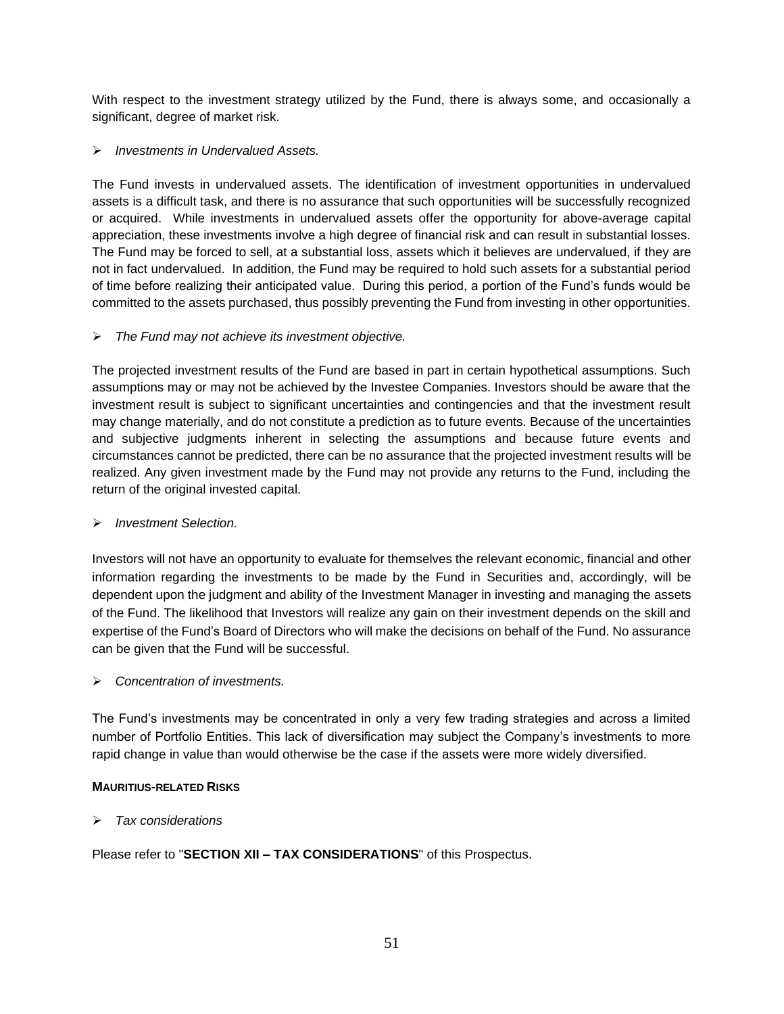With respect to the investment strategy utilized by the Fund, there is always some, and occasionally a significant, degree of market risk.

# ➢ *Investments in Undervalued Assets.*

The Fund invests in undervalued assets. The identification of investment opportunities in undervalued assets is a difficult task, and there is no assurance that such opportunities will be successfully recognized or acquired. While investments in undervalued assets offer the opportunity for above-average capital appreciation, these investments involve a high degree of financial risk and can result in substantial losses. The Fund may be forced to sell, at a substantial loss, assets which it believes are undervalued, if they are not in fact undervalued. In addition, the Fund may be required to hold such assets for a substantial period of time before realizing their anticipated value. During this period, a portion of the Fund's funds would be committed to the assets purchased, thus possibly preventing the Fund from investing in other opportunities.

### ➢ *The Fund may not achieve its investment objective.*

The projected investment results of the Fund are based in part in certain hypothetical assumptions. Such assumptions may or may not be achieved by the Investee Companies. Investors should be aware that the investment result is subject to significant uncertainties and contingencies and that the investment result may change materially, and do not constitute a prediction as to future events. Because of the uncertainties and subjective judgments inherent in selecting the assumptions and because future events and circumstances cannot be predicted, there can be no assurance that the projected investment results will be realized. Any given investment made by the Fund may not provide any returns to the Fund, including the return of the original invested capital.

### ➢ *Investment Selection.*

Investors will not have an opportunity to evaluate for themselves the relevant economic, financial and other information regarding the investments to be made by the Fund in Securities and, accordingly, will be dependent upon the judgment and ability of the Investment Manager in investing and managing the assets of the Fund. The likelihood that Investors will realize any gain on their investment depends on the skill and expertise of the Fund's Board of Directors who will make the decisions on behalf of the Fund. No assurance can be given that the Fund will be successful.

### ➢ *Concentration of investments.*

The Fund's investments may be concentrated in only a very few trading strategies and across a limited number of Portfolio Entities. This lack of diversification may subject the Company's investments to more rapid change in value than would otherwise be the case if the assets were more widely diversified.

### **MAURITIUS-RELATED RISKS**

➢ *Tax considerations*

Please refer to "**SECTION XII – TAX CONSIDERATIONS**" of this Prospectus.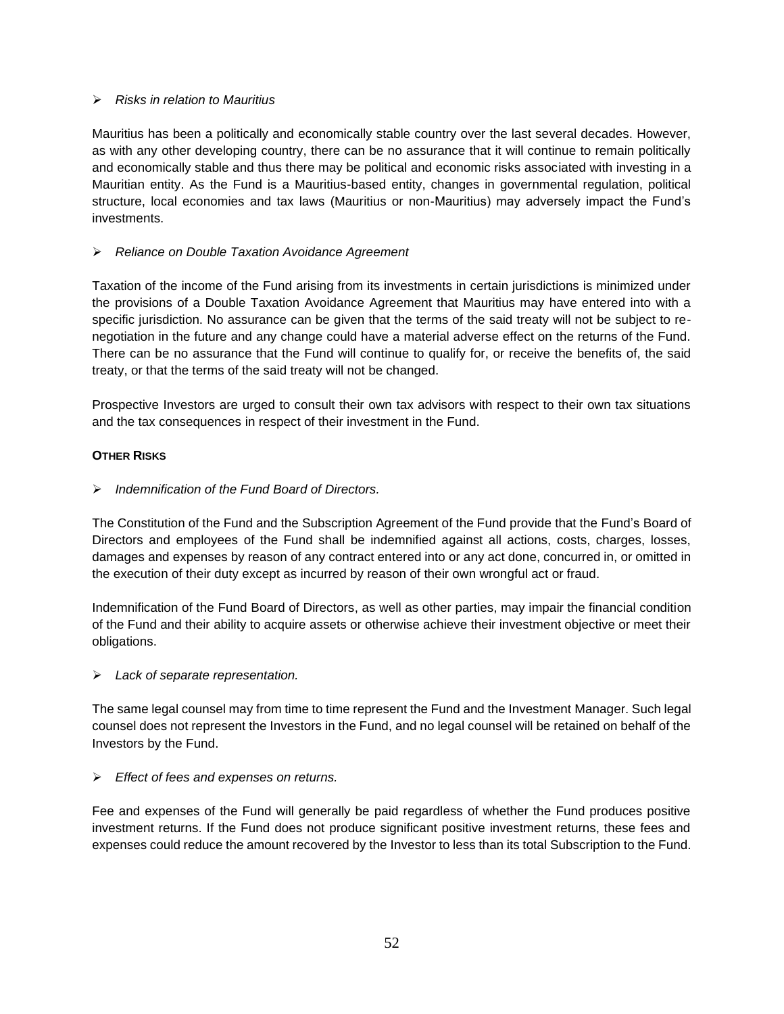### ➢ *Risks in relation to Mauritius*

Mauritius has been a politically and economically stable country over the last several decades. However, as with any other developing country, there can be no assurance that it will continue to remain politically and economically stable and thus there may be political and economic risks associated with investing in a Mauritian entity. As the Fund is a Mauritius-based entity, changes in governmental regulation, political structure, local economies and tax laws (Mauritius or non-Mauritius) may adversely impact the Fund's investments.

# ➢ *Reliance on Double Taxation Avoidance Agreement*

Taxation of the income of the Fund arising from its investments in certain jurisdictions is minimized under the provisions of a Double Taxation Avoidance Agreement that Mauritius may have entered into with a specific jurisdiction. No assurance can be given that the terms of the said treaty will not be subject to renegotiation in the future and any change could have a material adverse effect on the returns of the Fund. There can be no assurance that the Fund will continue to qualify for, or receive the benefits of, the said treaty, or that the terms of the said treaty will not be changed.

Prospective Investors are urged to consult their own tax advisors with respect to their own tax situations and the tax consequences in respect of their investment in the Fund.

# **OTHER RISKS**

➢ *Indemnification of the Fund Board of Directors.*

The Constitution of the Fund and the Subscription Agreement of the Fund provide that the Fund's Board of Directors and employees of the Fund shall be indemnified against all actions, costs, charges, losses, damages and expenses by reason of any contract entered into or any act done, concurred in, or omitted in the execution of their duty except as incurred by reason of their own wrongful act or fraud.

Indemnification of the Fund Board of Directors, as well as other parties, may impair the financial condition of the Fund and their ability to acquire assets or otherwise achieve their investment objective or meet their obligations.

### ➢ *Lack of separate representation.*

The same legal counsel may from time to time represent the Fund and the Investment Manager. Such legal counsel does not represent the Investors in the Fund, and no legal counsel will be retained on behalf of the Investors by the Fund.

### ➢ *Effect of fees and expenses on returns.*

Fee and expenses of the Fund will generally be paid regardless of whether the Fund produces positive investment returns. If the Fund does not produce significant positive investment returns, these fees and expenses could reduce the amount recovered by the Investor to less than its total Subscription to the Fund.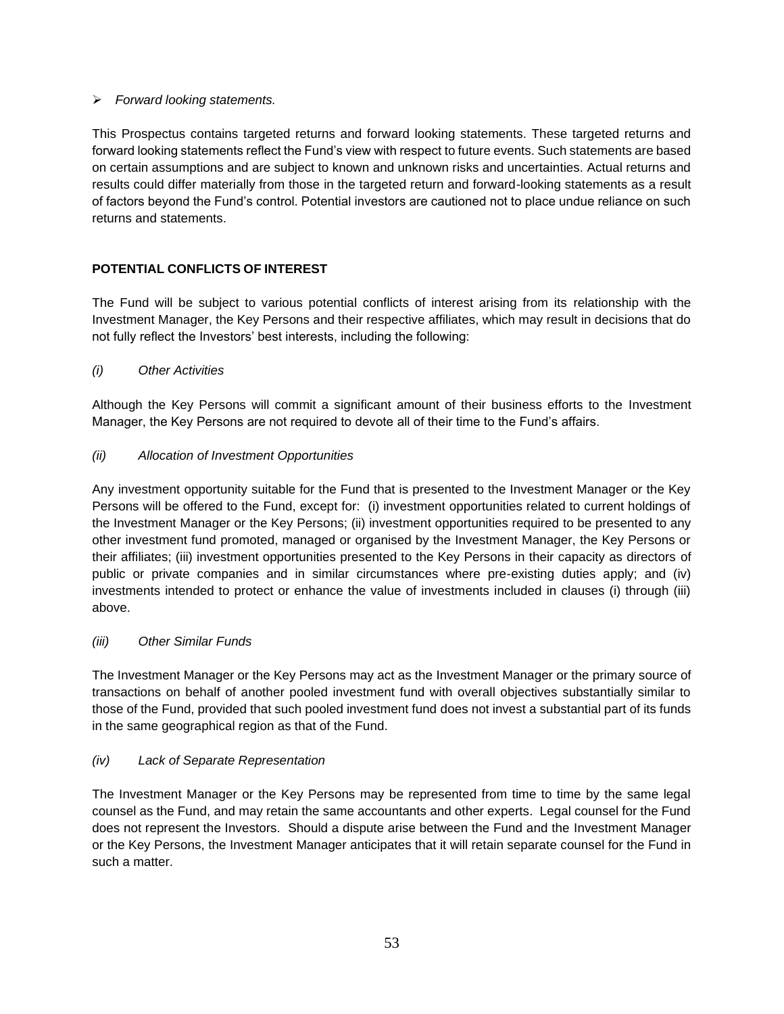# ➢ *Forward looking statements.*

This Prospectus contains targeted returns and forward looking statements. These targeted returns and forward looking statements reflect the Fund's view with respect to future events. Such statements are based on certain assumptions and are subject to known and unknown risks and uncertainties. Actual returns and results could differ materially from those in the targeted return and forward-looking statements as a result of factors beyond the Fund's control. Potential investors are cautioned not to place undue reliance on such returns and statements.

# **POTENTIAL CONFLICTS OF INTEREST**

The Fund will be subject to various potential conflicts of interest arising from its relationship with the Investment Manager, the Key Persons and their respective affiliates, which may result in decisions that do not fully reflect the Investors' best interests, including the following:

### *(i) Other Activities*

Although the Key Persons will commit a significant amount of their business efforts to the Investment Manager, the Key Persons are not required to devote all of their time to the Fund's affairs.

# *(ii) Allocation of Investment Opportunities*

Any investment opportunity suitable for the Fund that is presented to the Investment Manager or the Key Persons will be offered to the Fund, except for: (i) investment opportunities related to current holdings of the Investment Manager or the Key Persons; (ii) investment opportunities required to be presented to any other investment fund promoted, managed or organised by the Investment Manager, the Key Persons or their affiliates; (iii) investment opportunities presented to the Key Persons in their capacity as directors of public or private companies and in similar circumstances where pre-existing duties apply; and (iv) investments intended to protect or enhance the value of investments included in clauses (i) through (iii) above.

### *(iii) Other Similar Funds*

The Investment Manager or the Key Persons may act as the Investment Manager or the primary source of transactions on behalf of another pooled investment fund with overall objectives substantially similar to those of the Fund, provided that such pooled investment fund does not invest a substantial part of its funds in the same geographical region as that of the Fund.

### *(iv) Lack of Separate Representation*

The Investment Manager or the Key Persons may be represented from time to time by the same legal counsel as the Fund, and may retain the same accountants and other experts. Legal counsel for the Fund does not represent the Investors. Should a dispute arise between the Fund and the Investment Manager or the Key Persons, the Investment Manager anticipates that it will retain separate counsel for the Fund in such a matter.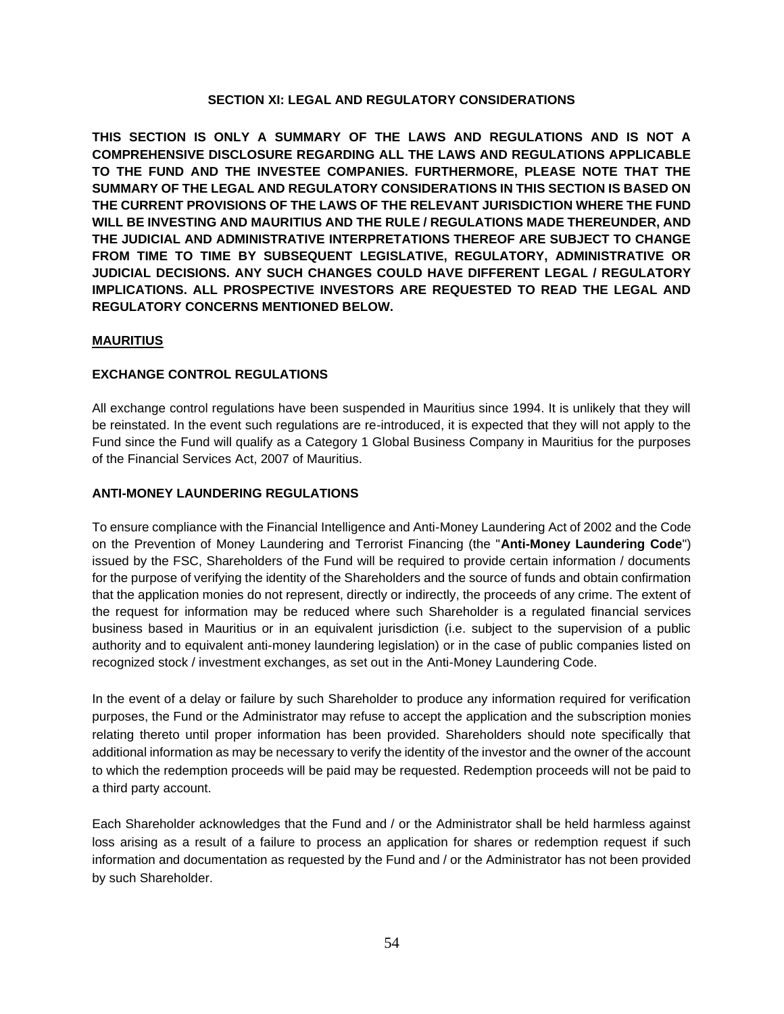### **SECTION XI: LEGAL AND REGULATORY CONSIDERATIONS**

<span id="page-53-0"></span>**THIS SECTION IS ONLY A SUMMARY OF THE LAWS AND REGULATIONS AND IS NOT A COMPREHENSIVE DISCLOSURE REGARDING ALL THE LAWS AND REGULATIONS APPLICABLE TO THE FUND AND THE INVESTEE COMPANIES. FURTHERMORE, PLEASE NOTE THAT THE SUMMARY OF THE LEGAL AND REGULATORY CONSIDERATIONS IN THIS SECTION IS BASED ON THE CURRENT PROVISIONS OF THE LAWS OF THE RELEVANT JURISDICTION WHERE THE FUND WILL BE INVESTING AND MAURITIUS AND THE RULE / REGULATIONS MADE THEREUNDER, AND THE JUDICIAL AND ADMINISTRATIVE INTERPRETATIONS THEREOF ARE SUBJECT TO CHANGE FROM TIME TO TIME BY SUBSEQUENT LEGISLATIVE, REGULATORY, ADMINISTRATIVE OR JUDICIAL DECISIONS. ANY SUCH CHANGES COULD HAVE DIFFERENT LEGAL / REGULATORY IMPLICATIONS. ALL PROSPECTIVE INVESTORS ARE REQUESTED TO READ THE LEGAL AND REGULATORY CONCERNS MENTIONED BELOW.**

### **MAURITIUS**

### **EXCHANGE CONTROL REGULATIONS**

All exchange control regulations have been suspended in Mauritius since 1994. It is unlikely that they will be reinstated. In the event such regulations are re-introduced, it is expected that they will not apply to the Fund since the Fund will qualify as a Category 1 Global Business Company in Mauritius for the purposes of the Financial Services Act, 2007 of Mauritius.

### **ANTI-MONEY LAUNDERING REGULATIONS**

To ensure compliance with the Financial Intelligence and Anti-Money Laundering Act of 2002 and the Code on the Prevention of Money Laundering and Terrorist Financing (the "**Anti-Money Laundering Code**") issued by the FSC, Shareholders of the Fund will be required to provide certain information / documents for the purpose of verifying the identity of the Shareholders and the source of funds and obtain confirmation that the application monies do not represent, directly or indirectly, the proceeds of any crime. The extent of the request for information may be reduced where such Shareholder is a regulated financial services business based in Mauritius or in an equivalent jurisdiction (i.e. subject to the supervision of a public authority and to equivalent anti-money laundering legislation) or in the case of public companies listed on recognized stock / investment exchanges, as set out in the Anti-Money Laundering Code.

In the event of a delay or failure by such Shareholder to produce any information required for verification purposes, the Fund or the Administrator may refuse to accept the application and the subscription monies relating thereto until proper information has been provided. Shareholders should note specifically that additional information as may be necessary to verify the identity of the investor and the owner of the account to which the redemption proceeds will be paid may be requested. Redemption proceeds will not be paid to a third party account.

Each Shareholder acknowledges that the Fund and / or the Administrator shall be held harmless against loss arising as a result of a failure to process an application for shares or redemption request if such information and documentation as requested by the Fund and / or the Administrator has not been provided by such Shareholder.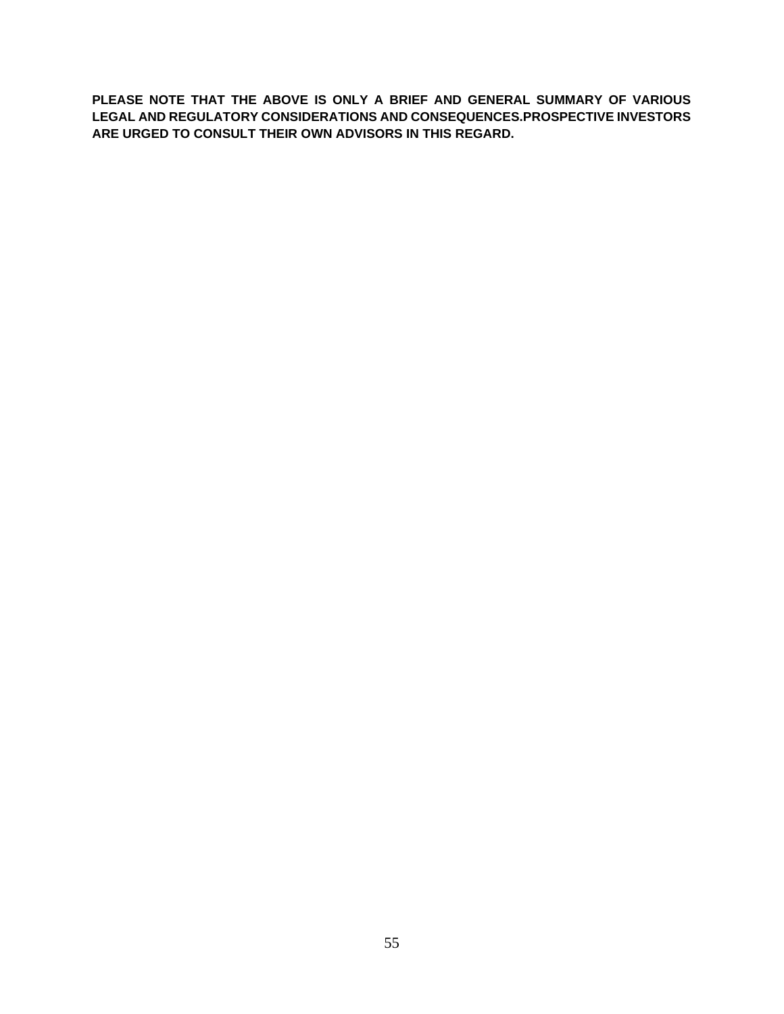**PLEASE NOTE THAT THE ABOVE IS ONLY A BRIEF AND GENERAL SUMMARY OF VARIOUS LEGAL AND REGULATORY CONSIDERATIONS AND CONSEQUENCES.PROSPECTIVE INVESTORS ARE URGED TO CONSULT THEIR OWN ADVISORS IN THIS REGARD.**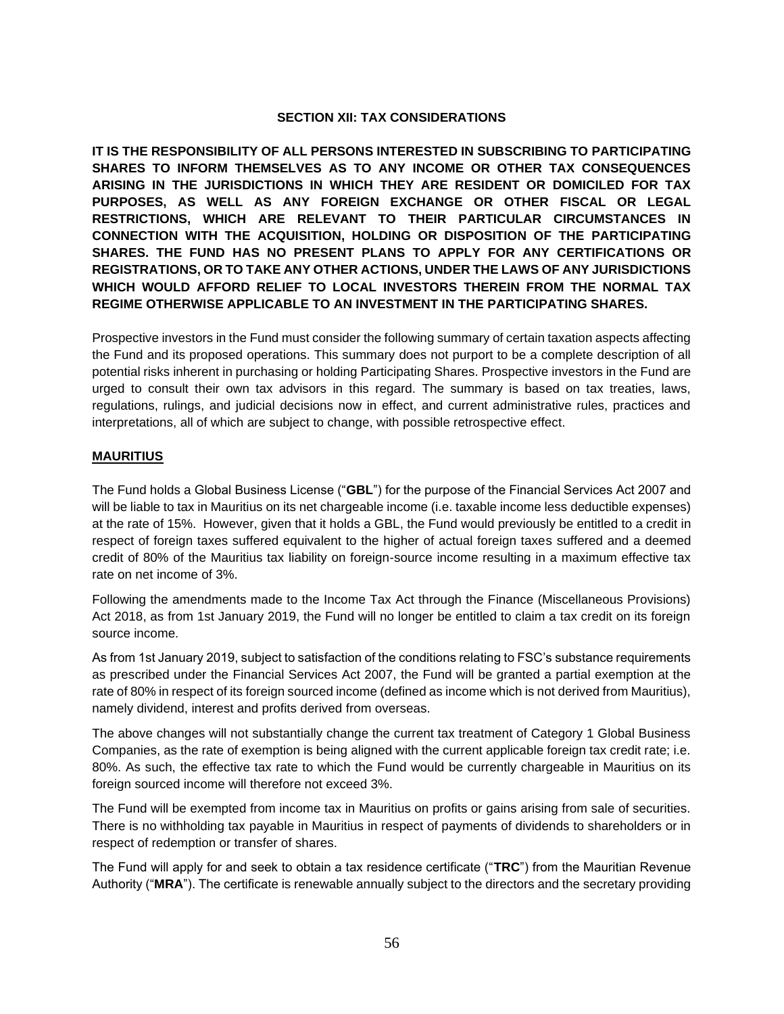### **SECTION XII: TAX CONSIDERATIONS**

**IT IS THE RESPONSIBILITY OF ALL PERSONS INTERESTED IN SUBSCRIBING TO PARTICIPATING SHARES TO INFORM THEMSELVES AS TO ANY INCOME OR OTHER TAX CONSEQUENCES ARISING IN THE JURISDICTIONS IN WHICH THEY ARE RESIDENT OR DOMICILED FOR TAX PURPOSES, AS WELL AS ANY FOREIGN EXCHANGE OR OTHER FISCAL OR LEGAL RESTRICTIONS, WHICH ARE RELEVANT TO THEIR PARTICULAR CIRCUMSTANCES IN CONNECTION WITH THE ACQUISITION, HOLDING OR DISPOSITION OF THE PARTICIPATING SHARES. THE FUND HAS NO PRESENT PLANS TO APPLY FOR ANY CERTIFICATIONS OR REGISTRATIONS, OR TO TAKE ANY OTHER ACTIONS, UNDER THE LAWS OF ANY JURISDICTIONS WHICH WOULD AFFORD RELIEF TO LOCAL INVESTORS THEREIN FROM THE NORMAL TAX REGIME OTHERWISE APPLICABLE TO AN INVESTMENT IN THE PARTICIPATING SHARES.**

Prospective investors in the Fund must consider the following summary of certain taxation aspects affecting the Fund and its proposed operations. This summary does not purport to be a complete description of all potential risks inherent in purchasing or holding Participating Shares. Prospective investors in the Fund are urged to consult their own tax advisors in this regard. The summary is based on tax treaties, laws, regulations, rulings, and judicial decisions now in effect, and current administrative rules, practices and interpretations, all of which are subject to change, with possible retrospective effect.

### **MAURITIUS**

The Fund holds a Global Business License ("**GBL**") for the purpose of the Financial Services Act 2007 and will be liable to tax in Mauritius on its net chargeable income (i.e. taxable income less deductible expenses) at the rate of 15%. However, given that it holds a GBL, the Fund would previously be entitled to a credit in respect of foreign taxes suffered equivalent to the higher of actual foreign taxes suffered and a deemed credit of 80% of the Mauritius tax liability on foreign-source income resulting in a maximum effective tax rate on net income of 3%.

Following the amendments made to the Income Tax Act through the Finance (Miscellaneous Provisions) Act 2018, as from 1st January 2019, the Fund will no longer be entitled to claim a tax credit on its foreign source income.

As from 1st January 2019, subject to satisfaction of the conditions relating to FSC's substance requirements as prescribed under the Financial Services Act 2007, the Fund will be granted a partial exemption at the rate of 80% in respect of its foreign sourced income (defined as income which is not derived from Mauritius), namely dividend, interest and profits derived from overseas.

The above changes will not substantially change the current tax treatment of Category 1 Global Business Companies, as the rate of exemption is being aligned with the current applicable foreign tax credit rate; i.e. 80%. As such, the effective tax rate to which the Fund would be currently chargeable in Mauritius on its foreign sourced income will therefore not exceed 3%.

The Fund will be exempted from income tax in Mauritius on profits or gains arising from sale of securities. There is no withholding tax payable in Mauritius in respect of payments of dividends to shareholders or in respect of redemption or transfer of shares.

The Fund will apply for and seek to obtain a tax residence certificate ("**TRC**") from the Mauritian Revenue Authority ("**MRA**"). The certificate is renewable annually subject to the directors and the secretary providing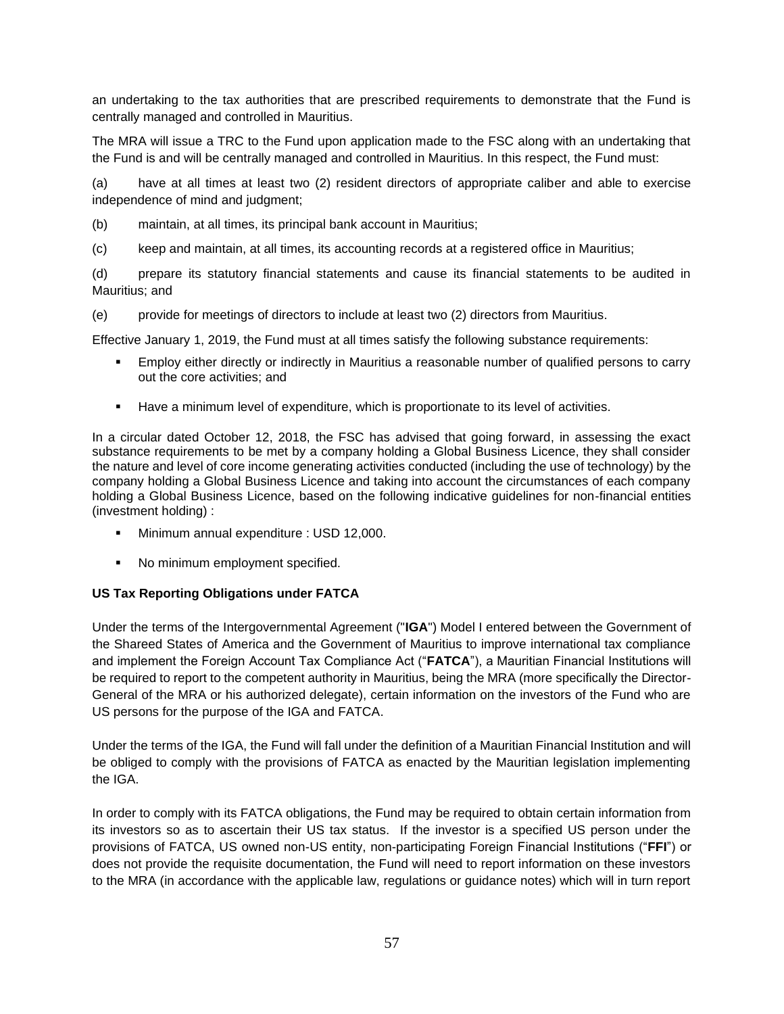an undertaking to the tax authorities that are prescribed requirements to demonstrate that the Fund is centrally managed and controlled in Mauritius.

The MRA will issue a TRC to the Fund upon application made to the FSC along with an undertaking that the Fund is and will be centrally managed and controlled in Mauritius. In this respect, the Fund must:

(a) have at all times at least two (2) resident directors of appropriate caliber and able to exercise independence of mind and judgment;

- (b) maintain, at all times, its principal bank account in Mauritius;
- (c) keep and maintain, at all times, its accounting records at a registered office in Mauritius;

(d) prepare its statutory financial statements and cause its financial statements to be audited in Mauritius; and

(e) provide for meetings of directors to include at least two (2) directors from Mauritius.

Effective January 1, 2019, the Fund must at all times satisfy the following substance requirements:

- Employ either directly or indirectly in Mauritius a reasonable number of qualified persons to carry out the core activities; and
- **■** Have a minimum level of expenditure, which is proportionate to its level of activities.

In a circular dated October 12, 2018, the FSC has advised that going forward, in assessing the exact substance requirements to be met by a company holding a Global Business Licence, they shall consider the nature and level of core income generating activities conducted (including the use of technology) by the company holding a Global Business Licence and taking into account the circumstances of each company holding a Global Business Licence, based on the following indicative guidelines for non-financial entities (investment holding) :

- Minimum annual expenditure : USD 12,000.
- No minimum employment specified.

# **US Tax Reporting Obligations under FATCA**

Under the terms of the Intergovernmental Agreement ("**IGA**") Model I entered between the Government of the Shareed States of America and the Government of Mauritius to improve international tax compliance and implement the Foreign Account Tax Compliance Act ("**FATCA**"), a Mauritian Financial Institutions will be required to report to the competent authority in Mauritius, being the MRA (more specifically the Director-General of the MRA or his authorized delegate), certain information on the investors of the Fund who are US persons for the purpose of the IGA and FATCA.

Under the terms of the IGA, the Fund will fall under the definition of a Mauritian Financial Institution and will be obliged to comply with the provisions of FATCA as enacted by the Mauritian legislation implementing the IGA.

In order to comply with its FATCA obligations, the Fund may be required to obtain certain information from its investors so as to ascertain their US tax status. If the investor is a specified US person under the provisions of FATCA, US owned non-US entity, non-participating Foreign Financial Institutions ("**FFI**") or does not provide the requisite documentation, the Fund will need to report information on these investors to the MRA (in accordance with the applicable law, regulations or guidance notes) which will in turn report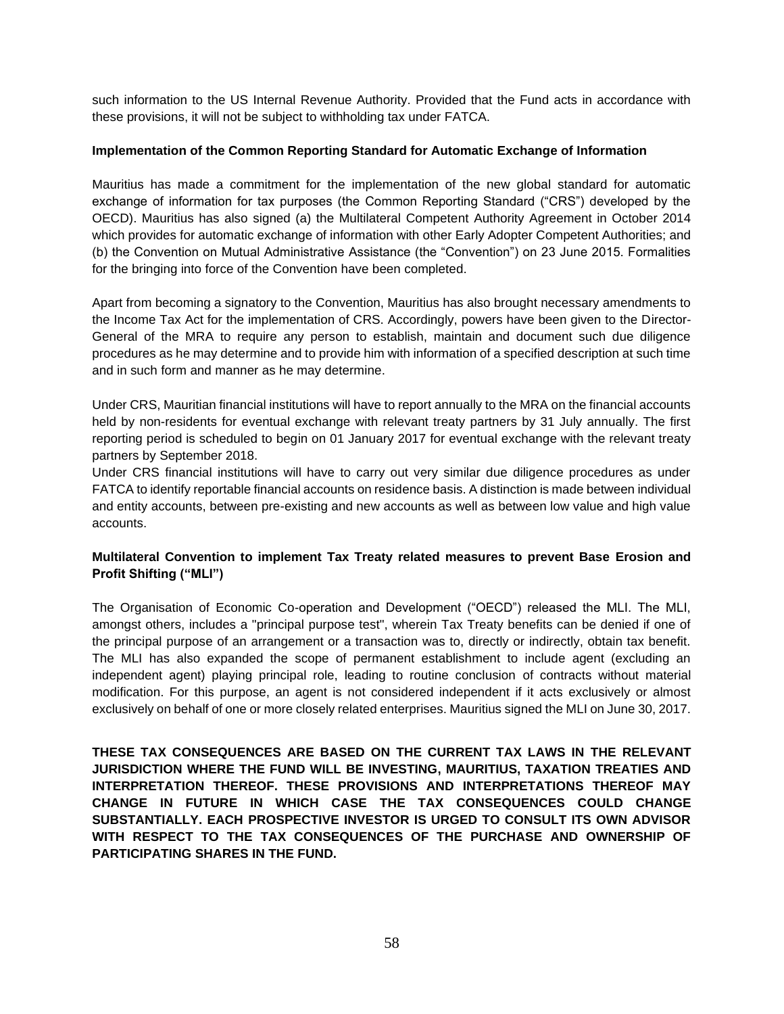such information to the US Internal Revenue Authority. Provided that the Fund acts in accordance with these provisions, it will not be subject to withholding tax under FATCA.

### **Implementation of the Common Reporting Standard for Automatic Exchange of Information**

Mauritius has made a commitment for the implementation of the new global standard for automatic exchange of information for tax purposes (the Common Reporting Standard ("CRS") developed by the OECD). Mauritius has also signed (a) the Multilateral Competent Authority Agreement in October 2014 which provides for automatic exchange of information with other Early Adopter Competent Authorities; and (b) the Convention on Mutual Administrative Assistance (the "Convention") on 23 June 2015. Formalities for the bringing into force of the Convention have been completed.

Apart from becoming a signatory to the Convention, Mauritius has also brought necessary amendments to the Income Tax Act for the implementation of CRS. Accordingly, powers have been given to the Director-General of the MRA to require any person to establish, maintain and document such due diligence procedures as he may determine and to provide him with information of a specified description at such time and in such form and manner as he may determine.

Under CRS, Mauritian financial institutions will have to report annually to the MRA on the financial accounts held by non-residents for eventual exchange with relevant treaty partners by 31 July annually. The first reporting period is scheduled to begin on 01 January 2017 for eventual exchange with the relevant treaty partners by September 2018.

Under CRS financial institutions will have to carry out very similar due diligence procedures as under FATCA to identify reportable financial accounts on residence basis. A distinction is made between individual and entity accounts, between pre-existing and new accounts as well as between low value and high value accounts.

# **Multilateral Convention to implement Tax Treaty related measures to prevent Base Erosion and Profit Shifting ("MLI")**

The Organisation of Economic Co-operation and Development ("OECD") released the MLI. The MLI, amongst others, includes a "principal purpose test", wherein Tax Treaty benefits can be denied if one of the principal purpose of an arrangement or a transaction was to, directly or indirectly, obtain tax benefit. The MLI has also expanded the scope of permanent establishment to include agent (excluding an independent agent) playing principal role, leading to routine conclusion of contracts without material modification. For this purpose, an agent is not considered independent if it acts exclusively or almost exclusively on behalf of one or more closely related enterprises. Mauritius signed the MLI on June 30, 2017.

**THESE TAX CONSEQUENCES ARE BASED ON THE CURRENT TAX LAWS IN THE RELEVANT JURISDICTION WHERE THE FUND WILL BE INVESTING, MAURITIUS, TAXATION TREATIES AND INTERPRETATION THEREOF. THESE PROVISIONS AND INTERPRETATIONS THEREOF MAY CHANGE IN FUTURE IN WHICH CASE THE TAX CONSEQUENCES COULD CHANGE SUBSTANTIALLY. EACH PROSPECTIVE INVESTOR IS URGED TO CONSULT ITS OWN ADVISOR WITH RESPECT TO THE TAX CONSEQUENCES OF THE PURCHASE AND OWNERSHIP OF PARTICIPATING SHARES IN THE FUND.**